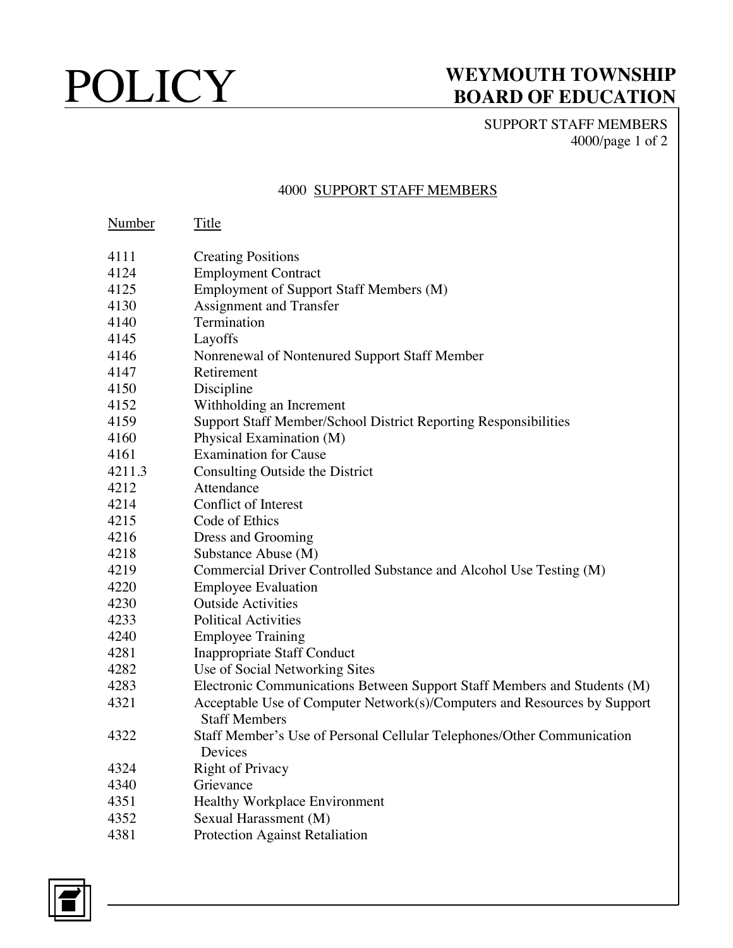# POLICY WEYMOUTH TOWNSHIP<br>BOARD OF EDUCATION **BOARD OF EDUCATION**

SUPPORT STAFF MEMBERS 4000/page 1 of 2

### 4000 SUPPORT STAFF MEMBERS

| Number | Title                                                                                            |
|--------|--------------------------------------------------------------------------------------------------|
| 4111   | <b>Creating Positions</b>                                                                        |
| 4124   | <b>Employment Contract</b>                                                                       |
| 4125   | Employment of Support Staff Members (M)                                                          |
| 4130   | Assignment and Transfer                                                                          |
| 4140   | Termination                                                                                      |
| 4145   | Layoffs                                                                                          |
| 4146   | Nonrenewal of Nontenured Support Staff Member                                                    |
| 4147   | Retirement                                                                                       |
| 4150   | Discipline                                                                                       |
| 4152   | Withholding an Increment                                                                         |
| 4159   | Support Staff Member/School District Reporting Responsibilities                                  |
| 4160   | Physical Examination (M)                                                                         |
| 4161   | <b>Examination for Cause</b>                                                                     |
| 4211.3 | Consulting Outside the District                                                                  |
| 4212   | Attendance                                                                                       |
| 4214   | <b>Conflict of Interest</b>                                                                      |
| 4215   | Code of Ethics                                                                                   |
| 4216   | Dress and Grooming                                                                               |
| 4218   | Substance Abuse (M)                                                                              |
| 4219   | Commercial Driver Controlled Substance and Alcohol Use Testing (M)                               |
| 4220   | <b>Employee Evaluation</b>                                                                       |
| 4230   | <b>Outside Activities</b>                                                                        |
| 4233   | <b>Political Activities</b>                                                                      |
| 4240   | <b>Employee Training</b>                                                                         |
| 4281   | <b>Inappropriate Staff Conduct</b>                                                               |
| 4282   | Use of Social Networking Sites                                                                   |
| 4283   | Electronic Communications Between Support Staff Members and Students (M)                         |
| 4321   | Acceptable Use of Computer Network(s)/Computers and Resources by Support<br><b>Staff Members</b> |
| 4322   | Staff Member's Use of Personal Cellular Telephones/Other Communication<br>Devices                |
| 4324   | <b>Right of Privacy</b>                                                                          |
| 4340   | Grievance                                                                                        |
| 4351   | <b>Healthy Workplace Environment</b>                                                             |
| 4352   | Sexual Harassment (M)                                                                            |
| 4381   | Protection Against Retaliation                                                                   |

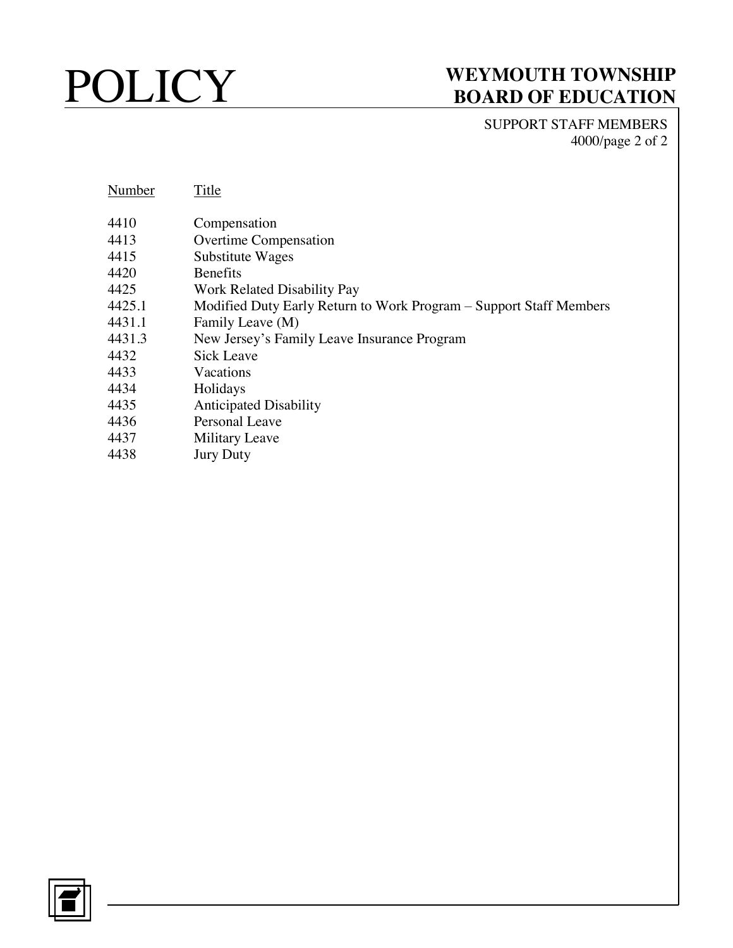SUPPORT STAFF MEMBERS 4000/page 2 of 2

| Number | Title                                                              |
|--------|--------------------------------------------------------------------|
| 4410   | Compensation                                                       |
| 4413   | <b>Overtime Compensation</b>                                       |
| 4415   | Substitute Wages                                                   |
| 4420   | <b>Benefits</b>                                                    |
| 4425   | Work Related Disability Pay                                        |
| 4425.1 | Modified Duty Early Return to Work Program - Support Staff Members |
| 4431.1 | Family Leave (M)                                                   |
| 4431.3 | New Jersey's Family Leave Insurance Program                        |
| 4432   | Sick Leave                                                         |
| 4433   | Vacations                                                          |
| 4434   | Holidays                                                           |
| 4435   | <b>Anticipated Disability</b>                                      |
| 4436   | Personal Leave                                                     |
| 4437   | <b>Military Leave</b>                                              |
| 4438   | <b>Jury Duty</b>                                                   |
|        |                                                                    |
|        |                                                                    |

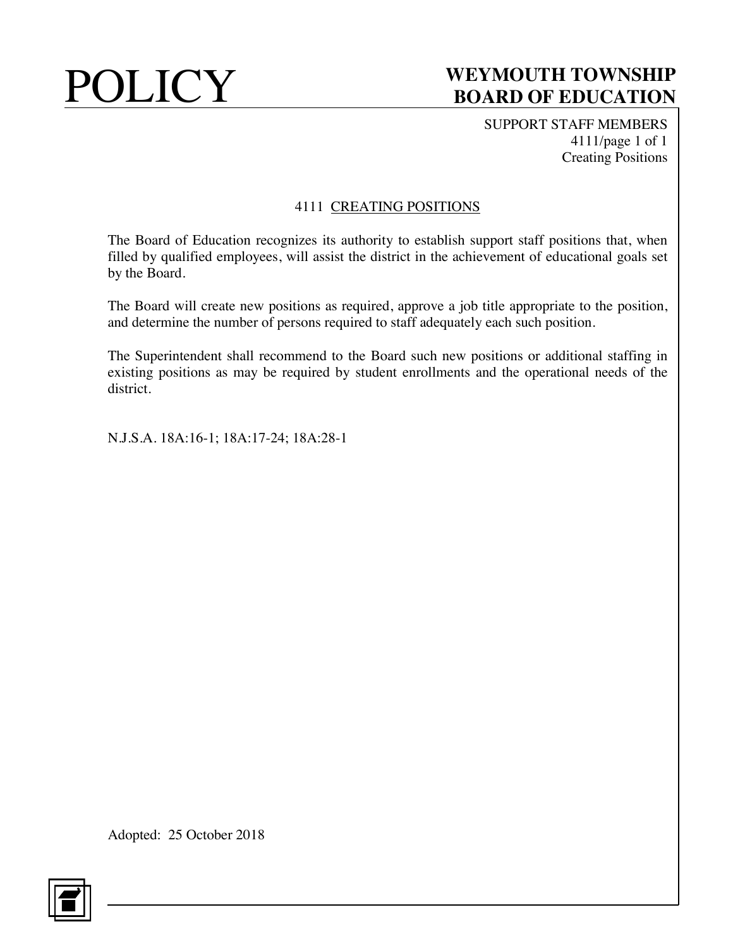SUPPORT STAFF MEMBERS 4111/page 1 of 1 Creating Positions

## 4111 CREATING POSITIONS

The Board of Education recognizes its authority to establish support staff positions that, when filled by qualified employees, will assist the district in the achievement of educational goals set by the Board.

The Board will create new positions as required, approve a job title appropriate to the position, and determine the number of persons required to staff adequately each such position.

The Superintendent shall recommend to the Board such new positions or additional staffing in existing positions as may be required by student enrollments and the operational needs of the district.

N.J.S.A. 18A:16-1; 18A:17-24; 18A:28-1

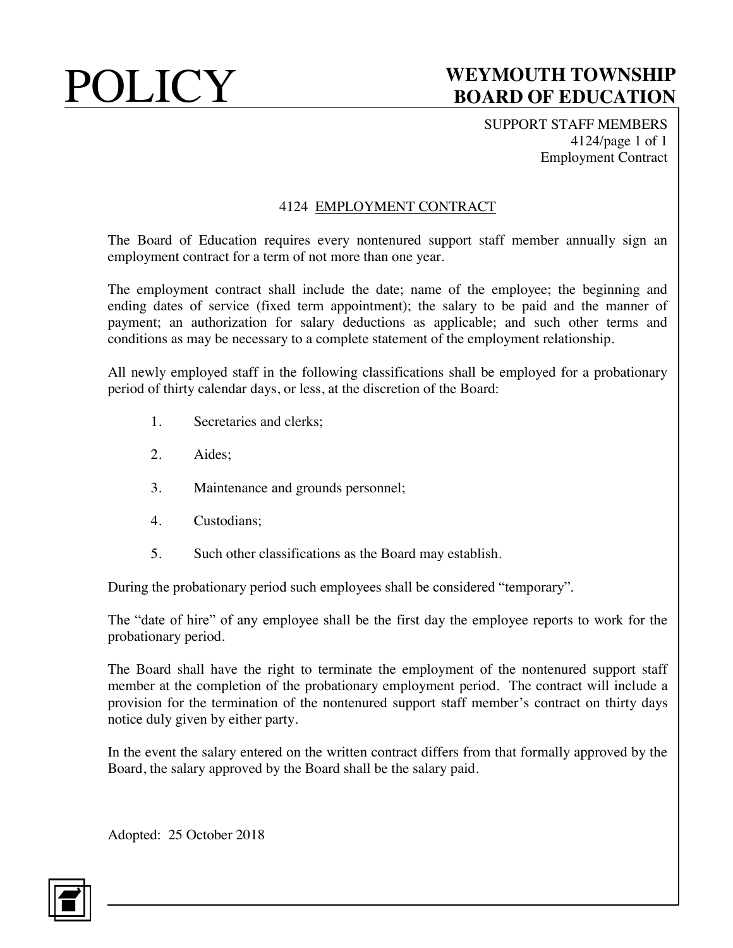SUPPORT STAFF MEMBERS 4124/page 1 of 1 Employment Contract

## 4124 EMPLOYMENT CONTRACT

The Board of Education requires every nontenured support staff member annually sign an employment contract for a term of not more than one year.

The employment contract shall include the date; name of the employee; the beginning and ending dates of service (fixed term appointment); the salary to be paid and the manner of payment; an authorization for salary deductions as applicable; and such other terms and conditions as may be necessary to a complete statement of the employment relationship.

All newly employed staff in the following classifications shall be employed for a probationary period of thirty calendar days, or less, at the discretion of the Board:

- 1. Secretaries and clerks;
- 2. Aides;
- 3. Maintenance and grounds personnel;
- 4. Custodians;
- 5. Such other classifications as the Board may establish.

During the probationary period such employees shall be considered "temporary".

The "date of hire" of any employee shall be the first day the employee reports to work for the probationary period.

The Board shall have the right to terminate the employment of the nontenured support staff member at the completion of the probationary employment period. The contract will include a provision for the termination of the nontenured support staff member's contract on thirty days notice duly given by either party.

In the event the salary entered on the written contract differs from that formally approved by the Board, the salary approved by the Board shall be the salary paid.

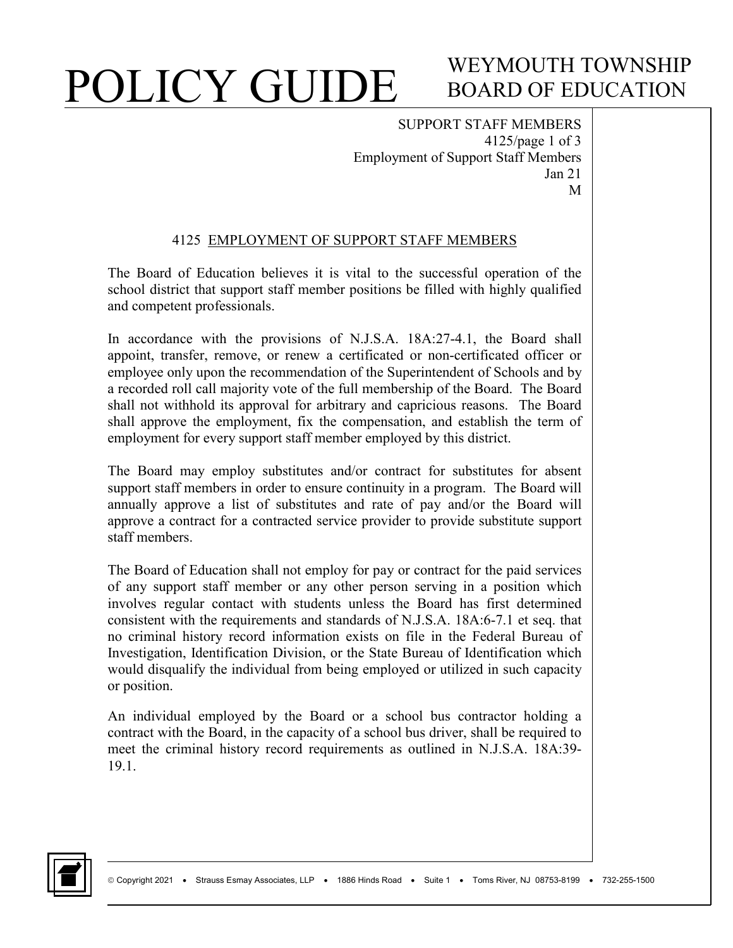# WEYMOUTH TOWNSHIP BOARD OF EDUCATION

SUPPORT STAFF MEMBERS 4125/page 1 of 3 Employment of Support Staff Members Jan 21 M

### 4125 EMPLOYMENT OF SUPPORT STAFF MEMBERS

The Board of Education believes it is vital to the successful operation of the school district that support staff member positions be filled with highly qualified and competent professionals.

In accordance with the provisions of N.J.S.A. 18A:27-4.1, the Board shall appoint, transfer, remove, or renew a certificated or non-certificated officer or employee only upon the recommendation of the Superintendent of Schools and by a recorded roll call majority vote of the full membership of the Board. The Board shall not withhold its approval for arbitrary and capricious reasons. The Board shall approve the employment, fix the compensation, and establish the term of employment for every support staff member employed by this district.

The Board may employ substitutes and/or contract for substitutes for absent support staff members in order to ensure continuity in a program. The Board will annually approve a list of substitutes and rate of pay and/or the Board will approve a contract for a contracted service provider to provide substitute support staff members.

The Board of Education shall not employ for pay or contract for the paid services of any support staff member or any other person serving in a position which involves regular contact with students unless the Board has first determined consistent with the requirements and standards of N.J.S.A. 18A:6-7.1 et seq. that no criminal history record information exists on file in the Federal Bureau of Investigation, Identification Division, or the State Bureau of Identification which would disqualify the individual from being employed or utilized in such capacity or position.

An individual employed by the Board or a school bus contractor holding a contract with the Board, in the capacity of a school bus driver, shall be required to meet the criminal history record requirements as outlined in N.J.S.A. 18A:39- 19.1.

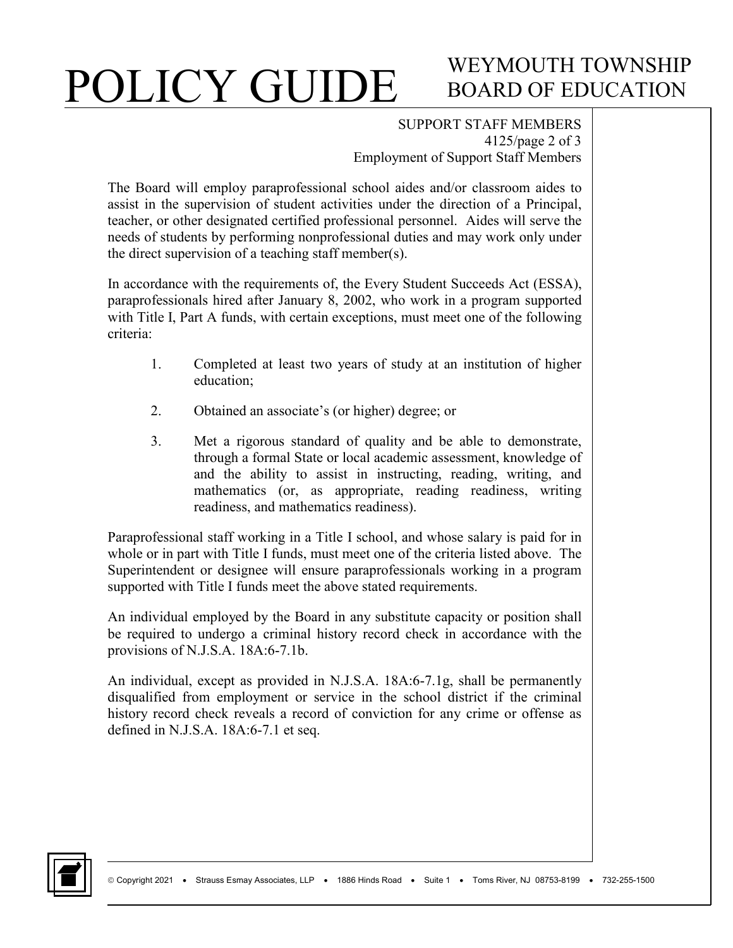# WEYMOUTH TOWNSHIP BOARD OF EDUCATION

SUPPORT STAFF MEMBERS 4125/page 2 of 3 Employment of Support Staff Members

The Board will employ paraprofessional school aides and/or classroom aides to assist in the supervision of student activities under the direction of a Principal, teacher, or other designated certified professional personnel. Aides will serve the needs of students by performing nonprofessional duties and may work only under the direct supervision of a teaching staff member(s).

In accordance with the requirements of, the Every Student Succeeds Act (ESSA), paraprofessionals hired after January 8, 2002, who work in a program supported with Title I, Part A funds, with certain exceptions, must meet one of the following criteria:

- 1. Completed at least two years of study at an institution of higher education;
- 2. Obtained an associate's (or higher) degree; or
- 3. Met a rigorous standard of quality and be able to demonstrate, through a formal State or local academic assessment, knowledge of and the ability to assist in instructing, reading, writing, and mathematics (or, as appropriate, reading readiness, writing readiness, and mathematics readiness).

Paraprofessional staff working in a Title I school, and whose salary is paid for in whole or in part with Title I funds, must meet one of the criteria listed above. The Superintendent or designee will ensure paraprofessionals working in a program supported with Title I funds meet the above stated requirements.

An individual employed by the Board in any substitute capacity or position shall be required to undergo a criminal history record check in accordance with the provisions of N.J.S.A. 18A:6-7.1b.

An individual, except as provided in N.J.S.A. 18A:6-7.1g, shall be permanently disqualified from employment or service in the school district if the criminal history record check reveals a record of conviction for any crime or offense as defined in N.J.S.A. 18A:6-7.1 et seq.

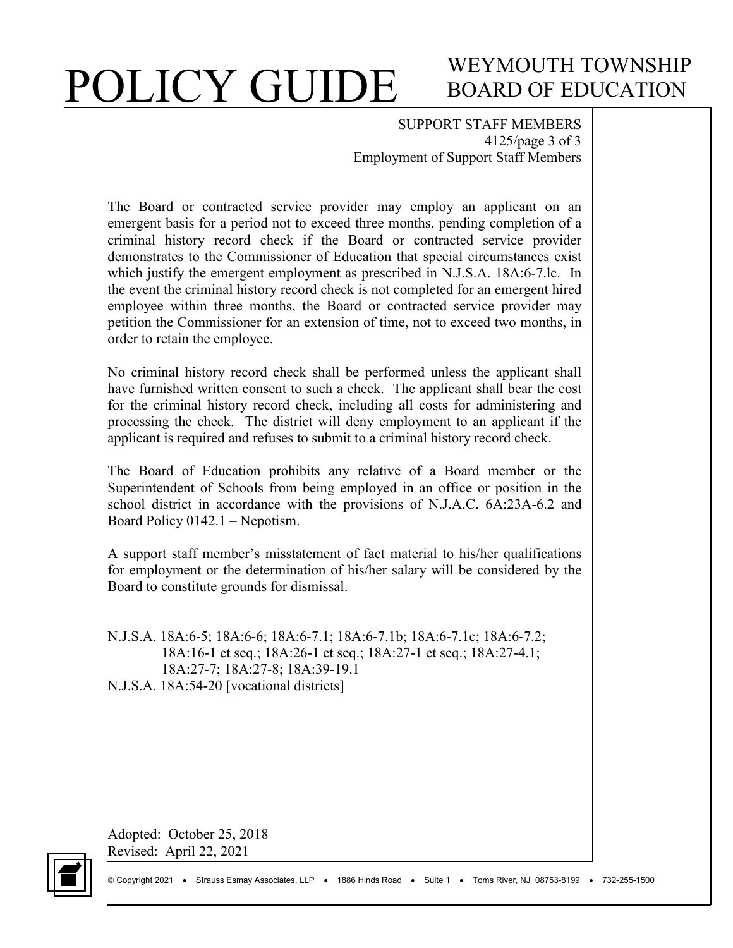# WEYMOUTH TOWNSHIP BOARD OF EDUCATION

SUPPORT STAFF MEMBERS 4125/page 3 of 3 Employment of Support Staff Members

The Board or contracted service provider may employ an applicant on an emergent basis for a period not to exceed three months, pending completion of a criminal history record check if the Board or contracted service provider demonstrates to the Commissioner of Education that special circumstances exist which justify the emergent employment as prescribed in N.J.S.A. 18A:6-7.lc. In the event the criminal history record check is not completed for an emergent hired employee within three months, the Board or contracted service provider may petition the Commissioner for an extension of time, not to exceed two months, in order to retain the employee.

No criminal history record check shall be performed unless the applicant shall have furnished written consent to such a check. The applicant shall bear the cost for the criminal history record check, including all costs for administering and processing the check. The district will deny employment to an applicant if the applicant is required and refuses to submit to a criminal history record check.

The Board of Education prohibits any relative of a Board member or the Superintendent of Schools from being employed in an office or position in the school district in accordance with the provisions of N.J.A.C. 6A:23A-6.2 and Board Policy 0142.1 – Nepotism.

A support staff member's misstatement of fact material to his/her qualifications for employment or the determination of his/her salary will be considered by the Board to constitute grounds for dismissal.

N.J.S.A. 18A:6-5; 18A:6-6; 18A:6-7.1; 18A:6-7.1b; 18A:6-7.1c; 18A:6-7.2; 18A:16-1 et seq.; 18A:26-1 et seq.; 18A:27-1 et seq.; 18A:27-4.1; 18A:27-7; 18A:27-8; 18A:39-19.1 N.J.S.A. 18A:54-20 [vocational districts]

Adopted: October 25, 2018 Revised: April 22, 2021

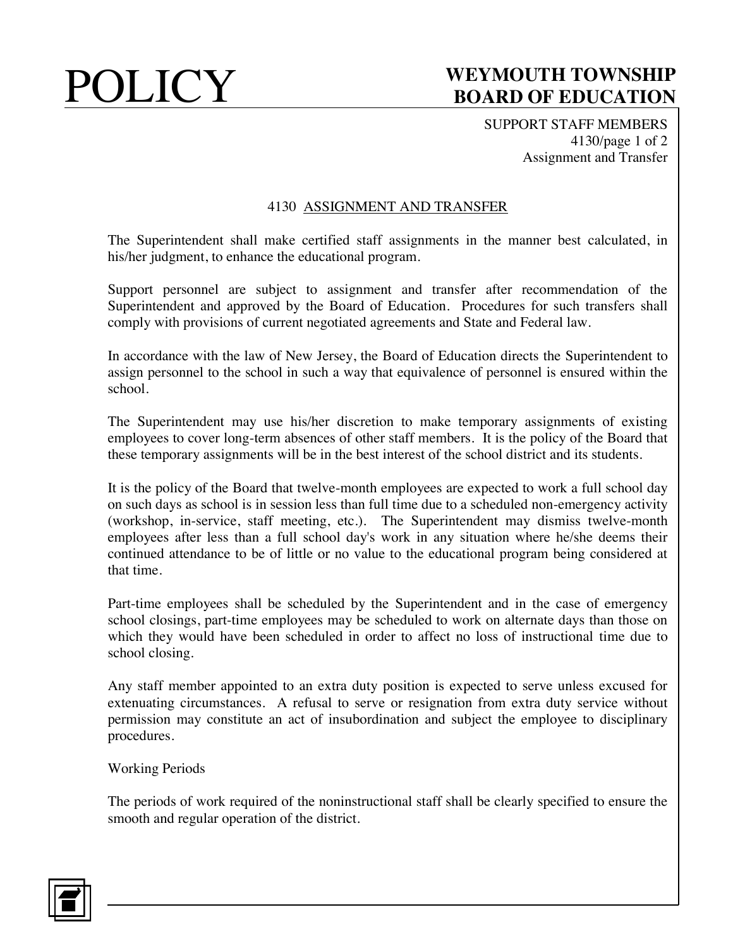SUPPORT STAFF MEMBERS 4130/page 1 of 2 Assignment and Transfer

### 4130 ASSIGNMENT AND TRANSFER

The Superintendent shall make certified staff assignments in the manner best calculated, in his/her judgment, to enhance the educational program.

Support personnel are subject to assignment and transfer after recommendation of the Superintendent and approved by the Board of Education. Procedures for such transfers shall comply with provisions of current negotiated agreements and State and Federal law.

In accordance with the law of New Jersey, the Board of Education directs the Superintendent to assign personnel to the school in such a way that equivalence of personnel is ensured within the school.

The Superintendent may use his/her discretion to make temporary assignments of existing employees to cover long-term absences of other staff members. It is the policy of the Board that these temporary assignments will be in the best interest of the school district and its students.

It is the policy of the Board that twelve-month employees are expected to work a full school day on such days as school is in session less than full time due to a scheduled non-emergency activity (workshop, in-service, staff meeting, etc.). The Superintendent may dismiss twelve-month employees after less than a full school day's work in any situation where he/she deems their continued attendance to be of little or no value to the educational program being considered at that time.

Part-time employees shall be scheduled by the Superintendent and in the case of emergency school closings, part-time employees may be scheduled to work on alternate days than those on which they would have been scheduled in order to affect no loss of instructional time due to school closing.

Any staff member appointed to an extra duty position is expected to serve unless excused for extenuating circumstances. A refusal to serve or resignation from extra duty service without permission may constitute an act of insubordination and subject the employee to disciplinary procedures.

Working Periods

The periods of work required of the noninstructional staff shall be clearly specified to ensure the smooth and regular operation of the district.

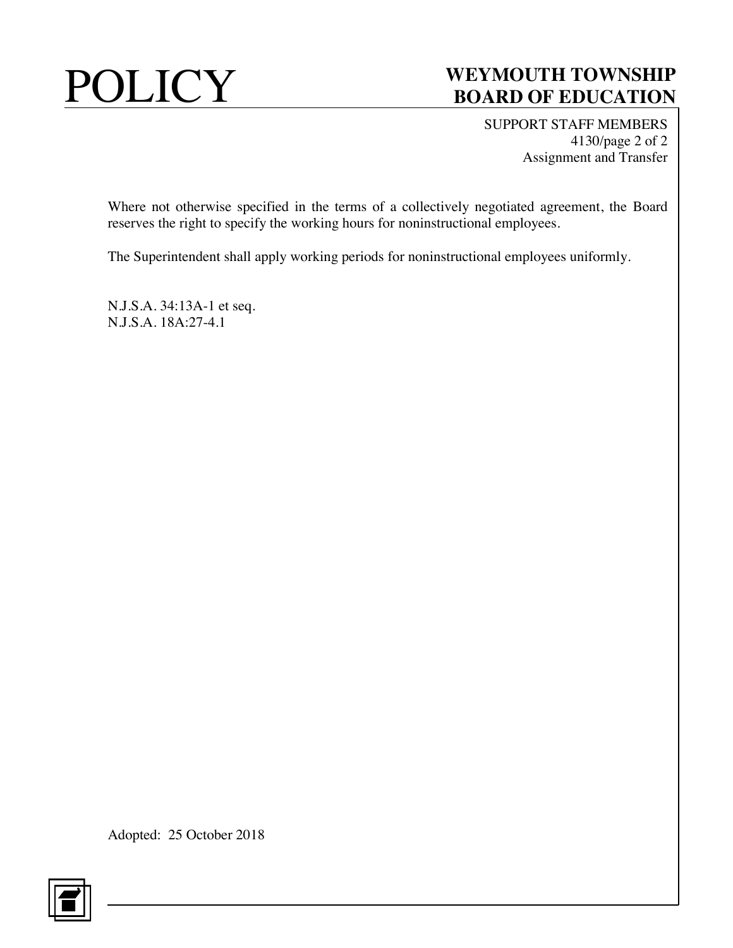

SUPPORT STAFF MEMBERS 4130/page 2 of 2 Assignment and Transfer

Where not otherwise specified in the terms of a collectively negotiated agreement, the Board reserves the right to specify the working hours for noninstructional employees.

The Superintendent shall apply working periods for noninstructional employees uniformly.

N.J.S.A. 34:13A-1 et seq. N.J.S.A. 18A:27-4.1

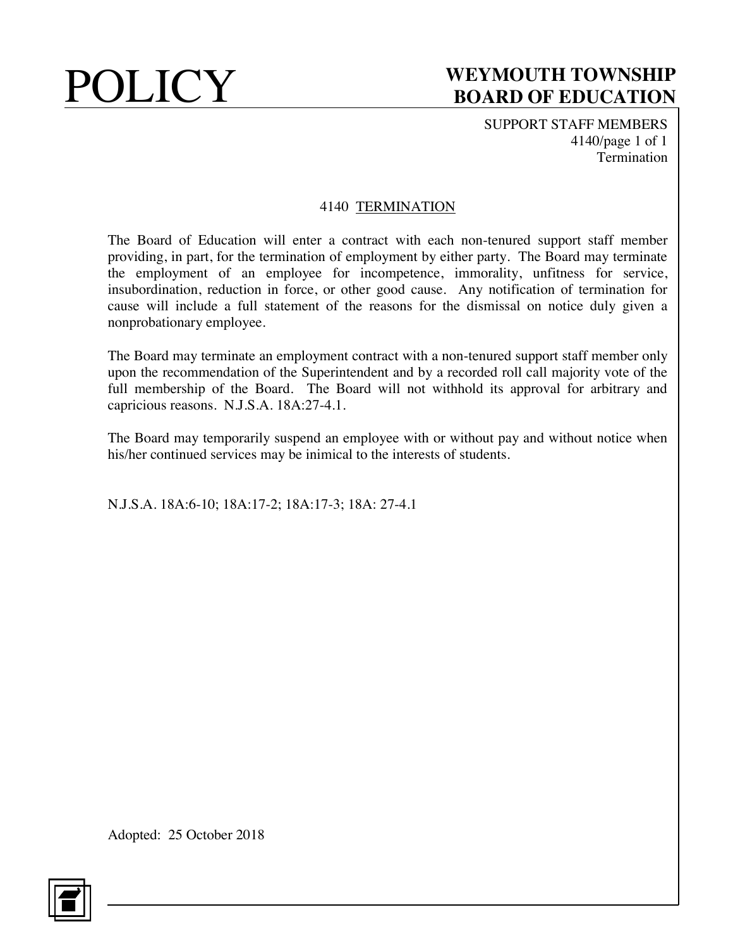SUPPORT STAFF MEMBERS 4140/page 1 of 1 Termination

### 4140 TERMINATION

The Board of Education will enter a contract with each non-tenured support staff member providing, in part, for the termination of employment by either party. The Board may terminate the employment of an employee for incompetence, immorality, unfitness for service, insubordination, reduction in force, or other good cause. Any notification of termination for cause will include a full statement of the reasons for the dismissal on notice duly given a nonprobationary employee.

The Board may terminate an employment contract with a non-tenured support staff member only upon the recommendation of the Superintendent and by a recorded roll call majority vote of the full membership of the Board. The Board will not withhold its approval for arbitrary and capricious reasons. N.J.S.A. 18A:27-4.1.

The Board may temporarily suspend an employee with or without pay and without notice when his/her continued services may be inimical to the interests of students.

N.J.S.A. 18A:6-10; 18A:17-2; 18A:17-3; 18A: 27-4.1

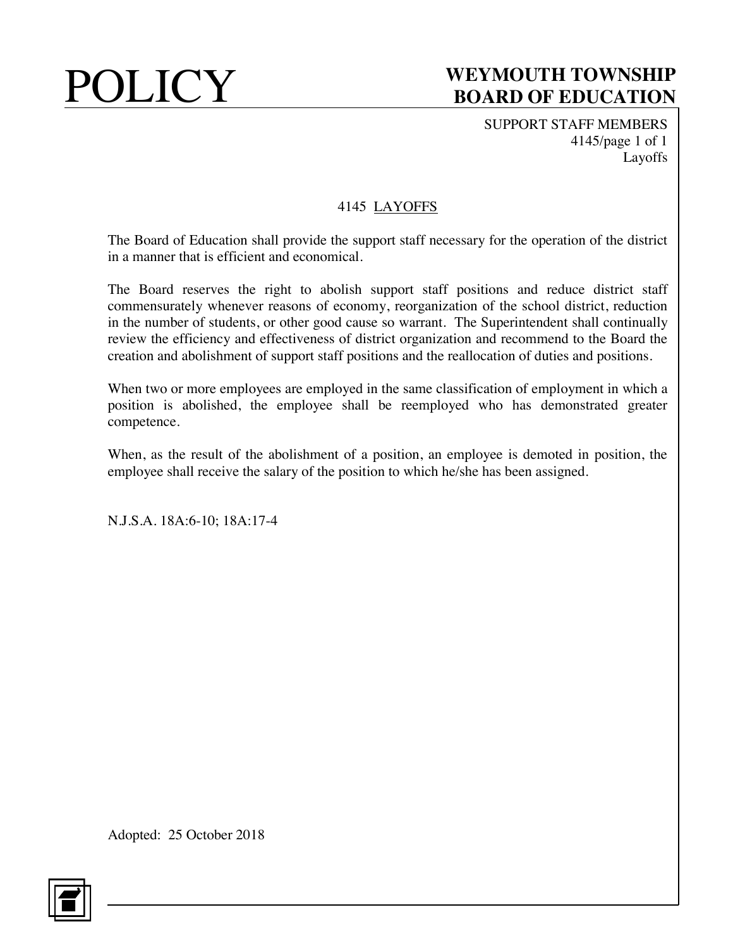SUPPORT STAFF MEMBERS 4145/page 1 of 1 Layoffs

## 4145 LAYOFFS

The Board of Education shall provide the support staff necessary for the operation of the district in a manner that is efficient and economical.

The Board reserves the right to abolish support staff positions and reduce district staff commensurately whenever reasons of economy, reorganization of the school district, reduction in the number of students, or other good cause so warrant. The Superintendent shall continually review the efficiency and effectiveness of district organization and recommend to the Board the creation and abolishment of support staff positions and the reallocation of duties and positions.

When two or more employees are employed in the same classification of employment in which a position is abolished, the employee shall be reemployed who has demonstrated greater competence.

When, as the result of the abolishment of a position, an employee is demoted in position, the employee shall receive the salary of the position to which he/she has been assigned.

N.J.S.A. 18A:6-10; 18A:17-4

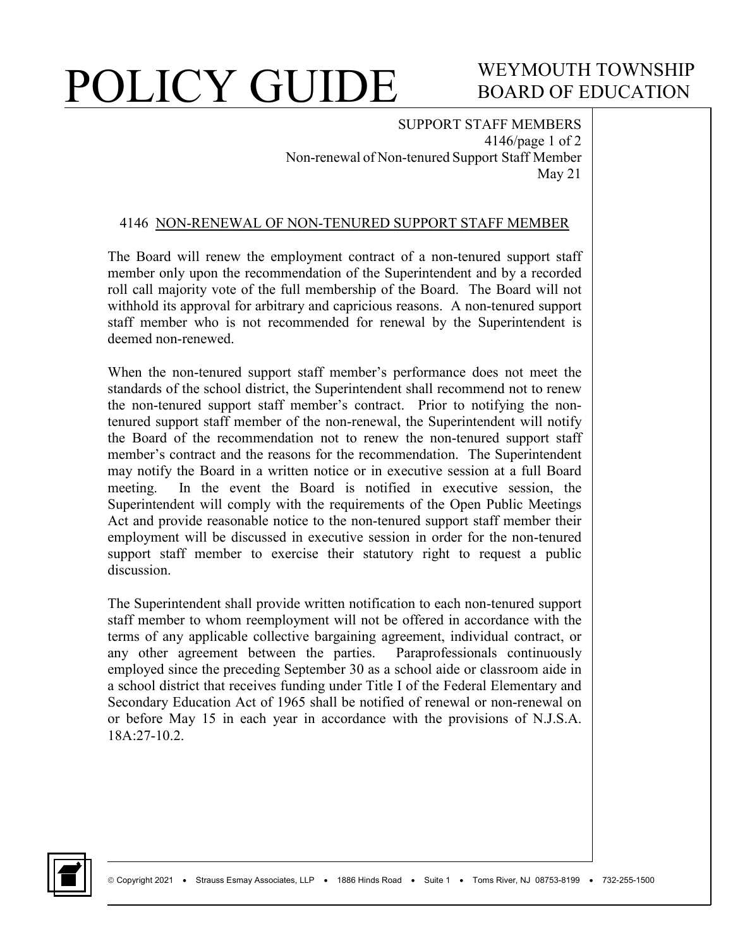# WEYMOUTH TOWNSHIP BOARD OF EDUCATION

SUPPORT STAFF MEMBERS 4146/page 1 of 2 Non-renewal of Non-tenured Support Staff Member May 21

#### 4146 NON-RENEWAL OF NON-TENURED SUPPORT STAFF MEMBER

The Board will renew the employment contract of a non-tenured support staff member only upon the recommendation of the Superintendent and by a recorded roll call majority vote of the full membership of the Board. The Board will not withhold its approval for arbitrary and capricious reasons. A non-tenured support staff member who is not recommended for renewal by the Superintendent is deemed non-renewed.

When the non-tenured support staff member's performance does not meet the standards of the school district, the Superintendent shall recommend not to renew the non-tenured support staff member's contract. Prior to notifying the nontenured support staff member of the non-renewal, the Superintendent will notify the Board of the recommendation not to renew the non-tenured support staff member's contract and the reasons for the recommendation. The Superintendent may notify the Board in a written notice or in executive session at a full Board meeting. In the event the Board is notified in executive session, the Superintendent will comply with the requirements of the Open Public Meetings Act and provide reasonable notice to the non-tenured support staff member their employment will be discussed in executive session in order for the non-tenured support staff member to exercise their statutory right to request a public discussion.

The Superintendent shall provide written notification to each non-tenured support staff member to whom reemployment will not be offered in accordance with the terms of any applicable collective bargaining agreement, individual contract, or any other agreement between the parties. Paraprofessionals continuously employed since the preceding September 30 as a school aide or classroom aide in a school district that receives funding under Title I of the Federal Elementary and Secondary Education Act of 1965 shall be notified of renewal or non-renewal on or before May 15 in each year in accordance with the provisions of N.J.S.A. 18A:27-10.2.

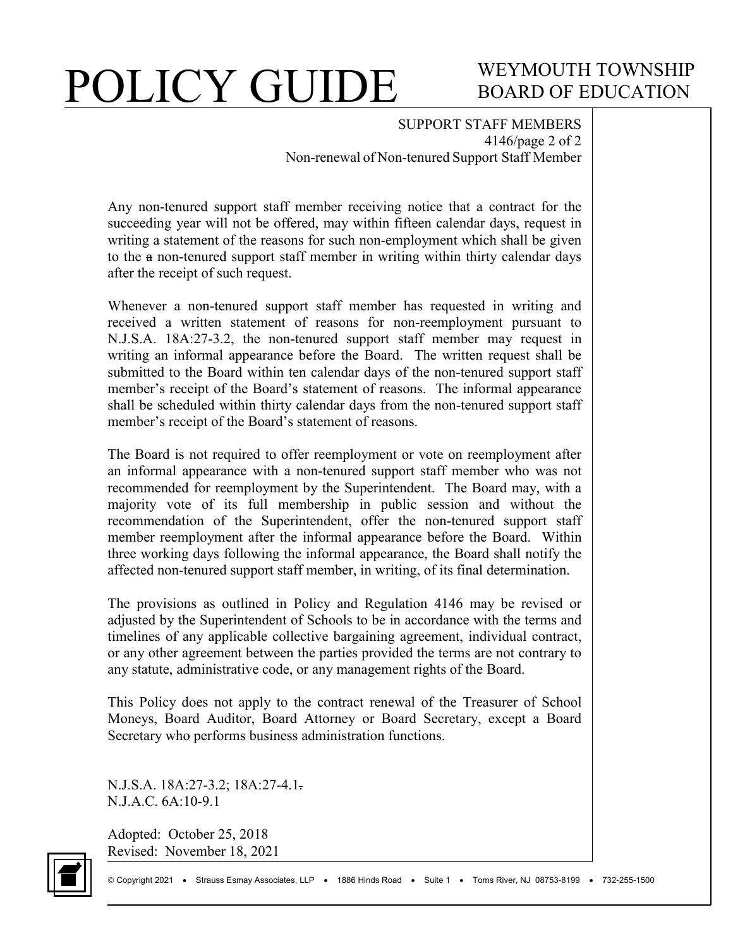# WEYMOUTH TOWNSHIP BOARD OF EDUCATION

SUPPORT STAFF MEMBERS 4146/page 2 of 2 Non-renewal of Non-tenured Support Staff Member

Any non-tenured support staff member receiving notice that a contract for the succeeding year will not be offered, may within fifteen calendar days, request in writing a statement of the reasons for such non-employment which shall be given to the a non-tenured support staff member in writing within thirty calendar days after the receipt of such request.

Whenever a non-tenured support staff member has requested in writing and received a written statement of reasons for non-reemployment pursuant to N.J.S.A. 18A:27-3.2, the non-tenured support staff member may request in writing an informal appearance before the Board. The written request shall be submitted to the Board within ten calendar days of the non-tenured support staff member's receipt of the Board's statement of reasons. The informal appearance shall be scheduled within thirty calendar days from the non-tenured support staff member's receipt of the Board's statement of reasons.

The Board is not required to offer reemployment or vote on reemployment after an informal appearance with a non-tenured support staff member who was not recommended for reemployment by the Superintendent. The Board may, with a majority vote of its full membership in public session and without the recommendation of the Superintendent, offer the non-tenured support staff member reemployment after the informal appearance before the Board. Within three working days following the informal appearance, the Board shall notify the affected non-tenured support staff member, in writing, of its final determination.

The provisions as outlined in Policy and Regulation 4146 may be revised or adjusted by the Superintendent of Schools to be in accordance with the terms and timelines of any applicable collective bargaining agreement, individual contract, or any other agreement between the parties provided the terms are not contrary to any statute, administrative code, or any management rights of the Board.

This Policy does not apply to the contract renewal of the Treasurer of School Moneys, Board Auditor, Board Attorney or Board Secretary, except a Board Secretary who performs business administration functions.

N.J.S.A. 18A:27-3.2; 18A:27-4.1. N.J.A.C. 6A:10-9.1

Adopted: October 25, 2018 Revised: November 18, 2021

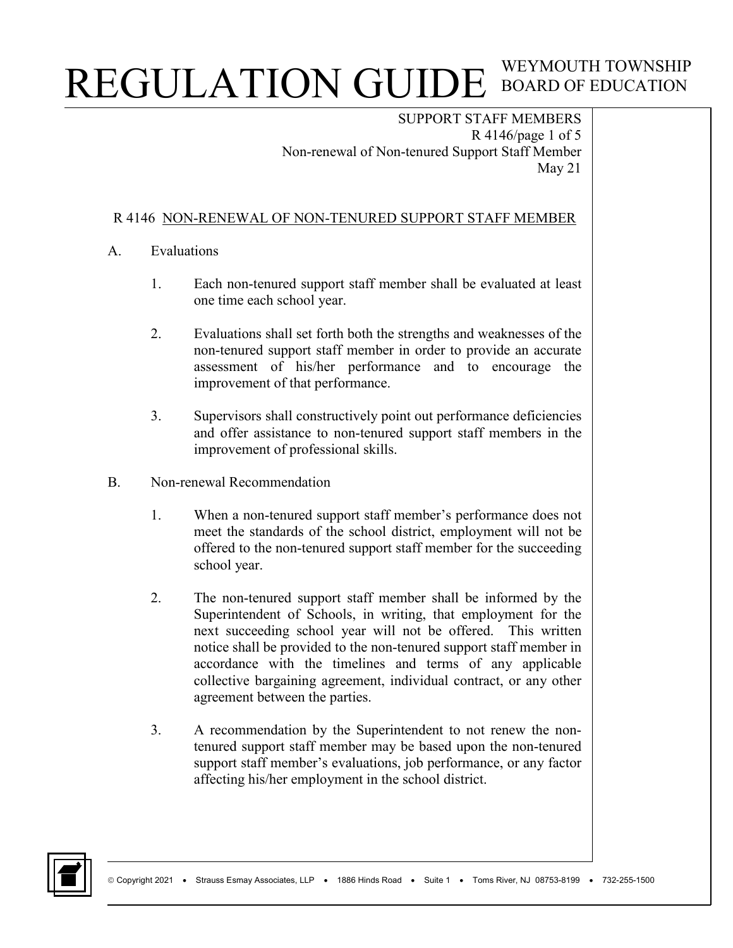SUPPORT STAFF MEMBERS R 4146/page 1 of 5 Non-renewal of Non-tenured Support Staff Member May 21

### R 4146 NON-RENEWAL OF NON-TENURED SUPPORT STAFF MEMBER

### A. Evaluations

- 1. Each non-tenured support staff member shall be evaluated at least one time each school year.
- 2. Evaluations shall set forth both the strengths and weaknesses of the non-tenured support staff member in order to provide an accurate assessment of his/her performance and to encourage the improvement of that performance.
- 3. Supervisors shall constructively point out performance deficiencies and offer assistance to non-tenured support staff members in the improvement of professional skills.
- B. Non-renewal Recommendation
	- 1. When a non-tenured support staff member's performance does not meet the standards of the school district, employment will not be offered to the non-tenured support staff member for the succeeding school year.
	- 2. The non-tenured support staff member shall be informed by the Superintendent of Schools, in writing, that employment for the next succeeding school year will not be offered. This written notice shall be provided to the non-tenured support staff member in accordance with the timelines and terms of any applicable collective bargaining agreement, individual contract, or any other agreement between the parties.
	- 3. A recommendation by the Superintendent to not renew the nontenured support staff member may be based upon the non-tenured support staff member's evaluations, job performance, or any factor affecting his/her employment in the school district.

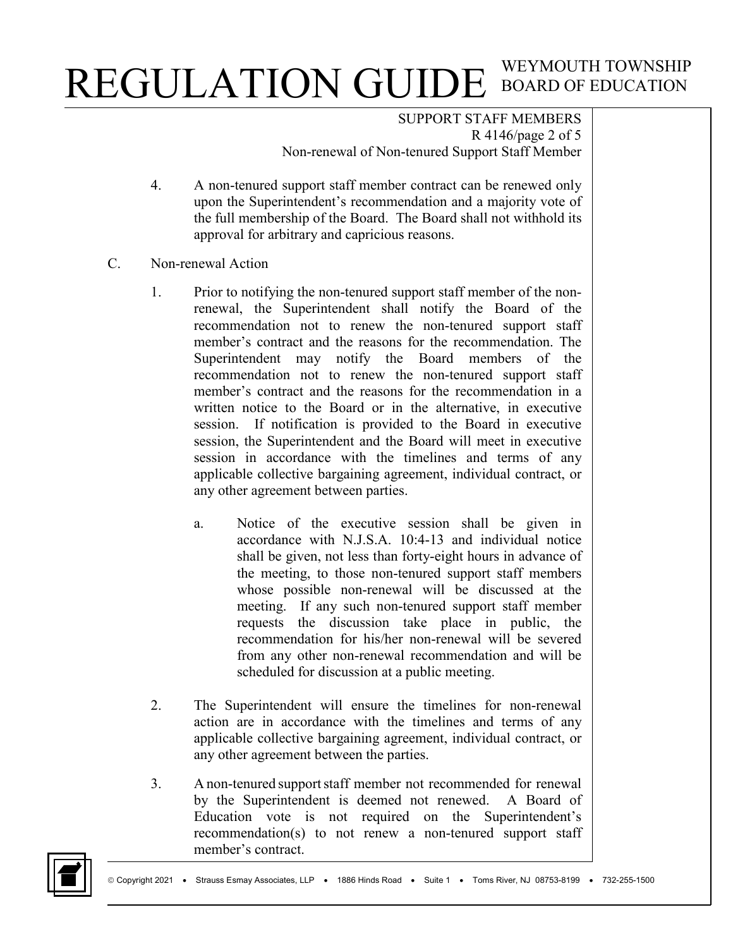SUPPORT STAFF MEMBERS R 4146/page 2 of 5 Non-renewal of Non-tenured Support Staff Member

- 4. A non-tenured support staff member contract can be renewed only upon the Superintendent's recommendation and a majority vote of the full membership of the Board. The Board shall not withhold its approval for arbitrary and capricious reasons.
- C. Non-renewal Action
	- 1. Prior to notifying the non-tenured support staff member of the nonrenewal, the Superintendent shall notify the Board of the recommendation not to renew the non-tenured support staff member's contract and the reasons for the recommendation. The Superintendent may notify the Board members of the recommendation not to renew the non-tenured support staff member's contract and the reasons for the recommendation in a written notice to the Board or in the alternative, in executive session. If notification is provided to the Board in executive session, the Superintendent and the Board will meet in executive session in accordance with the timelines and terms of any applicable collective bargaining agreement, individual contract, or any other agreement between parties.
		- a. Notice of the executive session shall be given in accordance with N.J.S.A. 10:4-13 and individual notice shall be given, not less than forty-eight hours in advance of the meeting, to those non-tenured support staff members whose possible non-renewal will be discussed at the meeting. If any such non-tenured support staff member requests the discussion take place in public, the recommendation for his/her non-renewal will be severed from any other non-renewal recommendation and will be scheduled for discussion at a public meeting.
	- 2. The Superintendent will ensure the timelines for non-renewal action are in accordance with the timelines and terms of any applicable collective bargaining agreement, individual contract, or any other agreement between the parties.
	- 3. A non-tenured supportstaff member not recommended for renewal by the Superintendent is deemed not renewed. A Board of Education vote is not required on the Superintendent's recommendation(s) to not renew a non-tenured support staff member's contract.

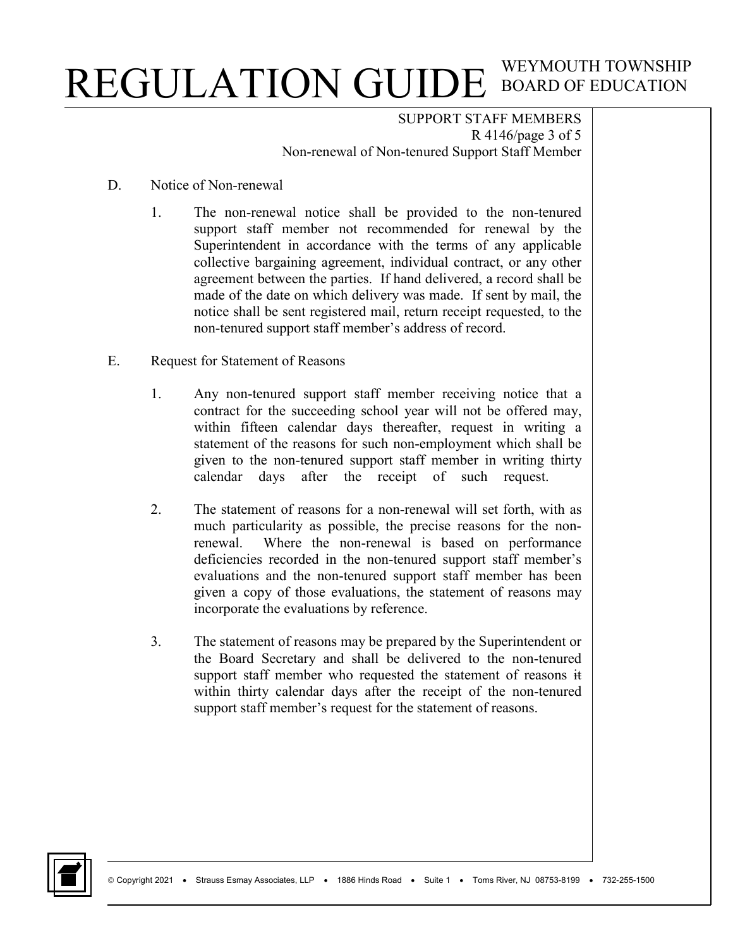SUPPORT STAFF MEMBERS R 4146/page 3 of 5 Non-renewal of Non-tenured Support Staff Member

- D. Notice of Non-renewal
	- 1. The non-renewal notice shall be provided to the non-tenured support staff member not recommended for renewal by the Superintendent in accordance with the terms of any applicable collective bargaining agreement, individual contract, or any other agreement between the parties. If hand delivered, a record shall be made of the date on which delivery was made. If sent by mail, the notice shall be sent registered mail, return receipt requested, to the non-tenured support staff member's address of record.
- E. Request for Statement of Reasons
	- 1. Any non-tenured support staff member receiving notice that a contract for the succeeding school year will not be offered may, within fifteen calendar days thereafter, request in writing a statement of the reasons for such non-employment which shall be given to the non-tenured support staff member in writing thirty calendar days after the receipt of such request.
	- 2. The statement of reasons for a non-renewal will set forth, with as much particularity as possible, the precise reasons for the nonrenewal. Where the non-renewal is based on performance deficiencies recorded in the non-tenured support staff member's evaluations and the non-tenured support staff member has been given a copy of those evaluations, the statement of reasons may incorporate the evaluations by reference.
	- 3. The statement of reasons may be prepared by the Superintendent or the Board Secretary and shall be delivered to the non-tenured support staff member who requested the statement of reasons  $\ddot{t}$ within thirty calendar days after the receipt of the non-tenured support staff member's request for the statement of reasons.

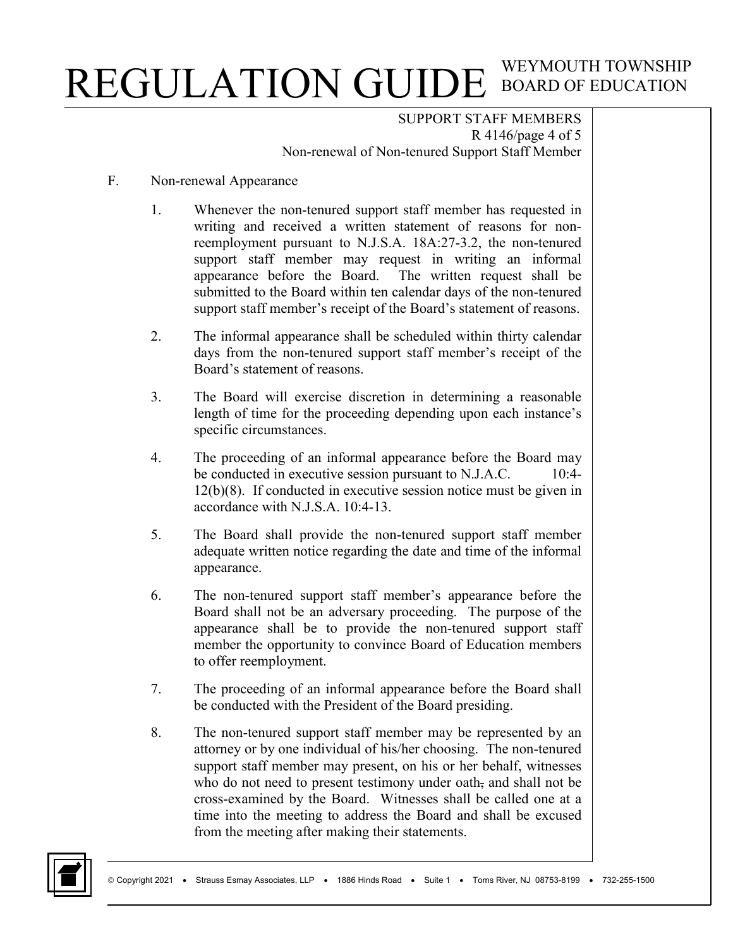SUPPORT STAFF MEMBERS R 4146/page 4 of 5 Non-renewal of Non-tenured Support Staff Member

- F. Non-renewal Appearance
	- 1. Whenever the non-tenured support staff member has requested in writing and received a written statement of reasons for nonreemployment pursuant to N.J.S.A. 18A:27-3.2, the non-tenured support staff member may request in writing an informal appearance before the Board. The written request shall be submitted to the Board within ten calendar days of the non-tenured support staff member's receipt of the Board's statement of reasons.
	- 2. The informal appearance shall be scheduled within thirty calendar days from the non-tenured support staff member's receipt of the Board's statement of reasons.
	- 3. The Board will exercise discretion in determining a reasonable length of time for the proceeding depending upon each instance's specific circumstances.
	- 4. The proceeding of an informal appearance before the Board may be conducted in executive session pursuant to N.J.A.C. 10:4-12(b)(8). If conducted in executive session notice must be given in accordance with N.J.S.A. 10:4-13.
	- 5. The Board shall provide the non-tenured support staff member adequate written notice regarding the date and time of the informal appearance.
	- 6. The non-tenured support staff member's appearance before the Board shall not be an adversary proceeding. The purpose of the appearance shall be to provide the non-tenured support staff member the opportunity to convince Board of Education members to offer reemployment.
	- 7. The proceeding of an informal appearance before the Board shall be conducted with the President of the Board presiding.
	- 8. The non-tenured support staff member may be represented by an attorney or by one individual of his/her choosing. The non-tenured support staff member may present, on his or her behalf, witnesses who do not need to present testimony under oath, and shall not be cross-examined by the Board. Witnesses shall be called one at a time into the meeting to address the Board and shall be excused from the meeting after making their statements.

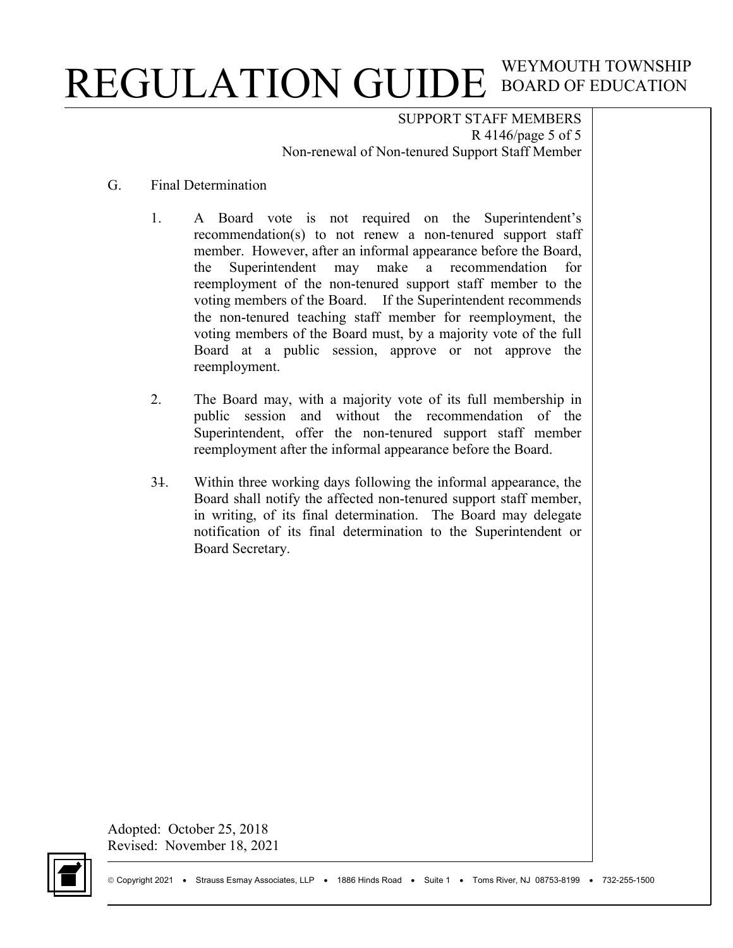SUPPORT STAFF MEMBERS R 4146/page 5 of 5 Non-renewal of Non-tenured Support Staff Member

#### G. Final Determination

- 1. A Board vote is not required on the Superintendent's recommendation(s) to not renew a non-tenured support staff member. However, after an informal appearance before the Board, the Superintendent may make a recommendation for reemployment of the non-tenured support staff member to the voting members of the Board. If the Superintendent recommends the non-tenured teaching staff member for reemployment, the voting members of the Board must, by a majority vote of the full Board at a public session, approve or not approve the reemployment.
- 2. The Board may, with a majority vote of its full membership in public session and without the recommendation of the Superintendent, offer the non-tenured support staff member reemployment after the informal appearance before the Board.
- 31. Within three working days following the informal appearance, the Board shall notify the affected non-tenured support staff member, in writing, of its final determination. The Board may delegate notification of its final determination to the Superintendent or Board Secretary.

Adopted: October 25, 2018 Revised: November 18, 2021

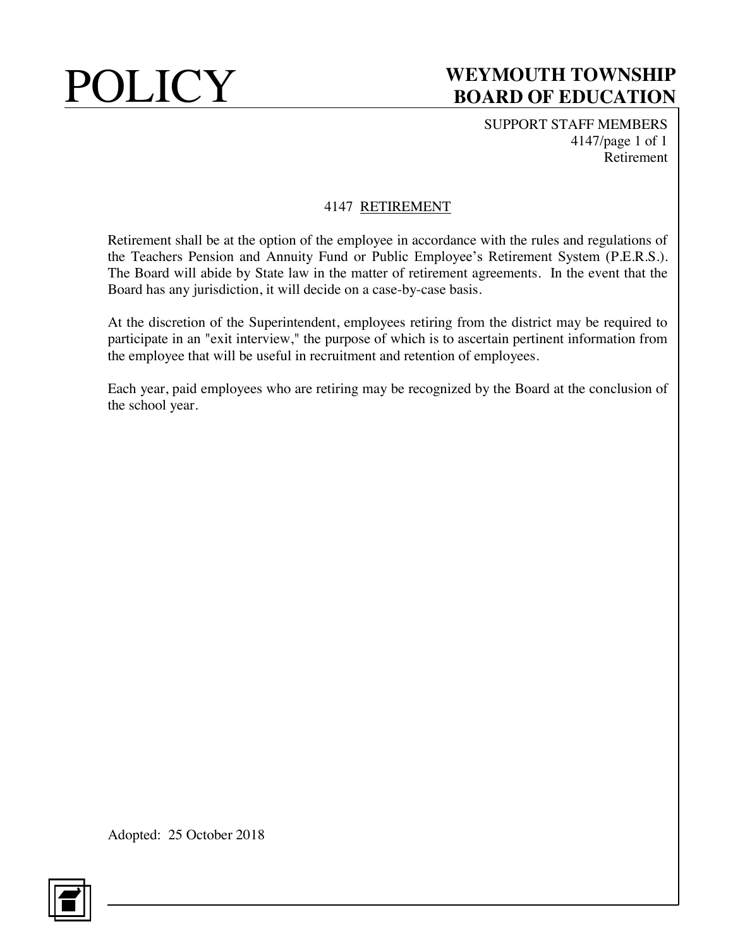SUPPORT STAFF MEMBERS 4147/page 1 of 1 Retirement

## 4147 RETIREMENT

Retirement shall be at the option of the employee in accordance with the rules and regulations of the Teachers Pension and Annuity Fund or Public Employee's Retirement System (P.E.R.S.). The Board will abide by State law in the matter of retirement agreements. In the event that the Board has any jurisdiction, it will decide on a case-by-case basis.

At the discretion of the Superintendent, employees retiring from the district may be required to participate in an "exit interview," the purpose of which is to ascertain pertinent information from the employee that will be useful in recruitment and retention of employees.

Each year, paid employees who are retiring may be recognized by the Board at the conclusion of the school year.

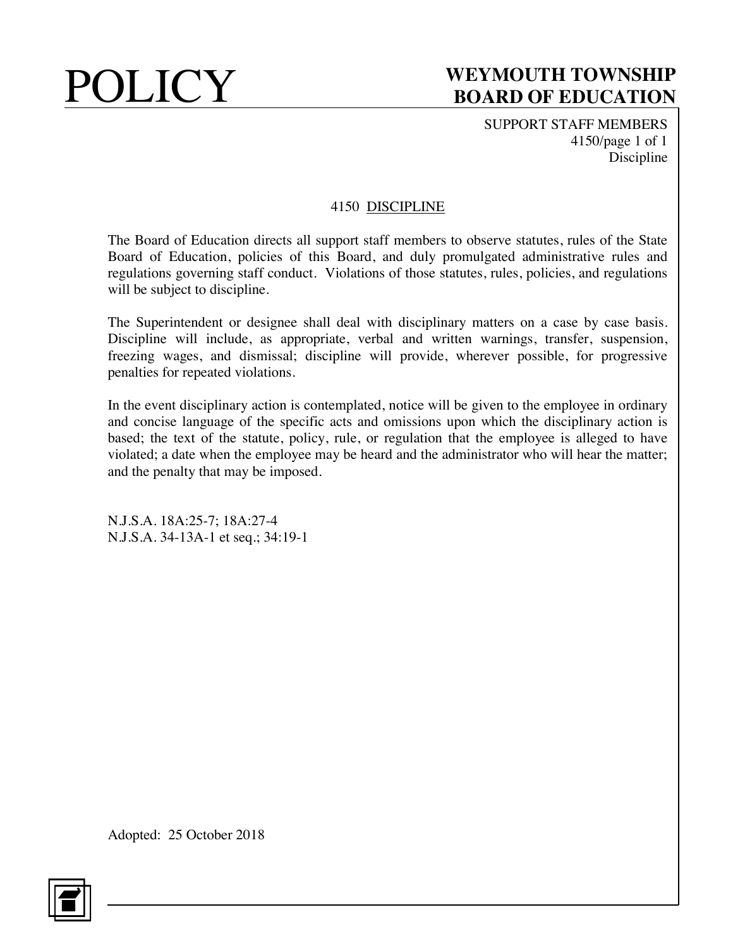SUPPORT STAFF MEMBERS 4150/page 1 of 1 Discipline

### 4150 DISCIPLINE

The Board of Education directs all support staff members to observe statutes, rules of the State Board of Education, policies of this Board, and duly promulgated administrative rules and regulations governing staff conduct. Violations of those statutes, rules, policies, and regulations will be subject to discipline.

The Superintendent or designee shall deal with disciplinary matters on a case by case basis. Discipline will include, as appropriate, verbal and written warnings, transfer, suspension, freezing wages, and dismissal; discipline will provide, wherever possible, for progressive penalties for repeated violations.

In the event disciplinary action is contemplated, notice will be given to the employee in ordinary and concise language of the specific acts and omissions upon which the disciplinary action is based; the text of the statute, policy, rule, or regulation that the employee is alleged to have violated; a date when the employee may be heard and the administrator who will hear the matter; and the penalty that may be imposed.

N.J.S.A. 18A:25-7; 18A:27-4 N.J.S.A. 34-13A-1 et seq.; 34:19-1

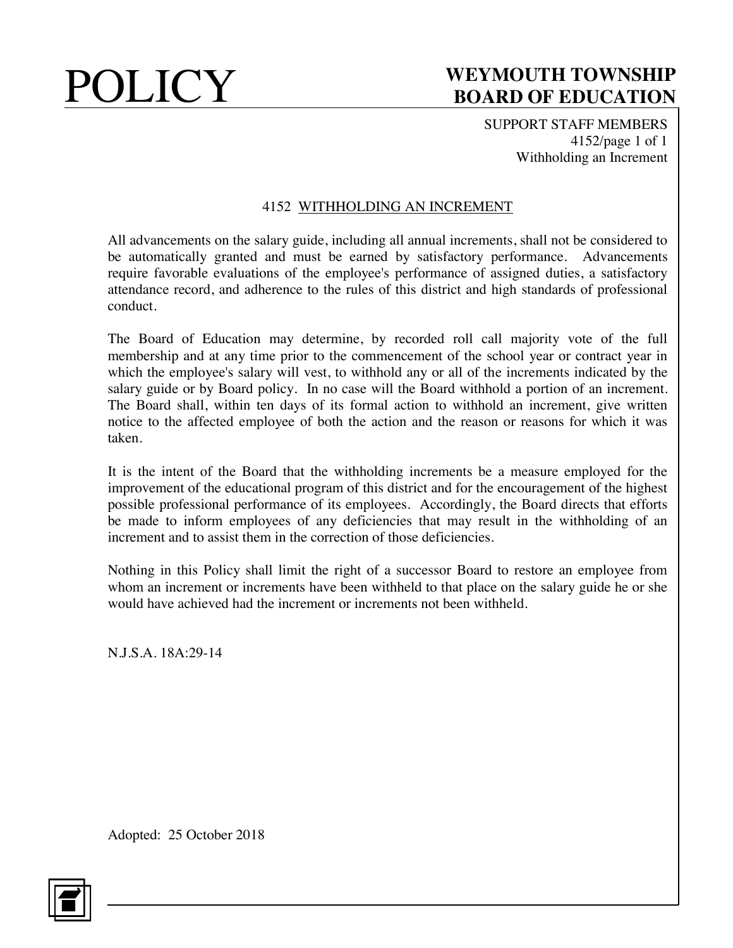SUPPORT STAFF MEMBERS 4152/page 1 of 1 Withholding an Increment

## 4152 WITHHOLDING AN INCREMENT

All advancements on the salary guide, including all annual increments, shall not be considered to be automatically granted and must be earned by satisfactory performance. Advancements require favorable evaluations of the employee's performance of assigned duties, a satisfactory attendance record, and adherence to the rules of this district and high standards of professional conduct.

The Board of Education may determine, by recorded roll call majority vote of the full membership and at any time prior to the commencement of the school year or contract year in which the employee's salary will vest, to withhold any or all of the increments indicated by the salary guide or by Board policy. In no case will the Board withhold a portion of an increment. The Board shall, within ten days of its formal action to withhold an increment, give written notice to the affected employee of both the action and the reason or reasons for which it was taken.

It is the intent of the Board that the withholding increments be a measure employed for the improvement of the educational program of this district and for the encouragement of the highest possible professional performance of its employees. Accordingly, the Board directs that efforts be made to inform employees of any deficiencies that may result in the withholding of an increment and to assist them in the correction of those deficiencies.

Nothing in this Policy shall limit the right of a successor Board to restore an employee from whom an increment or increments have been withheld to that place on the salary guide he or she would have achieved had the increment or increments not been withheld.

N.J.S.A. 18A:29-14

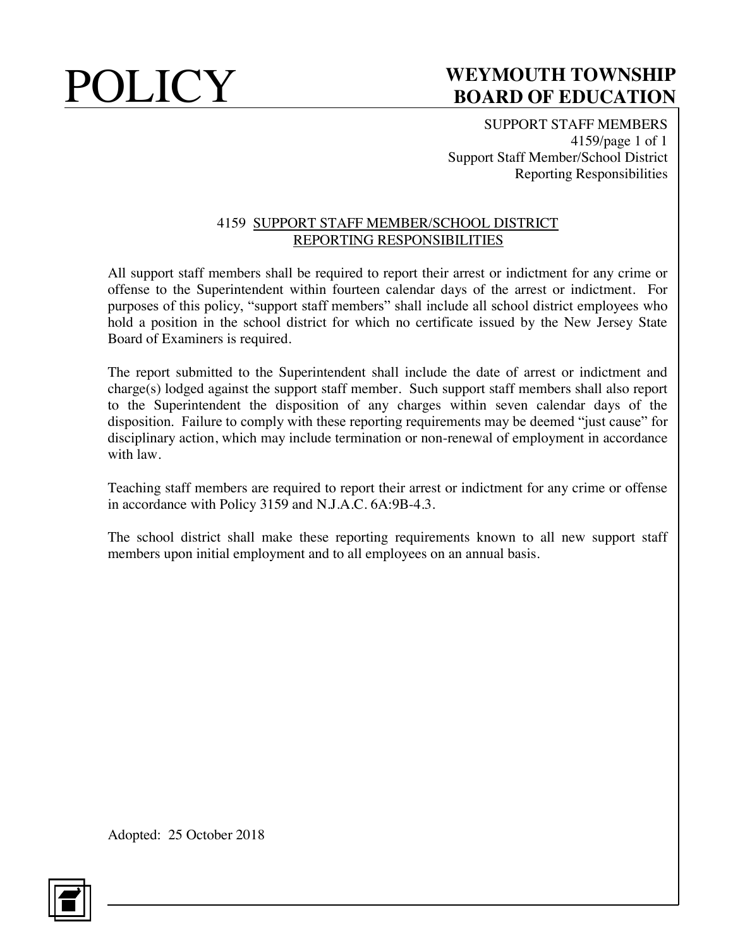SUPPORT STAFF MEMBERS 4159/page 1 of 1 Support Staff Member/School District Reporting Responsibilities

### 4159 SUPPORT STAFF MEMBER/SCHOOL DISTRICT REPORTING RESPONSIBILITIES

All support staff members shall be required to report their arrest or indictment for any crime or offense to the Superintendent within fourteen calendar days of the arrest or indictment. For purposes of this policy, "support staff members" shall include all school district employees who hold a position in the school district for which no certificate issued by the New Jersey State Board of Examiners is required.

The report submitted to the Superintendent shall include the date of arrest or indictment and charge(s) lodged against the support staff member. Such support staff members shall also report to the Superintendent the disposition of any charges within seven calendar days of the disposition. Failure to comply with these reporting requirements may be deemed "just cause" for disciplinary action, which may include termination or non-renewal of employment in accordance with law.

Teaching staff members are required to report their arrest or indictment for any crime or offense in accordance with Policy 3159 and N.J.A.C. 6A:9B-4.3.

The school district shall make these reporting requirements known to all new support staff members upon initial employment and to all employees on an annual basis.

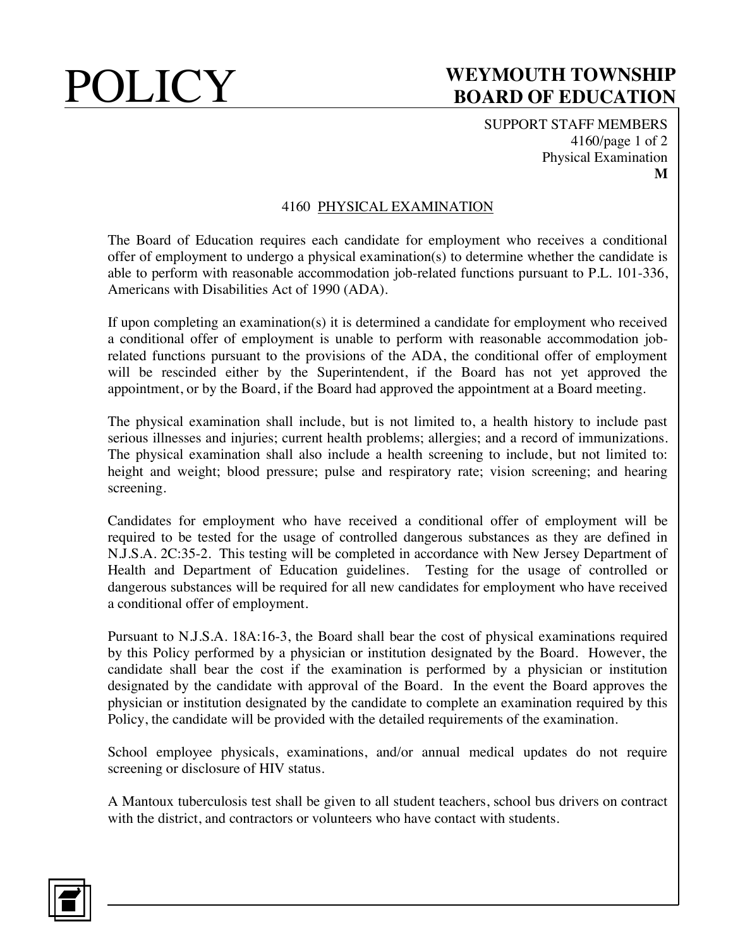SUPPORT STAFF MEMBERS 4160/page 1 of 2 Physical Examination **M**

### 4160 PHYSICAL EXAMINATION

The Board of Education requires each candidate for employment who receives a conditional offer of employment to undergo a physical examination(s) to determine whether the candidate is able to perform with reasonable accommodation job-related functions pursuant to P.L. 101-336, Americans with Disabilities Act of 1990 (ADA).

If upon completing an examination(s) it is determined a candidate for employment who received a conditional offer of employment is unable to perform with reasonable accommodation jobrelated functions pursuant to the provisions of the ADA, the conditional offer of employment will be rescinded either by the Superintendent, if the Board has not yet approved the appointment, or by the Board, if the Board had approved the appointment at a Board meeting.

The physical examination shall include, but is not limited to, a health history to include past serious illnesses and injuries; current health problems; allergies; and a record of immunizations. The physical examination shall also include a health screening to include, but not limited to: height and weight; blood pressure; pulse and respiratory rate; vision screening; and hearing screening.

Candidates for employment who have received a conditional offer of employment will be required to be tested for the usage of controlled dangerous substances as they are defined in N.J.S.A. 2C:35-2. This testing will be completed in accordance with New Jersey Department of Health and Department of Education guidelines. Testing for the usage of controlled or dangerous substances will be required for all new candidates for employment who have received a conditional offer of employment.

Pursuant to N.J.S.A. 18A:16-3, the Board shall bear the cost of physical examinations required by this Policy performed by a physician or institution designated by the Board. However, the candidate shall bear the cost if the examination is performed by a physician or institution designated by the candidate with approval of the Board. In the event the Board approves the physician or institution designated by the candidate to complete an examination required by this Policy, the candidate will be provided with the detailed requirements of the examination.

School employee physicals, examinations, and/or annual medical updates do not require screening or disclosure of HIV status.

A Mantoux tuberculosis test shall be given to all student teachers, school bus drivers on contract with the district, and contractors or volunteers who have contact with students.

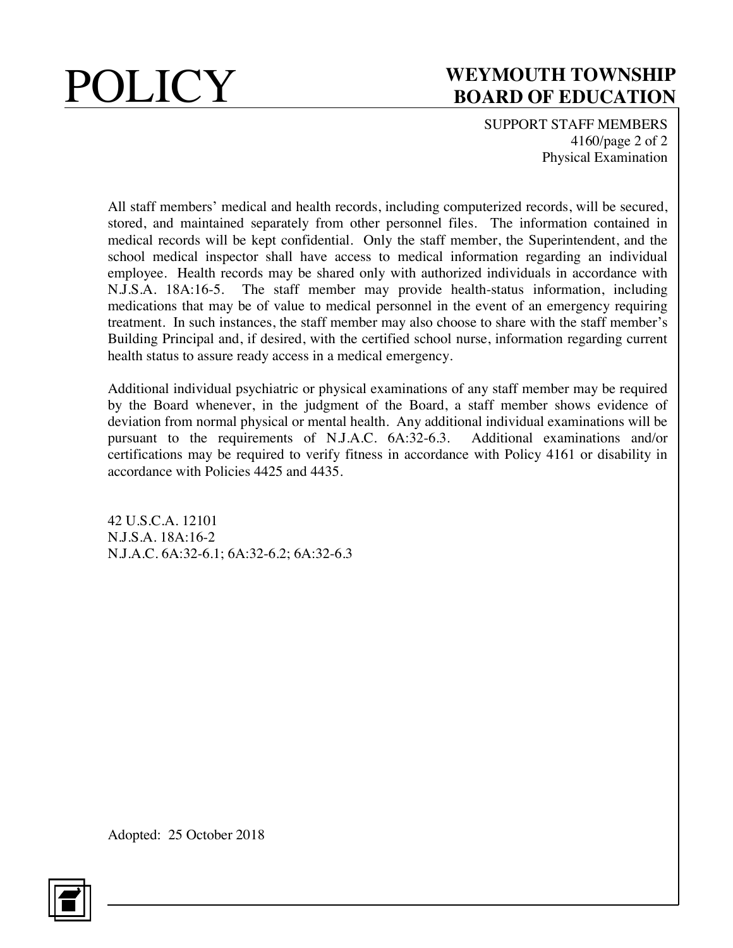

SUPPORT STAFF MEMBERS 4160/page 2 of 2 Physical Examination

All staff members' medical and health records, including computerized records, will be secured, stored, and maintained separately from other personnel files. The information contained in medical records will be kept confidential. Only the staff member, the Superintendent, and the school medical inspector shall have access to medical information regarding an individual employee. Health records may be shared only with authorized individuals in accordance with N.J.S.A. 18A:16-5. The staff member may provide health-status information, including medications that may be of value to medical personnel in the event of an emergency requiring treatment. In such instances, the staff member may also choose to share with the staff member's Building Principal and, if desired, with the certified school nurse, information regarding current health status to assure ready access in a medical emergency.

Additional individual psychiatric or physical examinations of any staff member may be required by the Board whenever, in the judgment of the Board, a staff member shows evidence of deviation from normal physical or mental health. Any additional individual examinations will be pursuant to the requirements of N.J.A.C. 6A:32-6.3. Additional examinations and/or certifications may be required to verify fitness in accordance with Policy 4161 or disability in accordance with Policies 4425 and 4435.

42 U.S.C.A. 12101 N.J.S.A. 18A:16-2 N.J.A.C. 6A:32-6.1; 6A:32-6.2; 6A:32-6.3

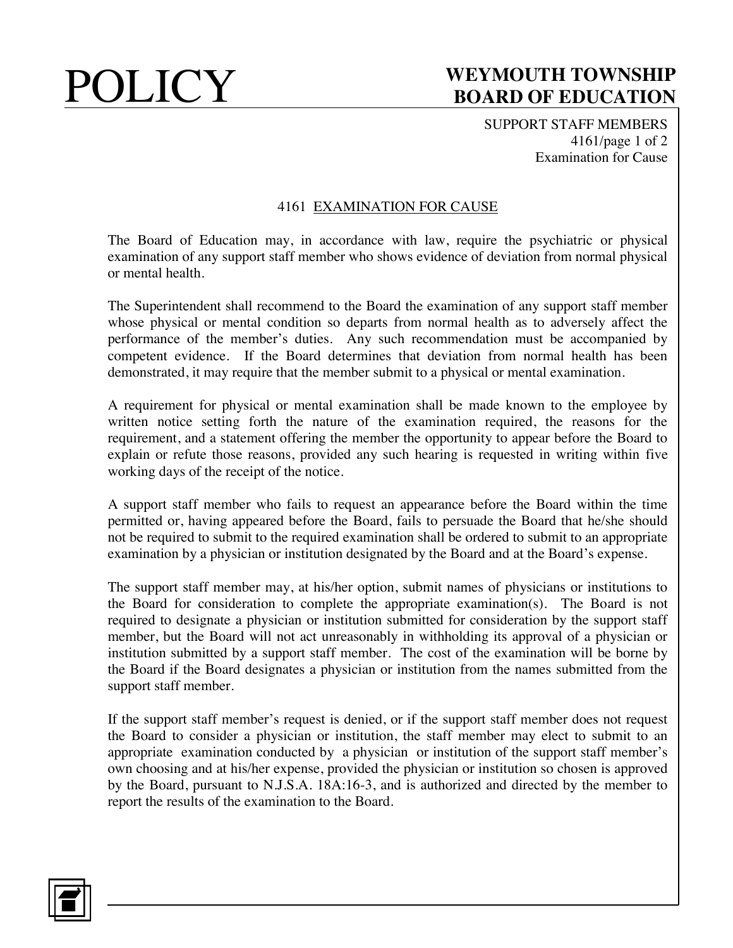SUPPORT STAFF MEMBERS 4161/page 1 of 2 Examination for Cause

### 4161 EXAMINATION FOR CAUSE

The Board of Education may, in accordance with law, require the psychiatric or physical examination of any support staff member who shows evidence of deviation from normal physical or mental health.

The Superintendent shall recommend to the Board the examination of any support staff member whose physical or mental condition so departs from normal health as to adversely affect the performance of the member's duties. Any such recommendation must be accompanied by competent evidence. If the Board determines that deviation from normal health has been demonstrated, it may require that the member submit to a physical or mental examination.

A requirement for physical or mental examination shall be made known to the employee by written notice setting forth the nature of the examination required, the reasons for the requirement, and a statement offering the member the opportunity to appear before the Board to explain or refute those reasons, provided any such hearing is requested in writing within five working days of the receipt of the notice.

A support staff member who fails to request an appearance before the Board within the time permitted or, having appeared before the Board, fails to persuade the Board that he/she should not be required to submit to the required examination shall be ordered to submit to an appropriate examination by a physician or institution designated by the Board and at the Board's expense.

The support staff member may, at his/her option, submit names of physicians or institutions to the Board for consideration to complete the appropriate examination(s). The Board is not required to designate a physician or institution submitted for consideration by the support staff member, but the Board will not act unreasonably in withholding its approval of a physician or institution submitted by a support staff member. The cost of the examination will be borne by the Board if the Board designates a physician or institution from the names submitted from the support staff member.

If the support staff member's request is denied, or if the support staff member does not request the Board to consider a physician or institution, the staff member may elect to submit to an appropriate examination conducted by a physician or institution of the support staff member's own choosing and at his/her expense, provided the physician or institution so chosen is approved by the Board, pursuant to N.J.S.A. 18A:16-3, and is authorized and directed by the member to report the results of the examination to the Board.

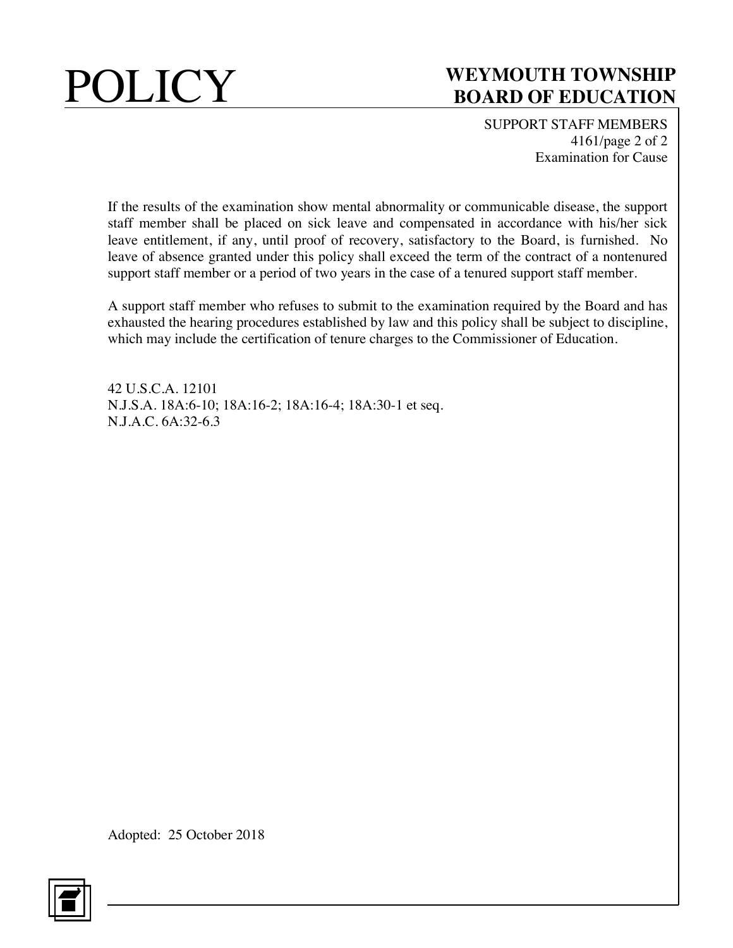

SUPPORT STAFF MEMBERS 4161/page 2 of 2 Examination for Cause

If the results of the examination show mental abnormality or communicable disease, the support staff member shall be placed on sick leave and compensated in accordance with his/her sick leave entitlement, if any, until proof of recovery, satisfactory to the Board, is furnished. No leave of absence granted under this policy shall exceed the term of the contract of a nontenured support staff member or a period of two years in the case of a tenured support staff member.

A support staff member who refuses to submit to the examination required by the Board and has exhausted the hearing procedures established by law and this policy shall be subject to discipline, which may include the certification of tenure charges to the Commissioner of Education.

42 U.S.C.A. 12101 N.J.S.A. 18A:6-10; 18A:16-2; 18A:16-4; 18A:30-1 et seq. N.J.A.C. 6A:32-6.3

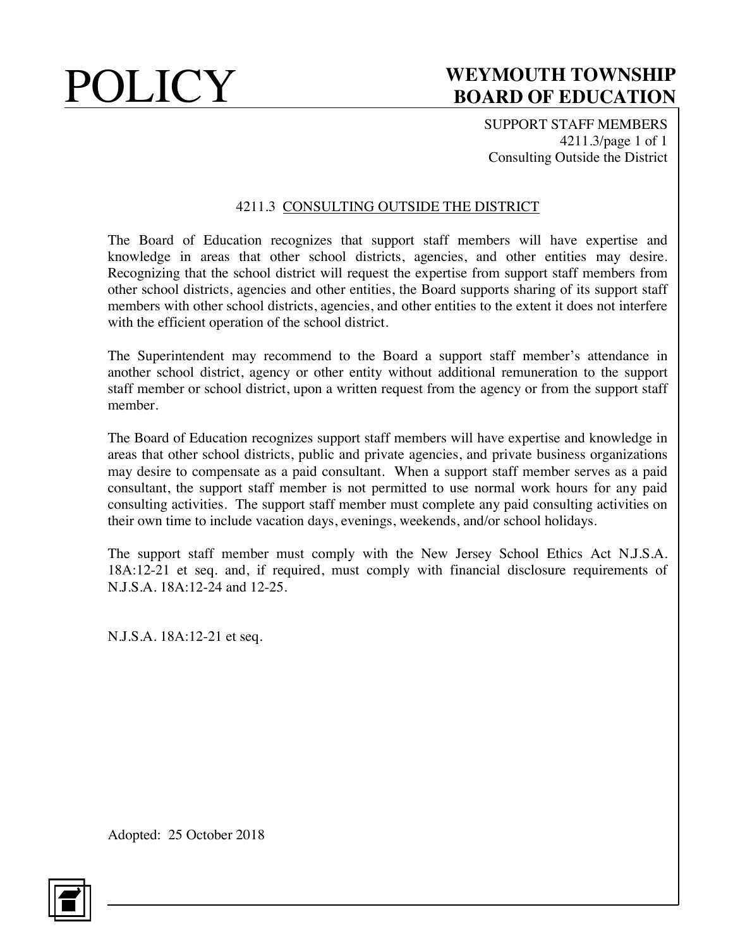SUPPORT STAFF MEMBERS 4211.3/page 1 of 1 Consulting Outside the District

### 4211.3 CONSULTING OUTSIDE THE DISTRICT

The Board of Education recognizes that support staff members will have expertise and knowledge in areas that other school districts, agencies, and other entities may desire. Recognizing that the school district will request the expertise from support staff members from other school districts, agencies and other entities, the Board supports sharing of its support staff members with other school districts, agencies, and other entities to the extent it does not interfere with the efficient operation of the school district.

The Superintendent may recommend to the Board a support staff member's attendance in another school district, agency or other entity without additional remuneration to the support staff member or school district, upon a written request from the agency or from the support staff member.

The Board of Education recognizes support staff members will have expertise and knowledge in areas that other school districts, public and private agencies, and private business organizations may desire to compensate as a paid consultant. When a support staff member serves as a paid consultant, the support staff member is not permitted to use normal work hours for any paid consulting activities. The support staff member must complete any paid consulting activities on their own time to include vacation days, evenings, weekends, and/or school holidays.

The support staff member must comply with the New Jersey School Ethics Act N.J.S.A. 18A:12-21 et seq. and, if required, must comply with financial disclosure requirements of N.J.S.A. 18A:12-24 and 12-25.

N.J.S.A. 18A:12-21 et seq.

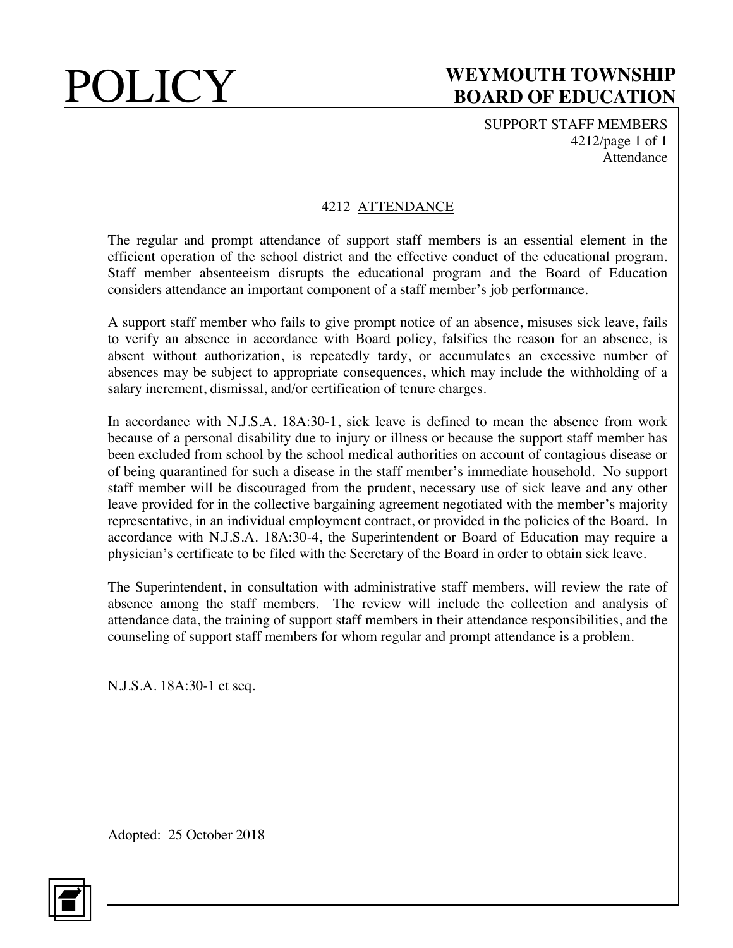SUPPORT STAFF MEMBERS 4212/page 1 of 1 Attendance

## 4212 ATTENDANCE

The regular and prompt attendance of support staff members is an essential element in the efficient operation of the school district and the effective conduct of the educational program. Staff member absenteeism disrupts the educational program and the Board of Education considers attendance an important component of a staff member's job performance.

A support staff member who fails to give prompt notice of an absence, misuses sick leave, fails to verify an absence in accordance with Board policy, falsifies the reason for an absence, is absent without authorization, is repeatedly tardy, or accumulates an excessive number of absences may be subject to appropriate consequences, which may include the withholding of a salary increment, dismissal, and/or certification of tenure charges.

In accordance with N.J.S.A. 18A:30-1, sick leave is defined to mean the absence from work because of a personal disability due to injury or illness or because the support staff member has been excluded from school by the school medical authorities on account of contagious disease or of being quarantined for such a disease in the staff member's immediate household. No support staff member will be discouraged from the prudent, necessary use of sick leave and any other leave provided for in the collective bargaining agreement negotiated with the member's majority representative, in an individual employment contract, or provided in the policies of the Board. In accordance with N.J.S.A. 18A:30-4, the Superintendent or Board of Education may require a physician's certificate to be filed with the Secretary of the Board in order to obtain sick leave.

The Superintendent, in consultation with administrative staff members, will review the rate of absence among the staff members. The review will include the collection and analysis of attendance data, the training of support staff members in their attendance responsibilities, and the counseling of support staff members for whom regular and prompt attendance is a problem.

N.J.S.A. 18A:30-1 et seq.

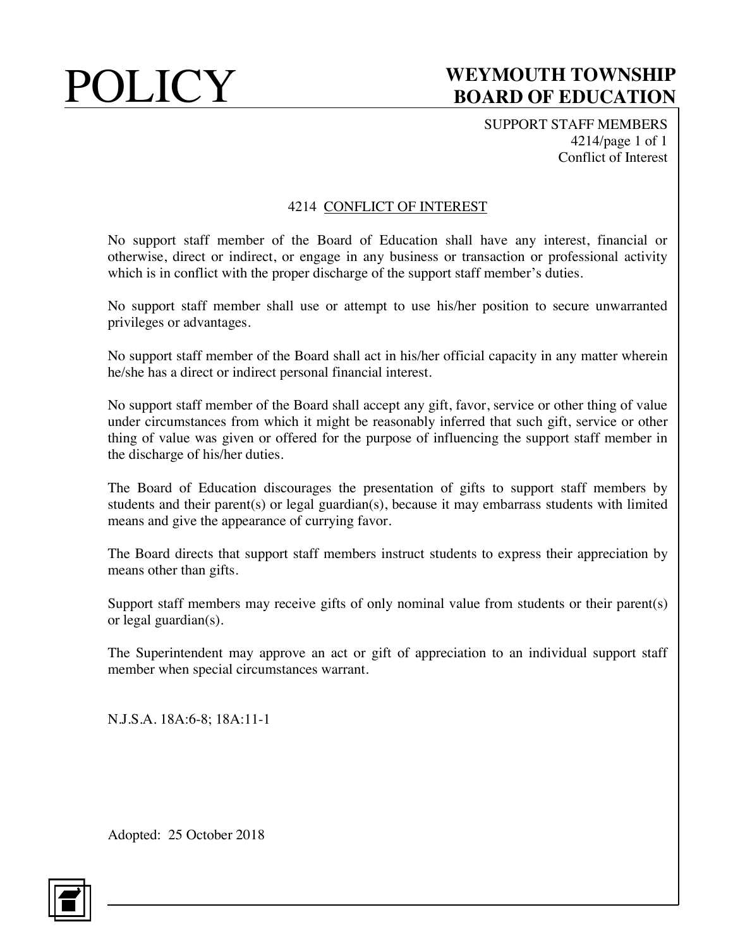SUPPORT STAFF MEMBERS 4214/page 1 of 1 Conflict of Interest

### 4214 CONFLICT OF INTEREST

No support staff member of the Board of Education shall have any interest, financial or otherwise, direct or indirect, or engage in any business or transaction or professional activity which is in conflict with the proper discharge of the support staff member's duties.

No support staff member shall use or attempt to use his/her position to secure unwarranted privileges or advantages.

No support staff member of the Board shall act in his/her official capacity in any matter wherein he/she has a direct or indirect personal financial interest.

No support staff member of the Board shall accept any gift, favor, service or other thing of value under circumstances from which it might be reasonably inferred that such gift, service or other thing of value was given or offered for the purpose of influencing the support staff member in the discharge of his/her duties.

The Board of Education discourages the presentation of gifts to support staff members by students and their parent(s) or legal guardian(s), because it may embarrass students with limited means and give the appearance of currying favor.

The Board directs that support staff members instruct students to express their appreciation by means other than gifts.

Support staff members may receive gifts of only nominal value from students or their parent(s) or legal guardian(s).

The Superintendent may approve an act or gift of appreciation to an individual support staff member when special circumstances warrant.

N.J.S.A. 18A:6-8; 18A:11-1

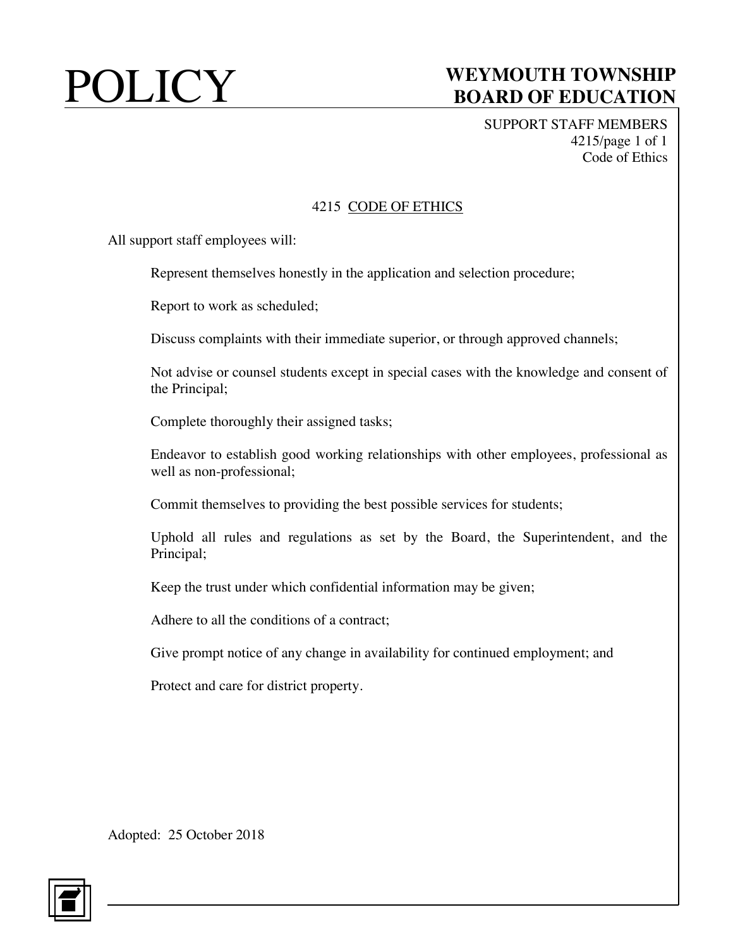SUPPORT STAFF MEMBERS 4215/page 1 of 1 Code of Ethics

### 4215 CODE OF ETHICS

All support staff employees will:

Represent themselves honestly in the application and selection procedure;

Report to work as scheduled;

Discuss complaints with their immediate superior, or through approved channels;

Not advise or counsel students except in special cases with the knowledge and consent of the Principal;

Complete thoroughly their assigned tasks;

Endeavor to establish good working relationships with other employees, professional as well as non-professional;

Commit themselves to providing the best possible services for students;

Uphold all rules and regulations as set by the Board, the Superintendent, and the Principal;

Keep the trust under which confidential information may be given;

Adhere to all the conditions of a contract;

Give prompt notice of any change in availability for continued employment; and

Protect and care for district property.

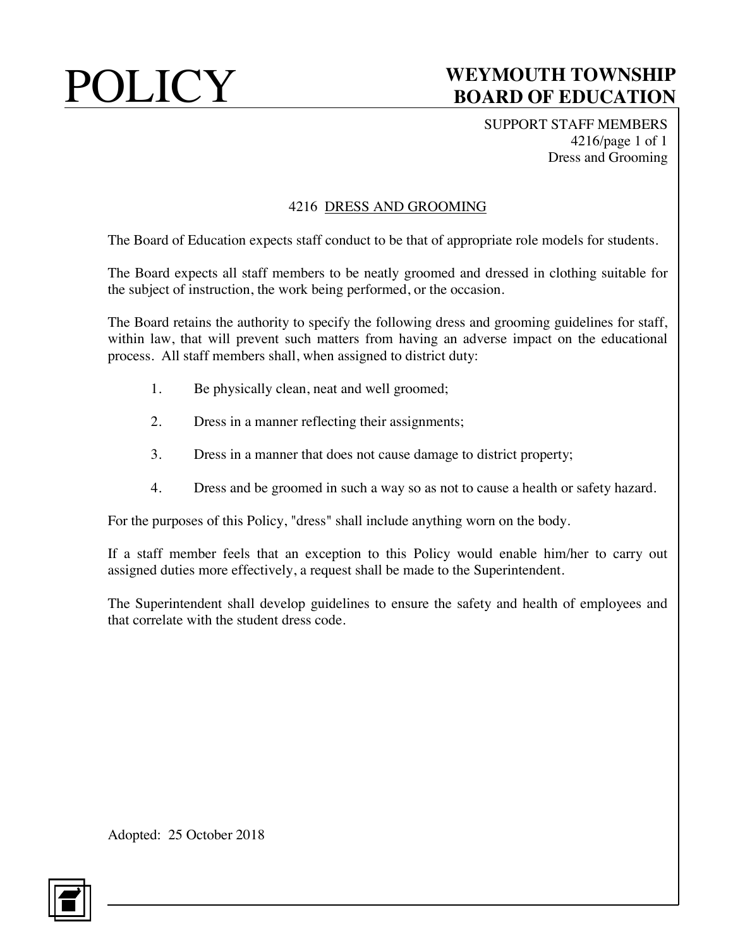SUPPORT STAFF MEMBERS 4216/page 1 of 1 Dress and Grooming

### 4216 DRESS AND GROOMING

The Board of Education expects staff conduct to be that of appropriate role models for students.

The Board expects all staff members to be neatly groomed and dressed in clothing suitable for the subject of instruction, the work being performed, or the occasion.

The Board retains the authority to specify the following dress and grooming guidelines for staff, within law, that will prevent such matters from having an adverse impact on the educational process. All staff members shall, when assigned to district duty:

- 1. Be physically clean, neat and well groomed;
- 2. Dress in a manner reflecting their assignments;
- 3. Dress in a manner that does not cause damage to district property;
- 4. Dress and be groomed in such a way so as not to cause a health or safety hazard.

For the purposes of this Policy, "dress" shall include anything worn on the body.

If a staff member feels that an exception to this Policy would enable him/her to carry out assigned duties more effectively, a request shall be made to the Superintendent.

The Superintendent shall develop guidelines to ensure the safety and health of employees and that correlate with the student dress code.

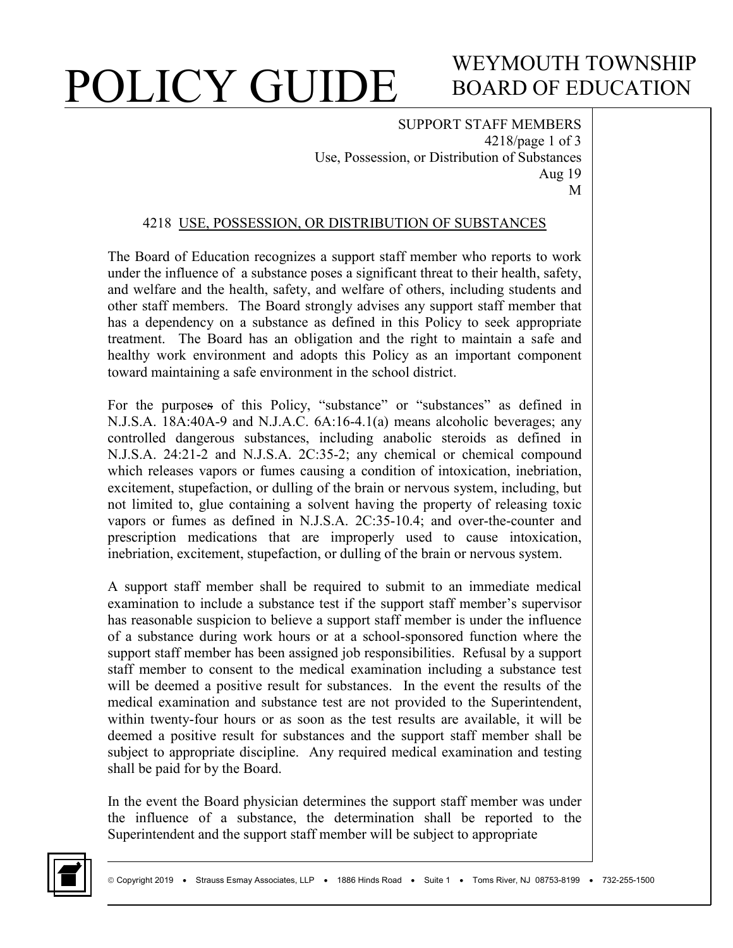# WEYMOUTH TOWNSHIP BOARD OF EDUCATION

SUPPORT STAFF MEMBERS 4218/page 1 of 3 Use, Possession, or Distribution of Substances Aug 19 M

### 4218 USE, POSSESSION, OR DISTRIBUTION OF SUBSTANCES

The Board of Education recognizes a support staff member who reports to work under the influence of a substance poses a significant threat to their health, safety, and welfare and the health, safety, and welfare of others, including students and other staff members. The Board strongly advises any support staff member that has a dependency on a substance as defined in this Policy to seek appropriate treatment. The Board has an obligation and the right to maintain a safe and healthy work environment and adopts this Policy as an important component toward maintaining a safe environment in the school district.

For the purposes of this Policy, "substance" or "substances" as defined in N.J.S.A. 18A:40A-9 and N.J.A.C. 6A:16-4.1(a) means alcoholic beverages; any controlled dangerous substances, including anabolic steroids as defined in N.J.S.A. 24:21-2 and N.J.S.A. 2C:35-2; any chemical or chemical compound which releases vapors or fumes causing a condition of intoxication, inebriation, excitement, stupefaction, or dulling of the brain or nervous system, including, but not limited to, glue containing a solvent having the property of releasing toxic vapors or fumes as defined in N.J.S.A. 2C:35-10.4; and over-the-counter and prescription medications that are improperly used to cause intoxication, inebriation, excitement, stupefaction, or dulling of the brain or nervous system.

A support staff member shall be required to submit to an immediate medical examination to include a substance test if the support staff member's supervisor has reasonable suspicion to believe a support staff member is under the influence of a substance during work hours or at a school-sponsored function where the support staff member has been assigned job responsibilities. Refusal by a support staff member to consent to the medical examination including a substance test will be deemed a positive result for substances. In the event the results of the medical examination and substance test are not provided to the Superintendent, within twenty-four hours or as soon as the test results are available, it will be deemed a positive result for substances and the support staff member shall be subject to appropriate discipline. Any required medical examination and testing shall be paid for by the Board.

In the event the Board physician determines the support staff member was under the influence of a substance, the determination shall be reported to the Superintendent and the support staff member will be subject to appropriate

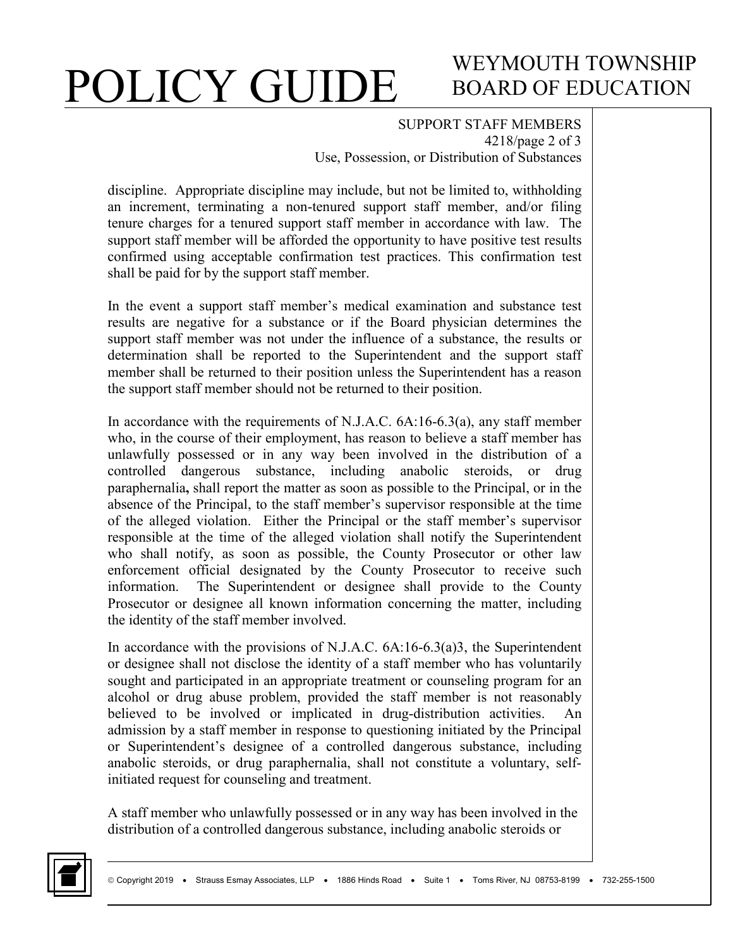# WEYMOUTH TOWNSHIP BOARD OF EDUCATION

#### SUPPORT STAFF MEMBERS 4218/page 2 of 3 Use, Possession, or Distribution of Substances

discipline. Appropriate discipline may include, but not be limited to, withholding an increment, terminating a non-tenured support staff member, and/or filing tenure charges for a tenured support staff member in accordance with law. The support staff member will be afforded the opportunity to have positive test results confirmed using acceptable confirmation test practices. This confirmation test shall be paid for by the support staff member.

In the event a support staff member's medical examination and substance test results are negative for a substance or if the Board physician determines the support staff member was not under the influence of a substance, the results or determination shall be reported to the Superintendent and the support staff member shall be returned to their position unless the Superintendent has a reason the support staff member should not be returned to their position.

In accordance with the requirements of N.J.A.C. 6A:16-6.3(a), any staff member who, in the course of their employment, has reason to believe a staff member has unlawfully possessed or in any way been involved in the distribution of a controlled dangerous substance, including anabolic steroids, or drug paraphernalia**,** shall report the matter as soon as possible to the Principal, or in the absence of the Principal, to the staff member's supervisor responsible at the time of the alleged violation. Either the Principal or the staff member's supervisor responsible at the time of the alleged violation shall notify the Superintendent who shall notify, as soon as possible, the County Prosecutor or other law enforcement official designated by the County Prosecutor to receive such information. The Superintendent or designee shall provide to the County Prosecutor or designee all known information concerning the matter, including the identity of the staff member involved.

In accordance with the provisions of N.J.A.C. 6A:16-6.3(a)3, the Superintendent or designee shall not disclose the identity of a staff member who has voluntarily sought and participated in an appropriate treatment or counseling program for an alcohol or drug abuse problem, provided the staff member is not reasonably believed to be involved or implicated in drug-distribution activities. An admission by a staff member in response to questioning initiated by the Principal or Superintendent's designee of a controlled dangerous substance, including anabolic steroids, or drug paraphernalia, shall not constitute a voluntary, selfinitiated request for counseling and treatment.

A staff member who unlawfully possessed or in any way has been involved in the distribution of a controlled dangerous substance, including anabolic steroids or

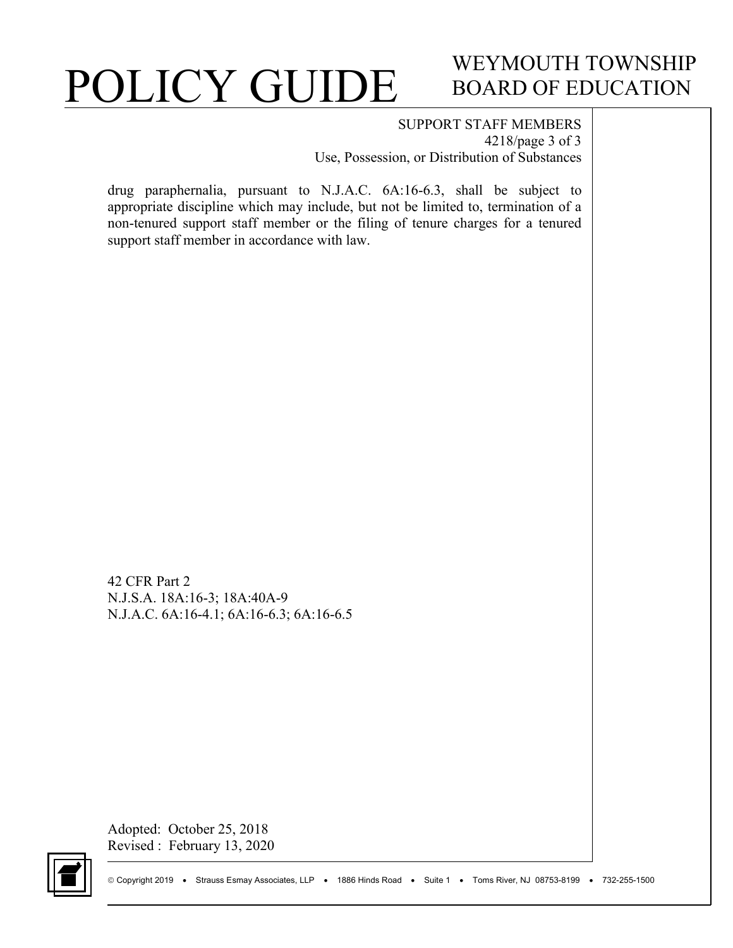# WEYMOUTH TOWNSHIP BOARD OF EDUCATION

#### SUPPORT STAFF MEMBERS 4218/page 3 of 3 Use, Possession, or Distribution of Substances

drug paraphernalia, pursuant to N.J.A.C. 6A:16-6.3, shall be subject to appropriate discipline which may include, but not be limited to, termination of a non-tenured support staff member or the filing of tenure charges for a tenured support staff member in accordance with law.

42 CFR Part 2 N.J.S.A. 18A:16-3; 18A:40A-9 N.J.A.C. 6A:16-4.1; 6A:16-6.3; 6A:16-6.5

Adopted: October 25, 2018 Revised : February 13, 2020

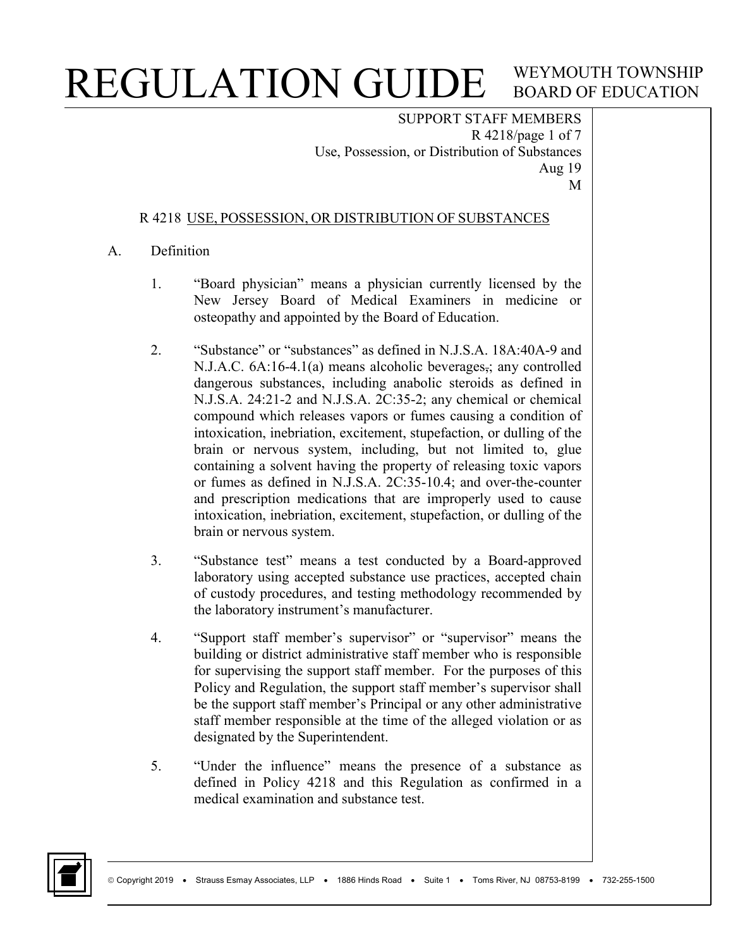SUPPORT STAFF MEMBERS R 4218/page 1 of 7 Use, Possession, or Distribution of Substances Aug 19 M

### R 4218 USE, POSSESSION, OR DISTRIBUTION OF SUBSTANCES

### A. Definition

- 1. "Board physician" means a physician currently licensed by the New Jersey Board of Medical Examiners in medicine or osteopathy and appointed by the Board of Education.
- 2. "Substance" or "substances" as defined in N.J.S.A. 18A:40A-9 and N.J.A.C. 6A:16-4.1(a) means alcoholic beverages, any controlled dangerous substances, including anabolic steroids as defined in N.J.S.A. 24:21-2 and N.J.S.A. 2C:35-2; any chemical or chemical compound which releases vapors or fumes causing a condition of intoxication, inebriation, excitement, stupefaction, or dulling of the brain or nervous system, including, but not limited to, glue containing a solvent having the property of releasing toxic vapors or fumes as defined in N.J.S.A. 2C:35-10.4; and over-the-counter and prescription medications that are improperly used to cause intoxication, inebriation, excitement, stupefaction, or dulling of the brain or nervous system.
- 3. "Substance test" means a test conducted by a Board-approved laboratory using accepted substance use practices, accepted chain of custody procedures, and testing methodology recommended by the laboratory instrument's manufacturer.
- 4. "Support staff member's supervisor" or "supervisor" means the building or district administrative staff member who is responsible for supervising the support staff member. For the purposes of this Policy and Regulation, the support staff member's supervisor shall be the support staff member's Principal or any other administrative staff member responsible at the time of the alleged violation or as designated by the Superintendent.
- 5. "Under the influence" means the presence of a substance as defined in Policy 4218 and this Regulation as confirmed in a medical examination and substance test.

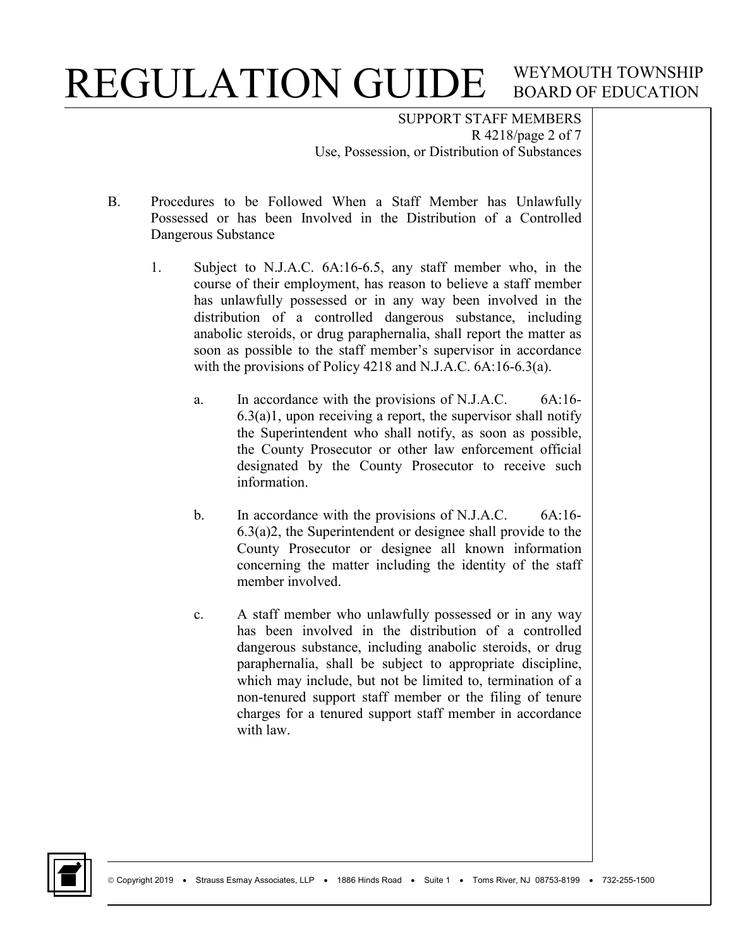SUPPORT STAFF MEMBERS R 4218/page 2 of 7 Use, Possession, or Distribution of Substances

- B. Procedures to be Followed When a Staff Member has Unlawfully Possessed or has been Involved in the Distribution of a Controlled Dangerous Substance
	- 1. Subject to N.J.A.C. 6A:16-6.5, any staff member who, in the course of their employment, has reason to believe a staff member has unlawfully possessed or in any way been involved in the distribution of a controlled dangerous substance, including anabolic steroids, or drug paraphernalia, shall report the matter as soon as possible to the staff member's supervisor in accordance with the provisions of Policy 4218 and N.J.A.C. 6A:16-6.3(a).
		- a. In accordance with the provisions of N.J.A.C. 6A:16-  $6.3(a)1$ , upon receiving a report, the supervisor shall notify the Superintendent who shall notify, as soon as possible, the County Prosecutor or other law enforcement official designated by the County Prosecutor to receive such information.
		- b. In accordance with the provisions of N.J.A.C. 6A:16-6.3(a)2, the Superintendent or designee shall provide to the County Prosecutor or designee all known information concerning the matter including the identity of the staff member involved.
		- c. A staff member who unlawfully possessed or in any way has been involved in the distribution of a controlled dangerous substance, including anabolic steroids, or drug paraphernalia, shall be subject to appropriate discipline, which may include, but not be limited to, termination of a non-tenured support staff member or the filing of tenure charges for a tenured support staff member in accordance with law.

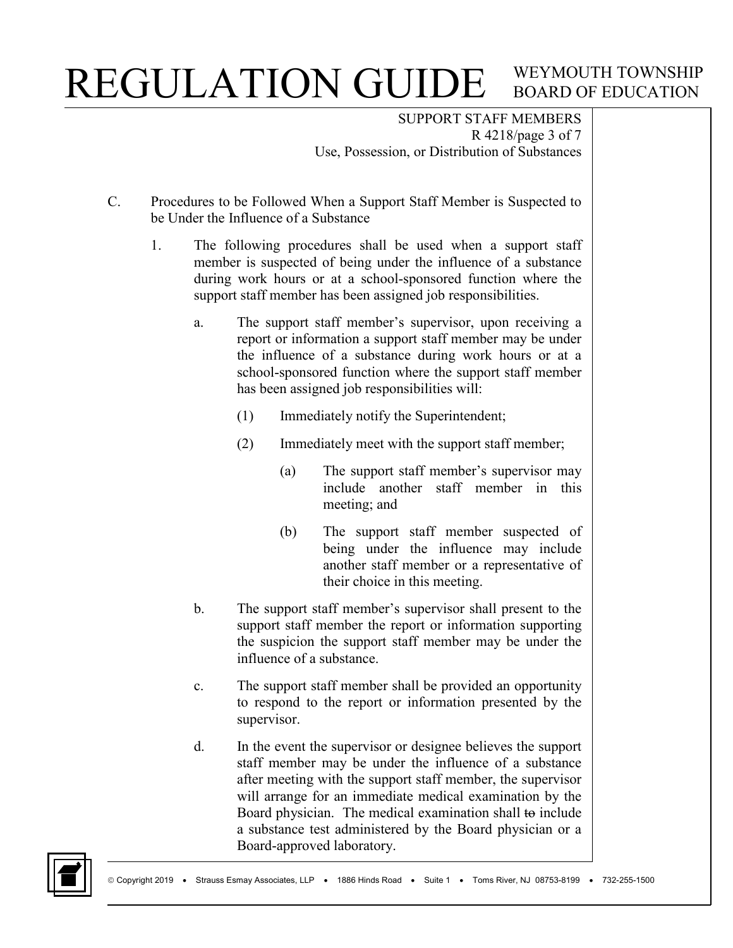SUPPORT STAFF MEMBERS R 4218/page 3 of 7 Use, Possession, or Distribution of Substances

- C. Procedures to be Followed When a Support Staff Member is Suspected to be Under the Influence of a Substance
	- 1. The following procedures shall be used when a support staff member is suspected of being under the influence of a substance during work hours or at a school-sponsored function where the support staff member has been assigned job responsibilities.
		- a. The support staff member's supervisor, upon receiving a report or information a support staff member may be under the influence of a substance during work hours or at a school-sponsored function where the support staff member has been assigned job responsibilities will:
			- (1) Immediately notify the Superintendent;
			- (2) Immediately meet with the support staff member;
				- (a) The support staff member's supervisor may include another staff member in this meeting; and
				- (b) The support staff member suspected of being under the influence may include another staff member or a representative of their choice in this meeting.
		- b. The support staff member's supervisor shall present to the support staff member the report or information supporting the suspicion the support staff member may be under the influence of a substance.
		- c. The support staff member shall be provided an opportunity to respond to the report or information presented by the supervisor.
		- d. In the event the supervisor or designee believes the support staff member may be under the influence of a substance after meeting with the support staff member, the supervisor will arrange for an immediate medical examination by the Board physician. The medical examination shall to include a substance test administered by the Board physician or a Board-approved laboratory.

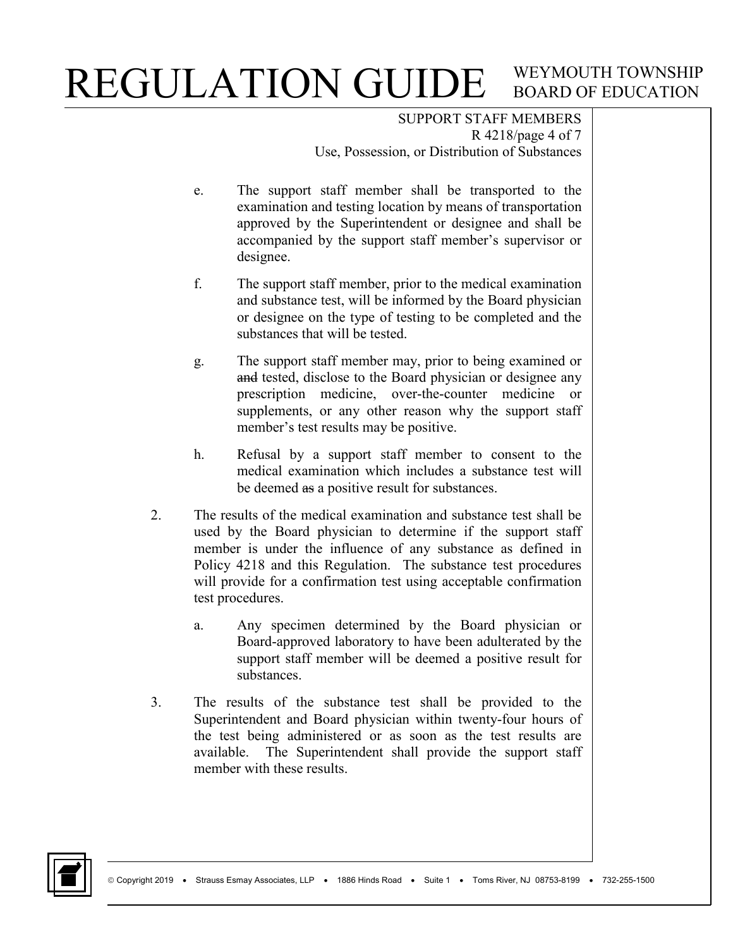SUPPORT STAFF MEMBERS R 4218/page 4 of 7 Use, Possession, or Distribution of Substances

- e. The support staff member shall be transported to the examination and testing location by means of transportation approved by the Superintendent or designee and shall be accompanied by the support staff member's supervisor or designee.
- f. The support staff member, prior to the medical examination and substance test, will be informed by the Board physician or designee on the type of testing to be completed and the substances that will be tested.
- g. The support staff member may, prior to being examined or and tested, disclose to the Board physician or designee any prescription medicine, over-the-counter medicine or supplements, or any other reason why the support staff member's test results may be positive.
- h. Refusal by a support staff member to consent to the medical examination which includes a substance test will be deemed as a positive result for substances.
- 2. The results of the medical examination and substance test shall be used by the Board physician to determine if the support staff member is under the influence of any substance as defined in Policy 4218 and this Regulation. The substance test procedures will provide for a confirmation test using acceptable confirmation test procedures.
	- a. Any specimen determined by the Board physician or Board-approved laboratory to have been adulterated by the support staff member will be deemed a positive result for substances.
- 3. The results of the substance test shall be provided to the Superintendent and Board physician within twenty-four hours of the test being administered or as soon as the test results are available. The Superintendent shall provide the support staff member with these results.

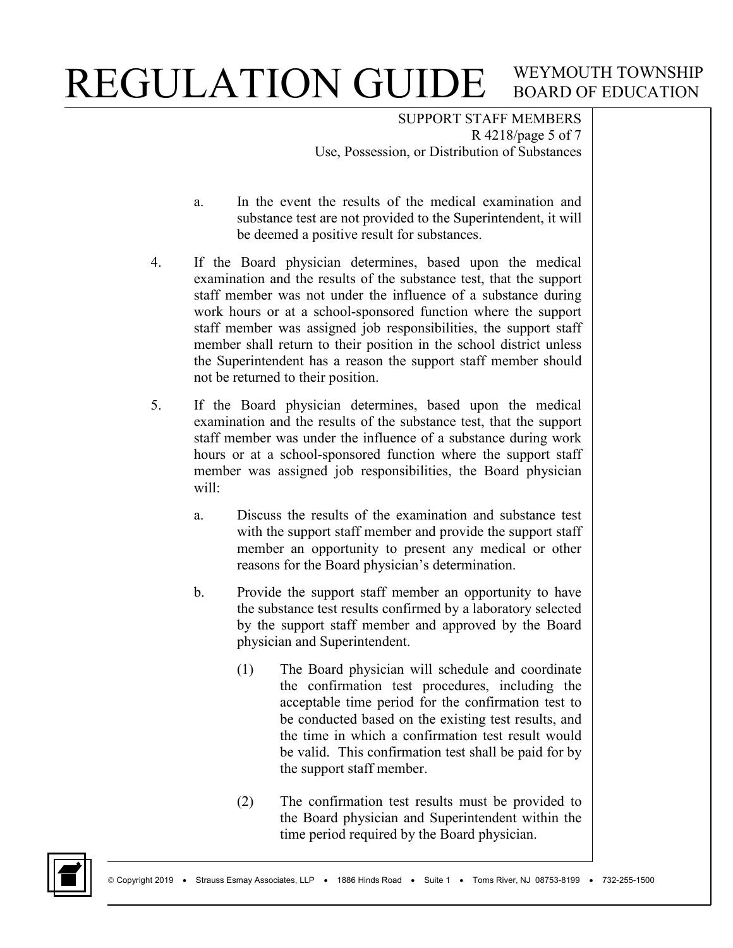SUPPORT STAFF MEMBERS R 4218/page 5 of 7 Use, Possession, or Distribution of Substances

- a. In the event the results of the medical examination and substance test are not provided to the Superintendent, it will be deemed a positive result for substances.
- 4. If the Board physician determines, based upon the medical examination and the results of the substance test, that the support staff member was not under the influence of a substance during work hours or at a school-sponsored function where the support staff member was assigned job responsibilities, the support staff member shall return to their position in the school district unless the Superintendent has a reason the support staff member should not be returned to their position.
- 5. If the Board physician determines, based upon the medical examination and the results of the substance test, that the support staff member was under the influence of a substance during work hours or at a school-sponsored function where the support staff member was assigned job responsibilities, the Board physician will:
	- a. Discuss the results of the examination and substance test with the support staff member and provide the support staff member an opportunity to present any medical or other reasons for the Board physician's determination.
	- b. Provide the support staff member an opportunity to have the substance test results confirmed by a laboratory selected by the support staff member and approved by the Board physician and Superintendent.
		- (1) The Board physician will schedule and coordinate the confirmation test procedures, including the acceptable time period for the confirmation test to be conducted based on the existing test results, and the time in which a confirmation test result would be valid. This confirmation test shall be paid for by the support staff member.
		- (2) The confirmation test results must be provided to the Board physician and Superintendent within the time period required by the Board physician.

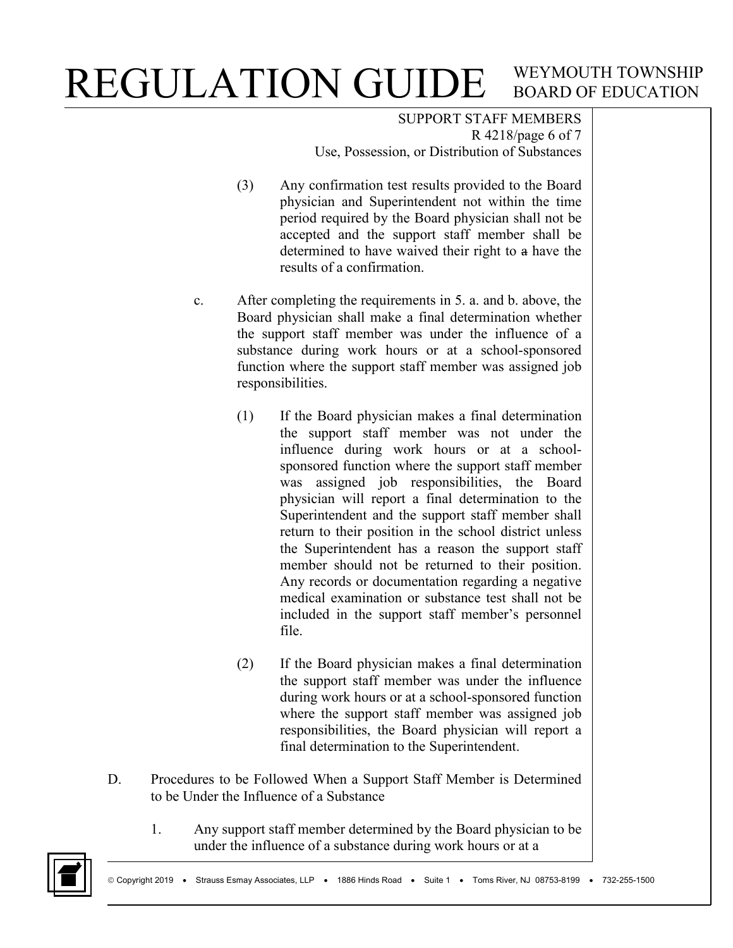SUPPORT STAFF MEMBERS R 4218/page 6 of 7 Use, Possession, or Distribution of Substances

- (3) Any confirmation test results provided to the Board physician and Superintendent not within the time period required by the Board physician shall not be accepted and the support staff member shall be determined to have waived their right to a have the results of a confirmation.
- c. After completing the requirements in 5. a. and b. above, the Board physician shall make a final determination whether the support staff member was under the influence of a substance during work hours or at a school-sponsored function where the support staff member was assigned job responsibilities.
	- (1) If the Board physician makes a final determination the support staff member was not under the influence during work hours or at a schoolsponsored function where the support staff member was assigned job responsibilities, the Board physician will report a final determination to the Superintendent and the support staff member shall return to their position in the school district unless the Superintendent has a reason the support staff member should not be returned to their position. Any records or documentation regarding a negative medical examination or substance test shall not be included in the support staff member's personnel file.
	- (2) If the Board physician makes a final determination the support staff member was under the influence during work hours or at a school-sponsored function where the support staff member was assigned job responsibilities, the Board physician will report a final determination to the Superintendent.
- D. Procedures to be Followed When a Support Staff Member is Determined to be Under the Influence of a Substance
	- 1. Any support staff member determined by the Board physician to be under the influence of a substance during work hours or at a

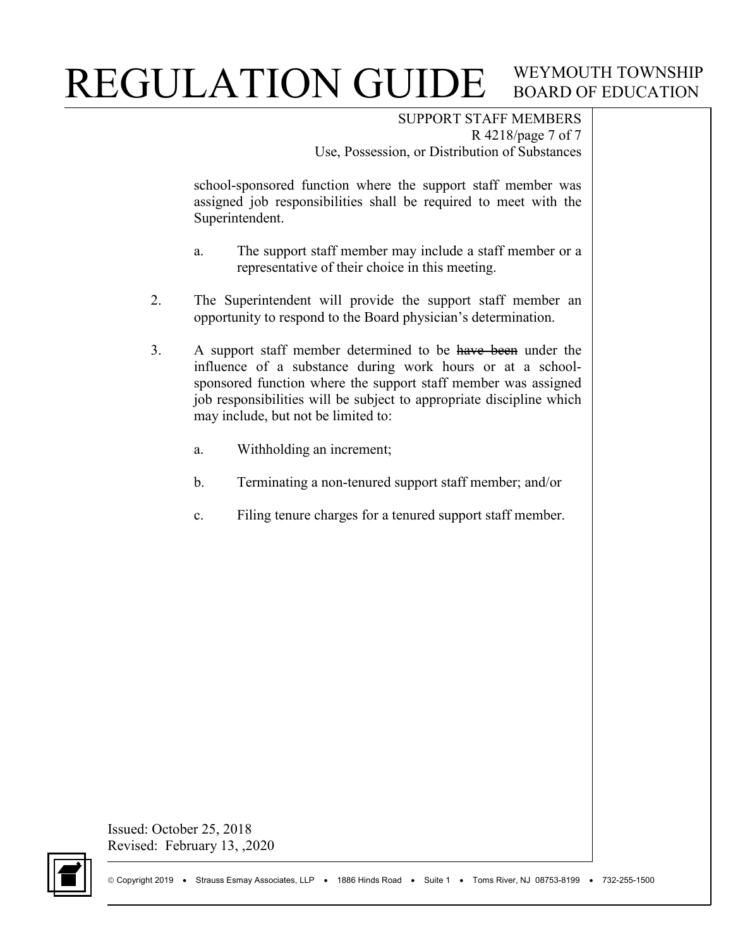SUPPORT STAFF MEMBERS R 4218/page 7 of 7 Use, Possession, or Distribution of Substances

school-sponsored function where the support staff member was assigned job responsibilities shall be required to meet with the Superintendent.

- a. The support staff member may include a staff member or a representative of their choice in this meeting.
- 2. The Superintendent will provide the support staff member an opportunity to respond to the Board physician's determination.
- 3. A support staff member determined to be have been under the influence of a substance during work hours or at a schoolsponsored function where the support staff member was assigned job responsibilities will be subject to appropriate discipline which may include, but not be limited to:
	- a. Withholding an increment;
	- b. Terminating a non-tenured support staff member; and/or
	- c. Filing tenure charges for a tenured support staff member.

Issued: October 25, 2018 Revised: February 13, ,2020

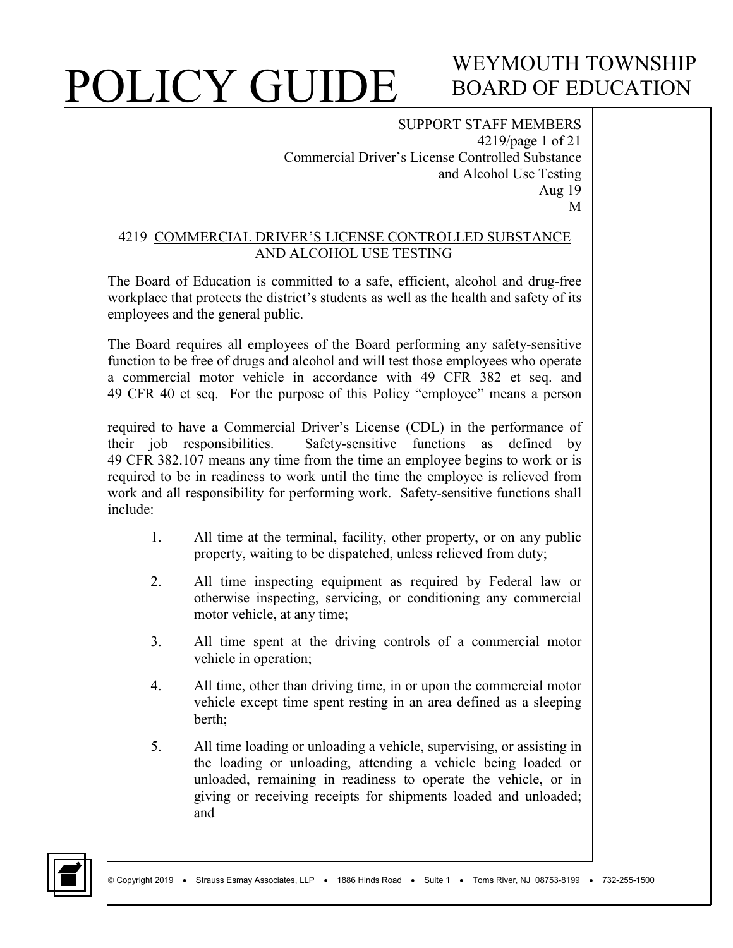### WEYMOUTH TOWNSHIP BOARD OF EDUCATION

SUPPORT STAFF MEMBERS 4219/page 1 of 21 Commercial Driver's License Controlled Substance and Alcohol Use Testing Aug 19 M

#### 4219 COMMERCIAL DRIVER'S LICENSE CONTROLLED SUBSTANCE AND ALCOHOL USE TESTING

The Board of Education is committed to a safe, efficient, alcohol and drug-free workplace that protects the district's students as well as the health and safety of its employees and the general public.

The Board requires all employees of the Board performing any safety-sensitive function to be free of drugs and alcohol and will test those employees who operate a commercial motor vehicle in accordance with 49 CFR 382 et seq. and 49 CFR 40 et seq. For the purpose of this Policy "employee" means a person

required to have a Commercial Driver's License (CDL) in the performance of their job responsibilities. Safety-sensitive functions as defined by 49 CFR 382.107 means any time from the time an employee begins to work or is required to be in readiness to work until the time the employee is relieved from work and all responsibility for performing work. Safety-sensitive functions shall include:

- 1. All time at the terminal, facility, other property, or on any public property, waiting to be dispatched, unless relieved from duty;
- 2. All time inspecting equipment as required by Federal law or otherwise inspecting, servicing, or conditioning any commercial motor vehicle, at any time;
- 3. All time spent at the driving controls of a commercial motor vehicle in operation;
- 4. All time, other than driving time, in or upon the commercial motor vehicle except time spent resting in an area defined as a sleeping berth;
- 5. All time loading or unloading a vehicle, supervising, or assisting in the loading or unloading, attending a vehicle being loaded or unloaded, remaining in readiness to operate the vehicle, or in giving or receiving receipts for shipments loaded and unloaded; and

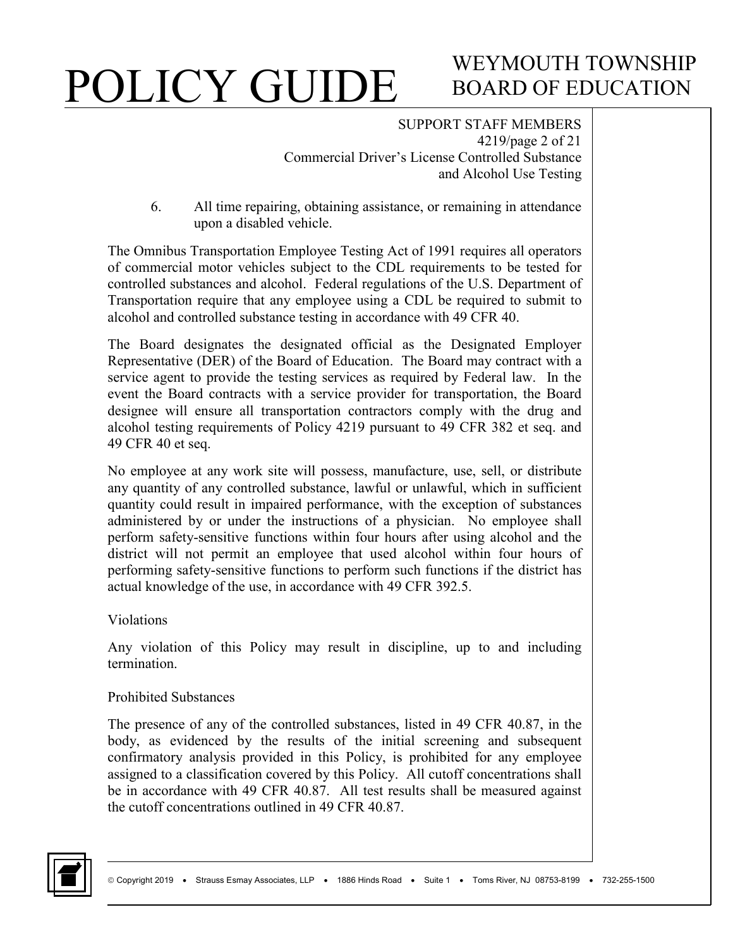# WEYMOUTH TOWNSHIP BOARD OF EDUCATION

#### SUPPORT STAFF MEMBERS 4219/page 2 of 21 Commercial Driver's License Controlled Substance and Alcohol Use Testing

6. All time repairing, obtaining assistance, or remaining in attendance upon a disabled vehicle.

The Omnibus Transportation Employee Testing Act of 1991 requires all operators of commercial motor vehicles subject to the CDL requirements to be tested for controlled substances and alcohol. Federal regulations of the U.S. Department of Transportation require that any employee using a CDL be required to submit to alcohol and controlled substance testing in accordance with 49 CFR 40.

The Board designates the designated official as the Designated Employer Representative (DER) of the Board of Education. The Board may contract with a service agent to provide the testing services as required by Federal law. In the event the Board contracts with a service provider for transportation, the Board designee will ensure all transportation contractors comply with the drug and alcohol testing requirements of Policy 4219 pursuant to 49 CFR 382 et seq. and 49 CFR 40 et seq.

No employee at any work site will possess, manufacture, use, sell, or distribute any quantity of any controlled substance, lawful or unlawful, which in sufficient quantity could result in impaired performance, with the exception of substances administered by or under the instructions of a physician. No employee shall perform safety-sensitive functions within four hours after using alcohol and the district will not permit an employee that used alcohol within four hours of performing safety-sensitive functions to perform such functions if the district has actual knowledge of the use, in accordance with 49 CFR 392.5.

Violations

Any violation of this Policy may result in discipline, up to and including termination.

#### Prohibited Substances

The presence of any of the controlled substances, listed in 49 CFR 40.87, in the body, as evidenced by the results of the initial screening and subsequent confirmatory analysis provided in this Policy, is prohibited for any employee assigned to a classification covered by this Policy. All cutoff concentrations shall be in accordance with 49 CFR 40.87. All test results shall be measured against the cutoff concentrations outlined in 49 CFR 40.87.

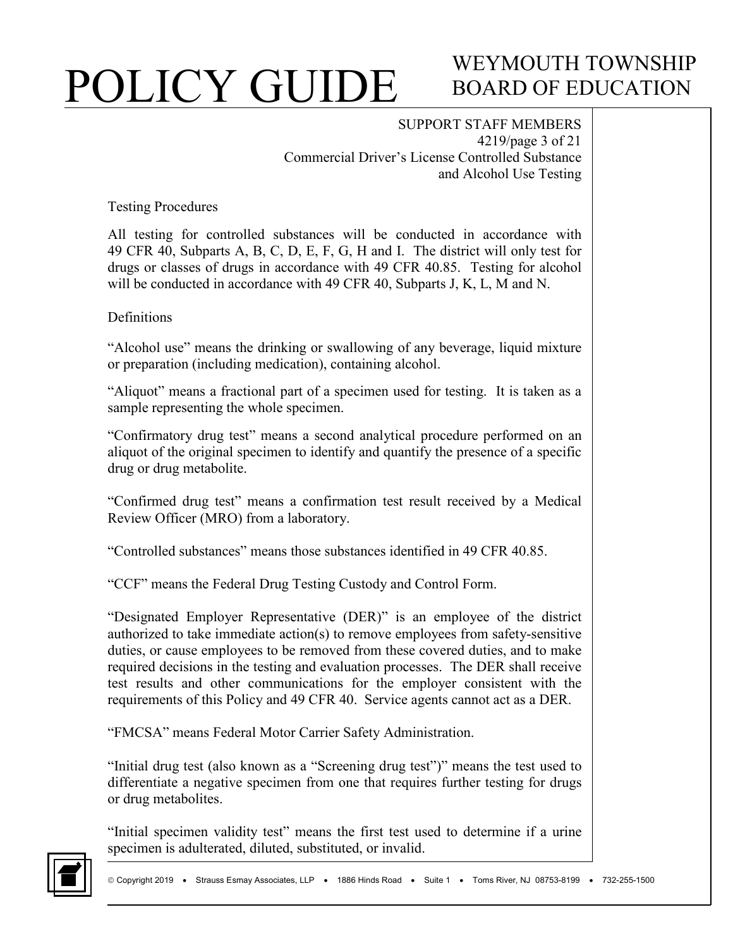## WEYMOUTH TOWNSHIP BOARD OF EDUCATION

SUPPORT STAFF MEMBERS 4219/page 3 of 21 Commercial Driver's License Controlled Substance and Alcohol Use Testing

Testing Procedures

All testing for controlled substances will be conducted in accordance with 49 CFR 40, Subparts A, B, C, D, E, F, G, H and I. The district will only test for drugs or classes of drugs in accordance with 49 CFR 40.85. Testing for alcohol will be conducted in accordance with 49 CFR 40, Subparts J, K, L, M and N.

**Definitions** 

"Alcohol use" means the drinking or swallowing of any beverage, liquid mixture or preparation (including medication), containing alcohol.

"Aliquot" means a fractional part of a specimen used for testing. It is taken as a sample representing the whole specimen.

"Confirmatory drug test" means a second analytical procedure performed on an aliquot of the original specimen to identify and quantify the presence of a specific drug or drug metabolite.

"Confirmed drug test" means a confirmation test result received by a Medical Review Officer (MRO) from a laboratory.

"Controlled substances" means those substances identified in 49 CFR 40.85.

"CCF" means the Federal Drug Testing Custody and Control Form.

"Designated Employer Representative (DER)" is an employee of the district authorized to take immediate action(s) to remove employees from safety-sensitive duties, or cause employees to be removed from these covered duties, and to make required decisions in the testing and evaluation processes. The DER shall receive test results and other communications for the employer consistent with the requirements of this Policy and 49 CFR 40. Service agents cannot act as a DER.

"FMCSA" means Federal Motor Carrier Safety Administration.

"Initial drug test (also known as a "Screening drug test")" means the test used to differentiate a negative specimen from one that requires further testing for drugs or drug metabolites.

"Initial specimen validity test" means the first test used to determine if a urine specimen is adulterated, diluted, substituted, or invalid.

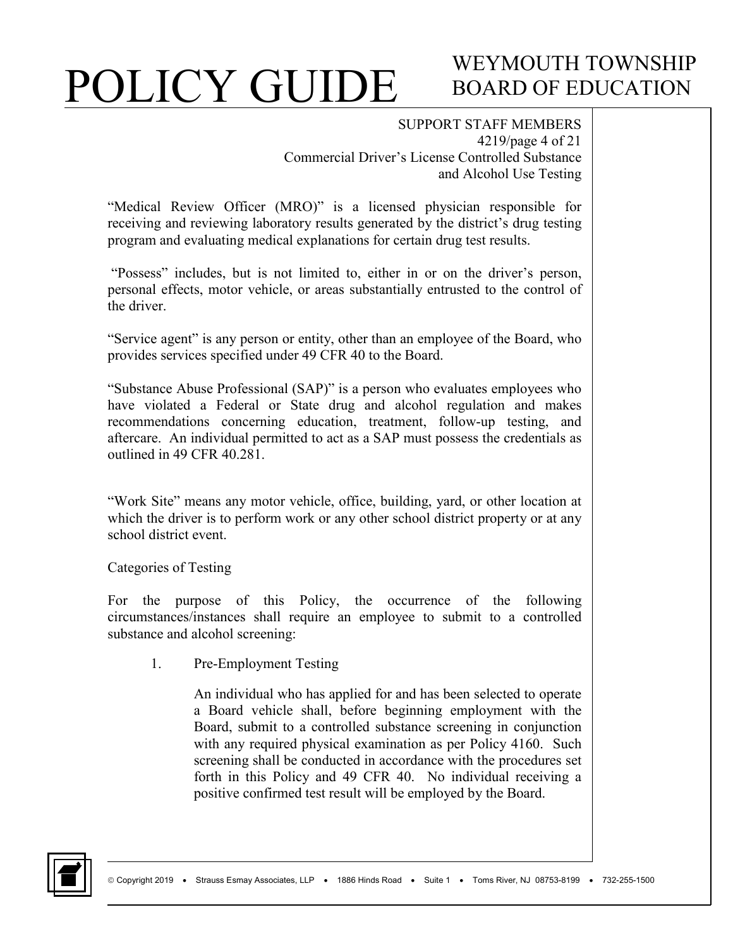## WEYMOUTH TOWNSHIP BOARD OF EDUCATION

SUPPORT STAFF MEMBERS

4219/page 4 of 21 Commercial Driver's License Controlled Substance and Alcohol Use Testing

"Medical Review Officer (MRO)" is a licensed physician responsible for receiving and reviewing laboratory results generated by the district's drug testing program and evaluating medical explanations for certain drug test results.

"Possess" includes, but is not limited to, either in or on the driver's person, personal effects, motor vehicle, or areas substantially entrusted to the control of the driver.

"Service agent" is any person or entity, other than an employee of the Board, who provides services specified under 49 CFR 40 to the Board.

"Substance Abuse Professional (SAP)" is a person who evaluates employees who have violated a Federal or State drug and alcohol regulation and makes recommendations concerning education, treatment, follow-up testing, and aftercare. An individual permitted to act as a SAP must possess the credentials as outlined in 49 CFR 40.281.

"Work Site" means any motor vehicle, office, building, yard, or other location at which the driver is to perform work or any other school district property or at any school district event.

Categories of Testing

For the purpose of this Policy, the occurrence of the following circumstances/instances shall require an employee to submit to a controlled substance and alcohol screening:

1. Pre-Employment Testing

An individual who has applied for and has been selected to operate a Board vehicle shall, before beginning employment with the Board, submit to a controlled substance screening in conjunction with any required physical examination as per Policy 4160. Such screening shall be conducted in accordance with the procedures set forth in this Policy and 49 CFR 40. No individual receiving a positive confirmed test result will be employed by the Board.

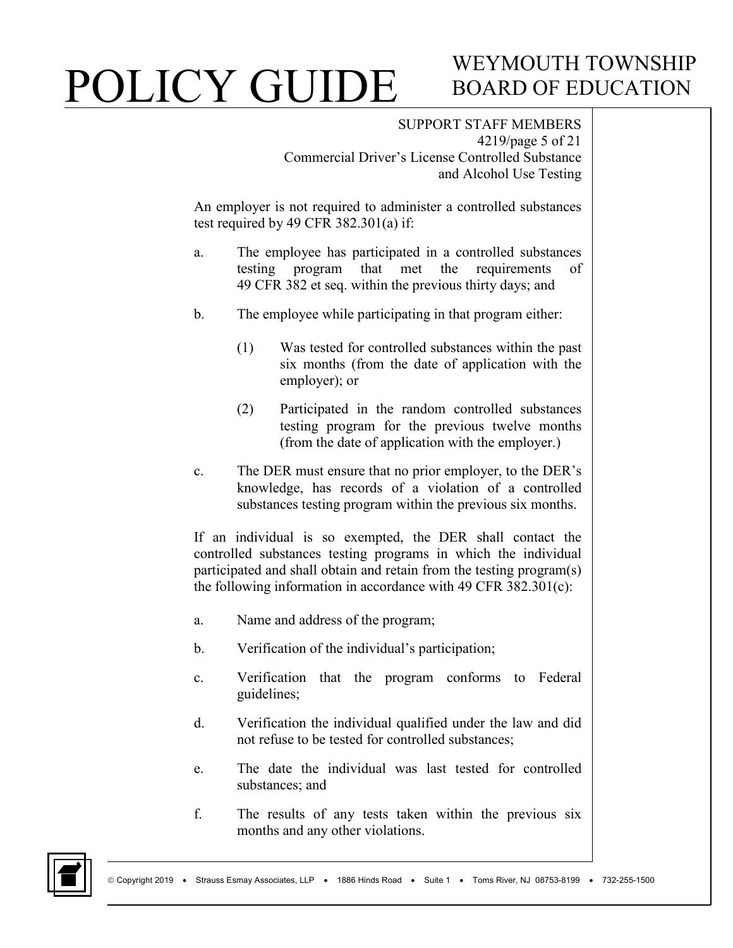# WEYMOUTH TOWNSHIP BOARD OF EDUCATION

SUPPORT STAFF MEMBERS 4219/page 5 of 21 Commercial Driver's License Controlled Substance and Alcohol Use Testing

An employer is not required to administer a controlled substances test required by 49 CFR 382.301(a) if:

- a. The employee has participated in a controlled substances testing program that met the requirements of 49 CFR 382 et seq. within the previous thirty days; and
- b. The employee while participating in that program either:
	- (1) Was tested for controlled substances within the past six months (from the date of application with the employer); or
	- (2) Participated in the random controlled substances testing program for the previous twelve months (from the date of application with the employer.)
- c. The DER must ensure that no prior employer, to the DER's knowledge, has records of a violation of a controlled substances testing program within the previous six months.

If an individual is so exempted, the DER shall contact the controlled substances testing programs in which the individual participated and shall obtain and retain from the testing program(s) the following information in accordance with 49 CFR 382.301(c):

- a. Name and address of the program;
- b. Verification of the individual's participation;
- c. Verification that the program conforms to Federal guidelines;
- d. Verification the individual qualified under the law and did not refuse to be tested for controlled substances;
- e. The date the individual was last tested for controlled substances; and
- f. The results of any tests taken within the previous six months and any other violations.

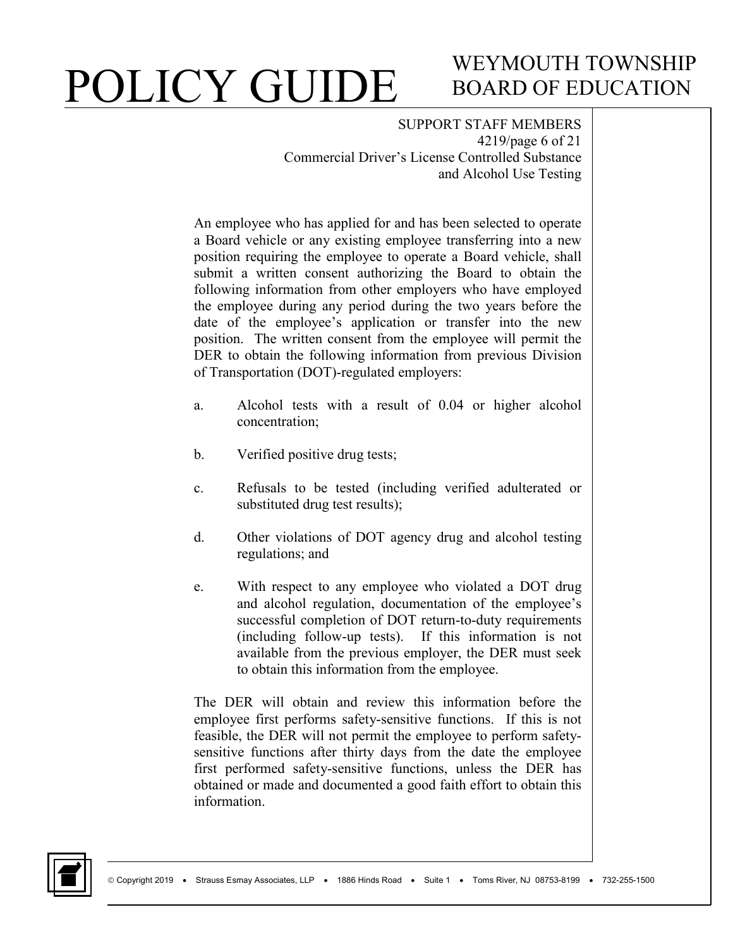## WEYMOUTH TOWNSHIP BOARD OF EDUCATION

SUPPORT STAFF MEMBERS 4219/page 6 of 21 Commercial Driver's License Controlled Substance and Alcohol Use Testing

An employee who has applied for and has been selected to operate a Board vehicle or any existing employee transferring into a new position requiring the employee to operate a Board vehicle, shall submit a written consent authorizing the Board to obtain the following information from other employers who have employed the employee during any period during the two years before the date of the employee's application or transfer into the new position. The written consent from the employee will permit the DER to obtain the following information from previous Division of Transportation (DOT)-regulated employers:

- a. Alcohol tests with a result of 0.04 or higher alcohol concentration;
- b. Verified positive drug tests;
- c. Refusals to be tested (including verified adulterated or substituted drug test results);
- d. Other violations of DOT agency drug and alcohol testing regulations; and
- e. With respect to any employee who violated a DOT drug and alcohol regulation, documentation of the employee's successful completion of DOT return-to-duty requirements (including follow-up tests). If this information is not available from the previous employer, the DER must seek to obtain this information from the employee.

The DER will obtain and review this information before the employee first performs safety-sensitive functions. If this is not feasible, the DER will not permit the employee to perform safetysensitive functions after thirty days from the date the employee first performed safety-sensitive functions, unless the DER has obtained or made and documented a good faith effort to obtain this information.

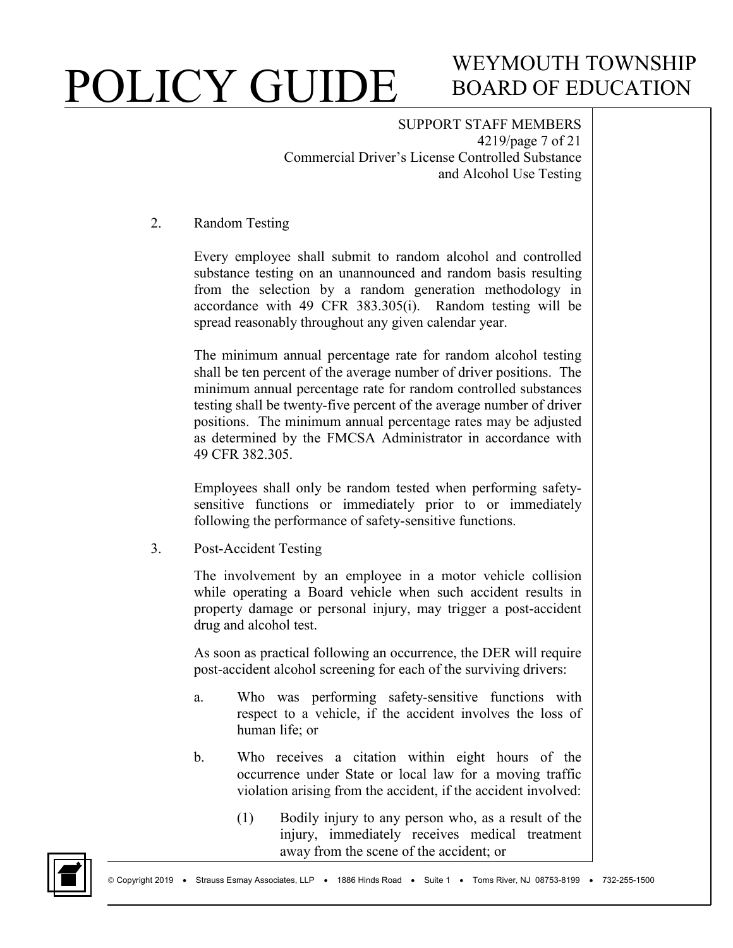## WEYMOUTH TOWNSHIP BOARD OF EDUCATION

SUPPORT STAFF MEMBERS 4219/page 7 of 21 Commercial Driver's License Controlled Substance and Alcohol Use Testing

#### 2. Random Testing

Every employee shall submit to random alcohol and controlled substance testing on an unannounced and random basis resulting from the selection by a random generation methodology in accordance with 49 CFR 383.305(i). Random testing will be spread reasonably throughout any given calendar year.

The minimum annual percentage rate for random alcohol testing shall be ten percent of the average number of driver positions. The minimum annual percentage rate for random controlled substances testing shall be twenty-five percent of the average number of driver positions. The minimum annual percentage rates may be adjusted as determined by the FMCSA Administrator in accordance with 49 CFR 382.305.

Employees shall only be random tested when performing safetysensitive functions or immediately prior to or immediately following the performance of safety-sensitive functions.

3. Post-Accident Testing

The involvement by an employee in a motor vehicle collision while operating a Board vehicle when such accident results in property damage or personal injury, may trigger a post-accident drug and alcohol test.

As soon as practical following an occurrence, the DER will require post-accident alcohol screening for each of the surviving drivers:

- a. Who was performing safety-sensitive functions with respect to a vehicle, if the accident involves the loss of human life; or
- b. Who receives a citation within eight hours of the occurrence under State or local law for a moving traffic violation arising from the accident, if the accident involved:
	- (1) Bodily injury to any person who, as a result of the injury, immediately receives medical treatment away from the scene of the accident; or

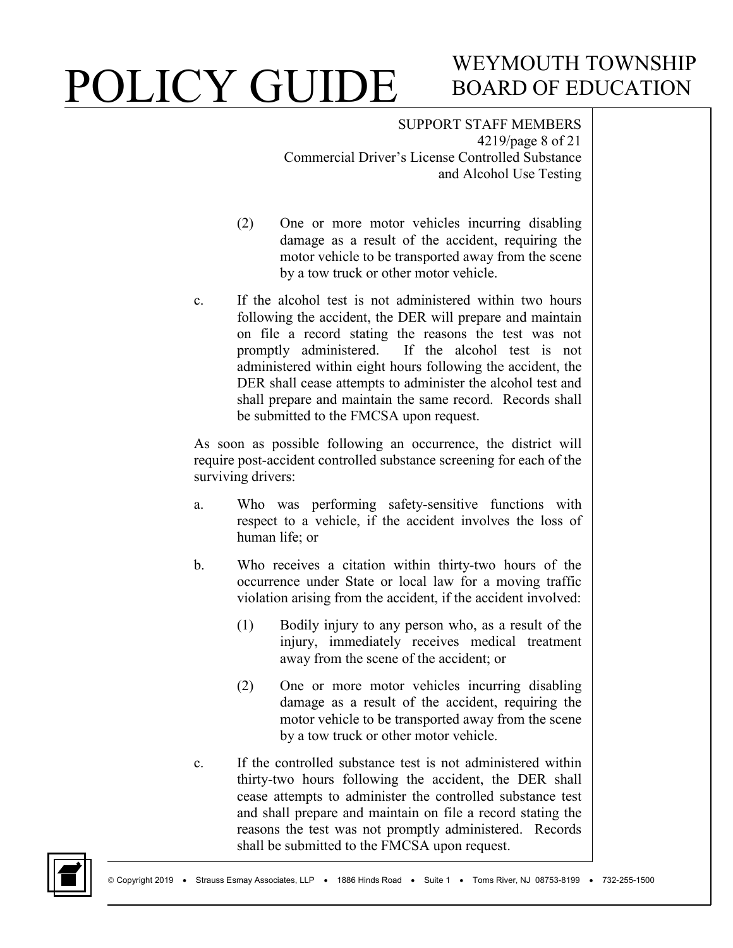## WEYMOUTH TOWNSHIP BOARD OF EDUCATION

SUPPORT STAFF MEMBERS 4219/page 8 of 21 Commercial Driver's License Controlled Substance and Alcohol Use Testing

- (2) One or more motor vehicles incurring disabling damage as a result of the accident, requiring the motor vehicle to be transported away from the scene by a tow truck or other motor vehicle.
- c. If the alcohol test is not administered within two hours following the accident, the DER will prepare and maintain on file a record stating the reasons the test was not promptly administered. If the alcohol test is not administered within eight hours following the accident, the DER shall cease attempts to administer the alcohol test and shall prepare and maintain the same record. Records shall be submitted to the FMCSA upon request.

As soon as possible following an occurrence, the district will require post-accident controlled substance screening for each of the surviving drivers:

- a. Who was performing safety-sensitive functions with respect to a vehicle, if the accident involves the loss of human life; or
- b. Who receives a citation within thirty-two hours of the occurrence under State or local law for a moving traffic violation arising from the accident, if the accident involved:
	- (1) Bodily injury to any person who, as a result of the injury, immediately receives medical treatment away from the scene of the accident; or
	- (2) One or more motor vehicles incurring disabling damage as a result of the accident, requiring the motor vehicle to be transported away from the scene by a tow truck or other motor vehicle.
- c. If the controlled substance test is not administered within thirty-two hours following the accident, the DER shall cease attempts to administer the controlled substance test and shall prepare and maintain on file a record stating the reasons the test was not promptly administered. Records shall be submitted to the FMCSA upon request.

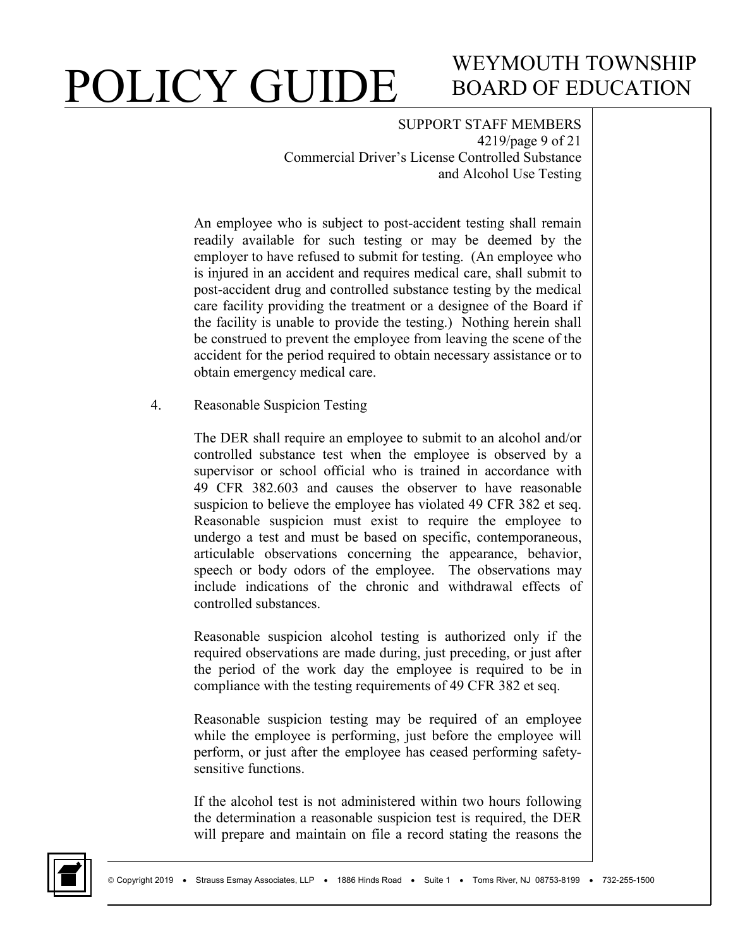## WEYMOUTH TOWNSHIP BOARD OF EDUCATION

SUPPORT STAFF MEMBERS 4219/page 9 of 21 Commercial Driver's License Controlled Substance and Alcohol Use Testing

An employee who is subject to post-accident testing shall remain readily available for such testing or may be deemed by the employer to have refused to submit for testing. (An employee who is injured in an accident and requires medical care, shall submit to post-accident drug and controlled substance testing by the medical care facility providing the treatment or a designee of the Board if the facility is unable to provide the testing.) Nothing herein shall be construed to prevent the employee from leaving the scene of the accident for the period required to obtain necessary assistance or to obtain emergency medical care.

4. Reasonable Suspicion Testing

The DER shall require an employee to submit to an alcohol and/or controlled substance test when the employee is observed by a supervisor or school official who is trained in accordance with 49 CFR 382.603 and causes the observer to have reasonable suspicion to believe the employee has violated 49 CFR 382 et seq. Reasonable suspicion must exist to require the employee to undergo a test and must be based on specific, contemporaneous, articulable observations concerning the appearance, behavior, speech or body odors of the employee. The observations may include indications of the chronic and withdrawal effects of controlled substances.

Reasonable suspicion alcohol testing is authorized only if the required observations are made during, just preceding, or just after the period of the work day the employee is required to be in compliance with the testing requirements of 49 CFR 382 et seq.

Reasonable suspicion testing may be required of an employee while the employee is performing, just before the employee will perform, or just after the employee has ceased performing safetysensitive functions.

If the alcohol test is not administered within two hours following the determination a reasonable suspicion test is required, the DER will prepare and maintain on file a record stating the reasons the

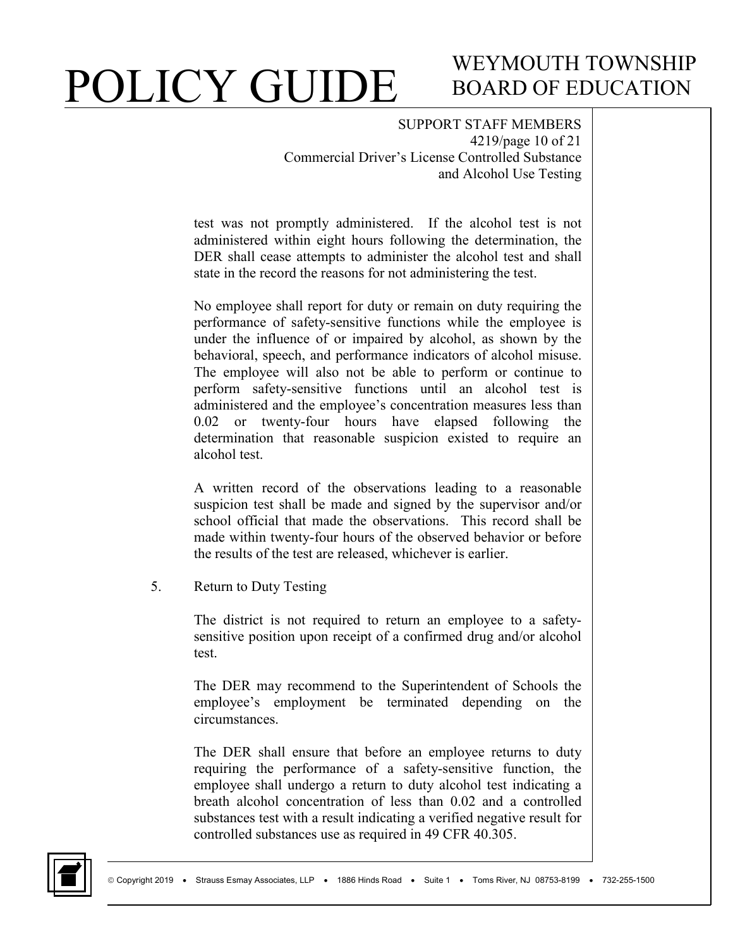### WEYMOUTH TOWNSHIP BOARD OF EDUCATION

SUPPORT STAFF MEMBERS 4219/page 10 of 21 Commercial Driver's License Controlled Substance and Alcohol Use Testing

test was not promptly administered. If the alcohol test is not administered within eight hours following the determination, the DER shall cease attempts to administer the alcohol test and shall state in the record the reasons for not administering the test.

No employee shall report for duty or remain on duty requiring the performance of safety-sensitive functions while the employee is under the influence of or impaired by alcohol, as shown by the behavioral, speech, and performance indicators of alcohol misuse. The employee will also not be able to perform or continue to perform safety-sensitive functions until an alcohol test is administered and the employee's concentration measures less than 0.02 or twenty-four hours have elapsed following the determination that reasonable suspicion existed to require an alcohol test.

A written record of the observations leading to a reasonable suspicion test shall be made and signed by the supervisor and/or school official that made the observations. This record shall be made within twenty-four hours of the observed behavior or before the results of the test are released, whichever is earlier.

5. Return to Duty Testing

The district is not required to return an employee to a safetysensitive position upon receipt of a confirmed drug and/or alcohol test.

The DER may recommend to the Superintendent of Schools the employee's employment be terminated depending on the circumstances.

The DER shall ensure that before an employee returns to duty requiring the performance of a safety-sensitive function, the employee shall undergo a return to duty alcohol test indicating a breath alcohol concentration of less than 0.02 and a controlled substances test with a result indicating a verified negative result for controlled substances use as required in 49 CFR 40.305.

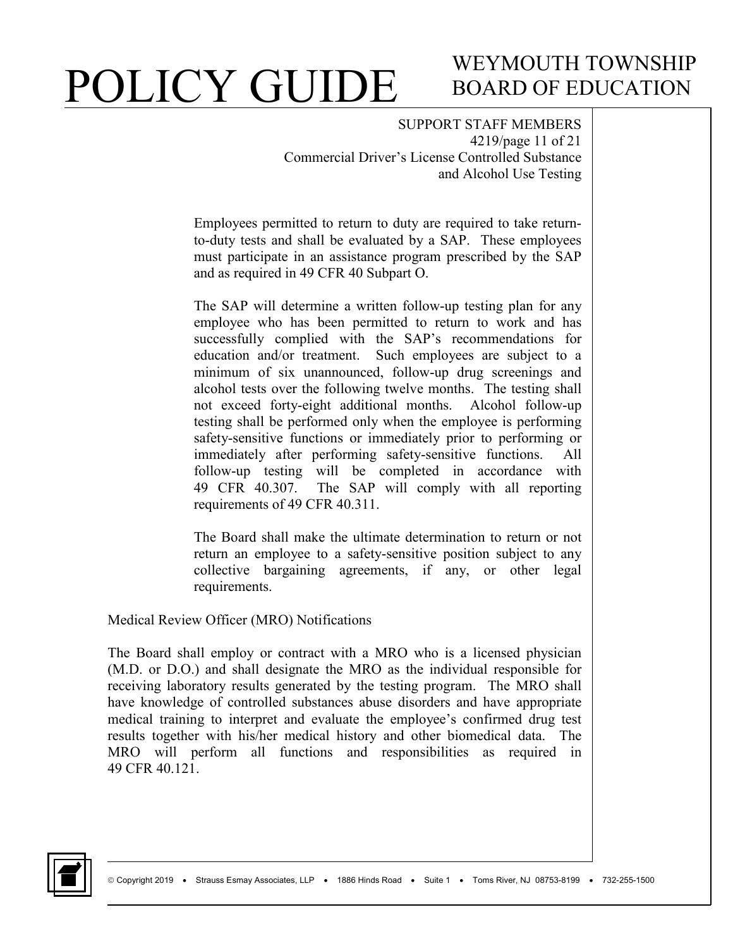### WEYMOUTH TOWNSHIP BOARD OF EDUCATION

SUPPORT STAFF MEMBERS 4219/page 11 of 21 Commercial Driver's License Controlled Substance and Alcohol Use Testing

Employees permitted to return to duty are required to take returnto-duty tests and shall be evaluated by a SAP. These employees must participate in an assistance program prescribed by the SAP and as required in 49 CFR 40 Subpart O.

The SAP will determine a written follow-up testing plan for any employee who has been permitted to return to work and has successfully complied with the SAP's recommendations for education and/or treatment. Such employees are subject to a minimum of six unannounced, follow-up drug screenings and alcohol tests over the following twelve months. The testing shall not exceed forty-eight additional months. Alcohol follow-up testing shall be performed only when the employee is performing safety-sensitive functions or immediately prior to performing or immediately after performing safety-sensitive functions. All follow-up testing will be completed in accordance with 49 CFR 40.307. The SAP will comply with all reporting requirements of 49 CFR 40.311.

The Board shall make the ultimate determination to return or not return an employee to a safety-sensitive position subject to any collective bargaining agreements, if any, or other legal requirements.

Medical Review Officer (MRO) Notifications

The Board shall employ or contract with a MRO who is a licensed physician (M.D. or D.O.) and shall designate the MRO as the individual responsible for receiving laboratory results generated by the testing program. The MRO shall have knowledge of controlled substances abuse disorders and have appropriate medical training to interpret and evaluate the employee's confirmed drug test results together with his/her medical history and other biomedical data. The MRO will perform all functions and responsibilities as required in 49 CFR 40.121.

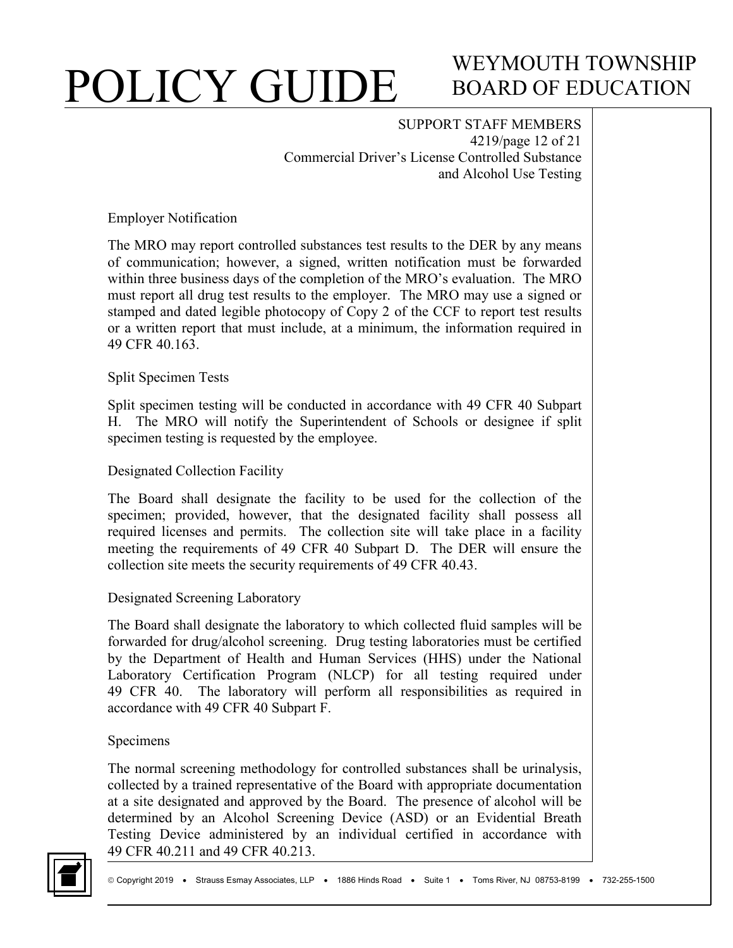## WEYMOUTH TOWNSHIP BOARD OF EDUCATION

SUPPORT STAFF MEMBERS 4219/page 12 of 21 Commercial Driver's License Controlled Substance and Alcohol Use Testing

Employer Notification

The MRO may report controlled substances test results to the DER by any means of communication; however, a signed, written notification must be forwarded within three business days of the completion of the MRO's evaluation. The MRO must report all drug test results to the employer. The MRO may use a signed or stamped and dated legible photocopy of Copy 2 of the CCF to report test results or a written report that must include, at a minimum, the information required in 49 CFR 40.163.

#### Split Specimen Tests

Split specimen testing will be conducted in accordance with 49 CFR 40 Subpart H. The MRO will notify the Superintendent of Schools or designee if split specimen testing is requested by the employee.

#### Designated Collection Facility

The Board shall designate the facility to be used for the collection of the specimen; provided, however, that the designated facility shall possess all required licenses and permits. The collection site will take place in a facility meeting the requirements of 49 CFR 40 Subpart D. The DER will ensure the collection site meets the security requirements of 49 CFR 40.43.

#### Designated Screening Laboratory

The Board shall designate the laboratory to which collected fluid samples will be forwarded for drug/alcohol screening. Drug testing laboratories must be certified by the Department of Health and Human Services (HHS) under the National Laboratory Certification Program (NLCP) for all testing required under 49 CFR 40. The laboratory will perform all responsibilities as required in accordance with 49 CFR 40 Subpart F.

#### Specimens

The normal screening methodology for controlled substances shall be urinalysis, collected by a trained representative of the Board with appropriate documentation at a site designated and approved by the Board. The presence of alcohol will be determined by an Alcohol Screening Device (ASD) or an Evidential Breath Testing Device administered by an individual certified in accordance with 49 CFR 40.211 and 49 CFR 40.213.

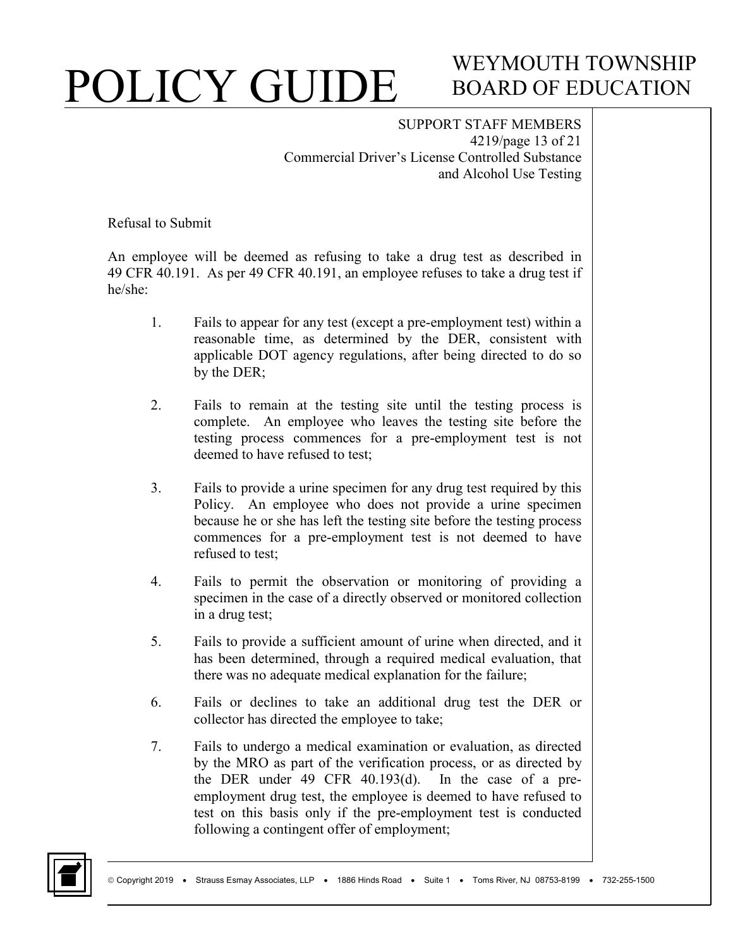### WEYMOUTH TOWNSHIP BOARD OF EDUCATION

SUPPORT STAFF MEMBERS 4219/page 13 of 21 Commercial Driver's License Controlled Substance and Alcohol Use Testing

Refusal to Submit

An employee will be deemed as refusing to take a drug test as described in 49 CFR 40.191. As per 49 CFR 40.191, an employee refuses to take a drug test if he/she:

- 1. Fails to appear for any test (except a pre-employment test) within a reasonable time, as determined by the DER, consistent with applicable DOT agency regulations, after being directed to do so by the DER;
- 2. Fails to remain at the testing site until the testing process is complete. An employee who leaves the testing site before the testing process commences for a pre-employment test is not deemed to have refused to test;
- 3. Fails to provide a urine specimen for any drug test required by this Policy. An employee who does not provide a urine specimen because he or she has left the testing site before the testing process commences for a pre-employment test is not deemed to have refused to test;
- 4. Fails to permit the observation or monitoring of providing a specimen in the case of a directly observed or monitored collection in a drug test;
- 5. Fails to provide a sufficient amount of urine when directed, and it has been determined, through a required medical evaluation, that there was no adequate medical explanation for the failure;
- 6. Fails or declines to take an additional drug test the DER or collector has directed the employee to take;
- 7. Fails to undergo a medical examination or evaluation, as directed by the MRO as part of the verification process, or as directed by the DER under 49 CFR 40.193(d). In the case of a preemployment drug test, the employee is deemed to have refused to test on this basis only if the pre-employment test is conducted following a contingent offer of employment;

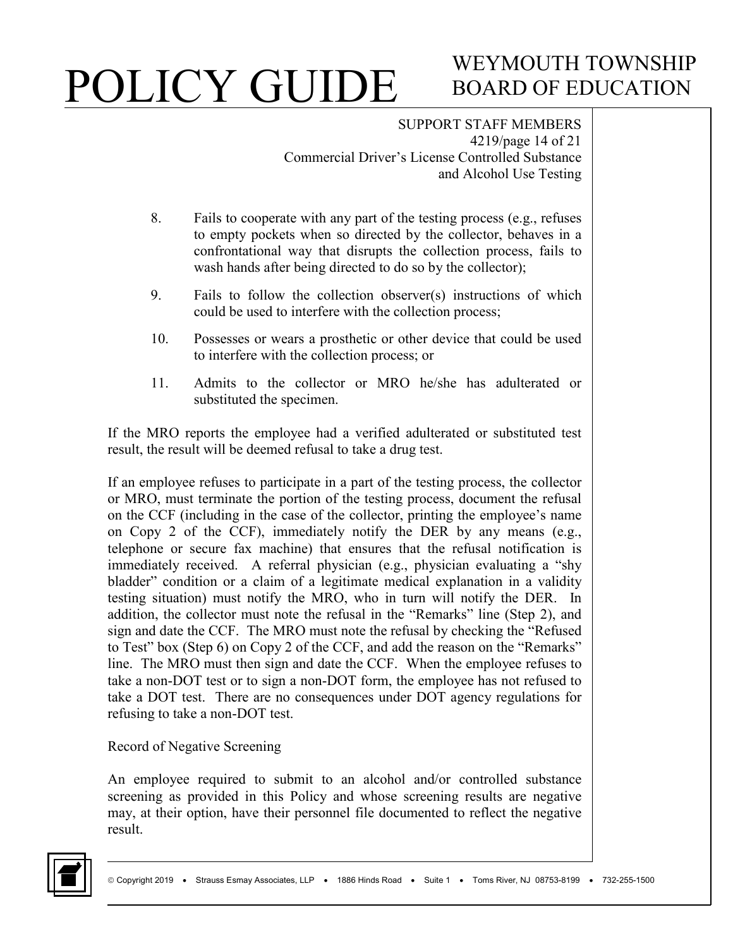# WEYMOUTH TOWNSHIP BOARD OF EDUCATION

SUPPORT STAFF MEMBERS 4219/page 14 of 21 Commercial Driver's License Controlled Substance and Alcohol Use Testing

- 8. Fails to cooperate with any part of the testing process (e.g., refuses to empty pockets when so directed by the collector, behaves in a confrontational way that disrupts the collection process, fails to wash hands after being directed to do so by the collector);
- 9. Fails to follow the collection observer(s) instructions of which could be used to interfere with the collection process;
- 10. Possesses or wears a prosthetic or other device that could be used to interfere with the collection process; or
- 11. Admits to the collector or MRO he/she has adulterated or substituted the specimen.

If the MRO reports the employee had a verified adulterated or substituted test result, the result will be deemed refusal to take a drug test.

If an employee refuses to participate in a part of the testing process, the collector or MRO, must terminate the portion of the testing process, document the refusal on the CCF (including in the case of the collector, printing the employee's name on Copy 2 of the CCF), immediately notify the DER by any means (e.g., telephone or secure fax machine) that ensures that the refusal notification is immediately received. A referral physician (e.g., physician evaluating a "shy bladder" condition or a claim of a legitimate medical explanation in a validity testing situation) must notify the MRO, who in turn will notify the DER. In addition, the collector must note the refusal in the "Remarks" line (Step 2), and sign and date the CCF. The MRO must note the refusal by checking the "Refused to Test" box (Step 6) on Copy 2 of the CCF, and add the reason on the "Remarks" line. The MRO must then sign and date the CCF. When the employee refuses to take a non-DOT test or to sign a non-DOT form, the employee has not refused to take a DOT test. There are no consequences under DOT agency regulations for refusing to take a non-DOT test.

#### Record of Negative Screening

An employee required to submit to an alcohol and/or controlled substance screening as provided in this Policy and whose screening results are negative may, at their option, have their personnel file documented to reflect the negative result.

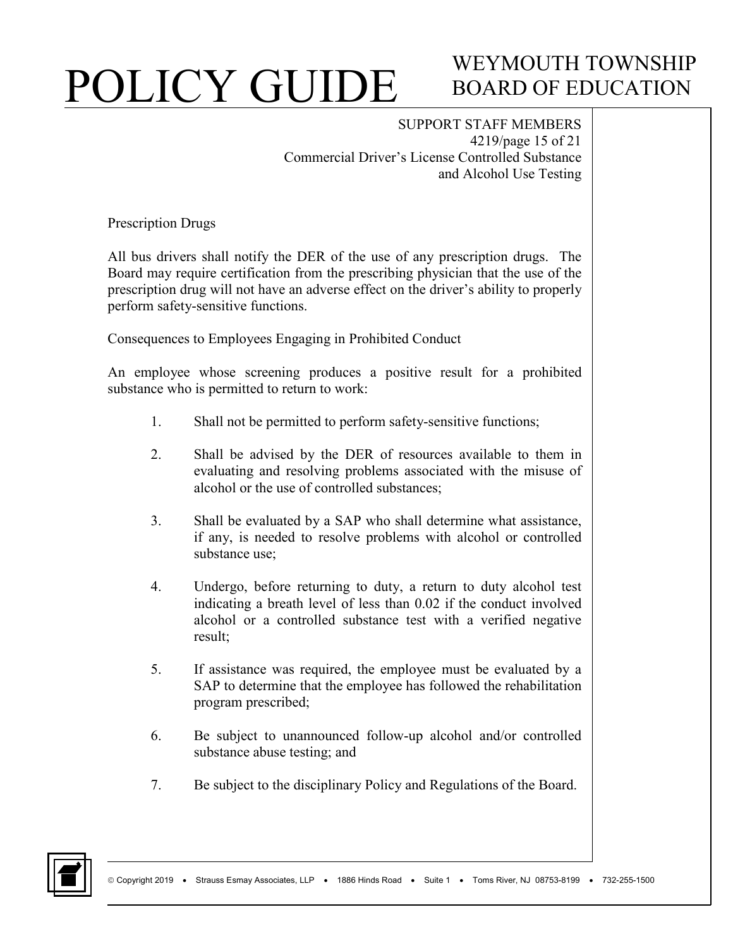## WEYMOUTH TOWNSHIP BOARD OF EDUCATION

SUPPORT STAFF MEMBERS 4219/page 15 of 21 Commercial Driver's License Controlled Substance and Alcohol Use Testing

Prescription Drugs

All bus drivers shall notify the DER of the use of any prescription drugs. The Board may require certification from the prescribing physician that the use of the prescription drug will not have an adverse effect on the driver's ability to properly perform safety-sensitive functions.

Consequences to Employees Engaging in Prohibited Conduct

An employee whose screening produces a positive result for a prohibited substance who is permitted to return to work:

- 1. Shall not be permitted to perform safety-sensitive functions;
- 2. Shall be advised by the DER of resources available to them in evaluating and resolving problems associated with the misuse of alcohol or the use of controlled substances;
- 3. Shall be evaluated by a SAP who shall determine what assistance, if any, is needed to resolve problems with alcohol or controlled substance use;
- 4. Undergo, before returning to duty, a return to duty alcohol test indicating a breath level of less than 0.02 if the conduct involved alcohol or a controlled substance test with a verified negative result;
- 5. If assistance was required, the employee must be evaluated by a SAP to determine that the employee has followed the rehabilitation program prescribed;
- 6. Be subject to unannounced follow-up alcohol and/or controlled substance abuse testing; and
- 7. Be subject to the disciplinary Policy and Regulations of the Board.

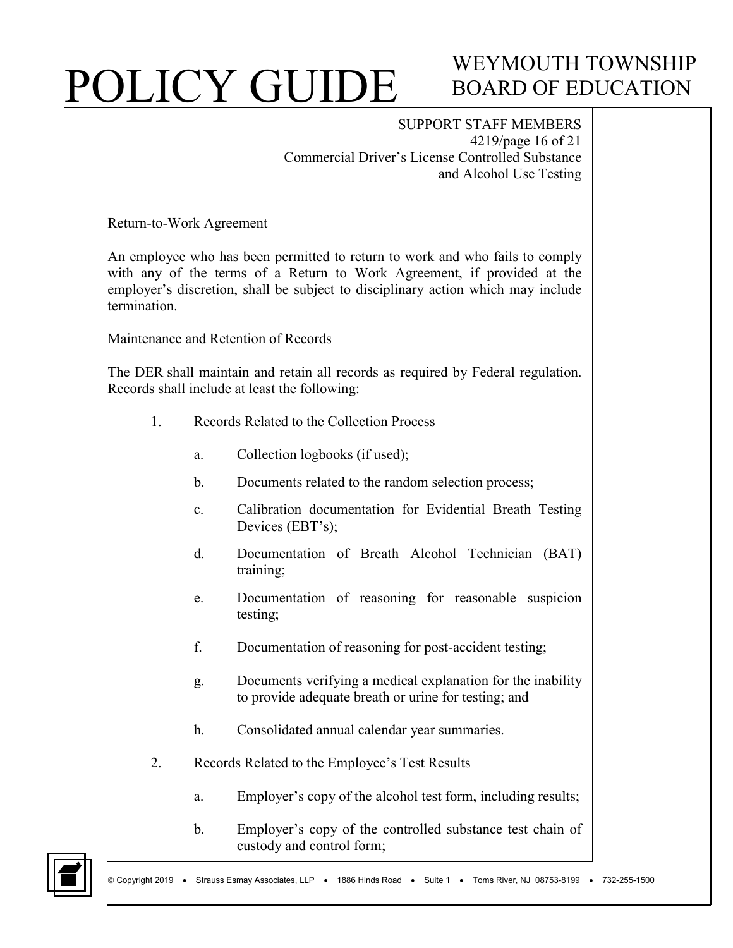## WEYMOUTH TOWNSHIP BOARD OF EDUCATION

SUPPORT STAFF MEMBERS 4219/page 16 of 21 Commercial Driver's License Controlled Substance and Alcohol Use Testing

Return-to-Work Agreement

An employee who has been permitted to return to work and who fails to comply with any of the terms of a Return to Work Agreement, if provided at the employer's discretion, shall be subject to disciplinary action which may include termination.

Maintenance and Retention of Records

The DER shall maintain and retain all records as required by Federal regulation. Records shall include at least the following:

- 1. Records Related to the Collection Process
	- a. Collection logbooks (if used);
	- b. Documents related to the random selection process;
	- c. Calibration documentation for Evidential Breath Testing Devices (EBT's);
	- d. Documentation of Breath Alcohol Technician (BAT) training;
	- e. Documentation of reasoning for reasonable suspicion testing;
	- f. Documentation of reasoning for post-accident testing;
	- g. Documents verifying a medical explanation for the inability to provide adequate breath or urine for testing; and
	- h. Consolidated annual calendar year summaries.
- 2. Records Related to the Employee's Test Results
	- a. Employer's copy of the alcohol test form, including results;
	- b. Employer's copy of the controlled substance test chain of custody and control form;

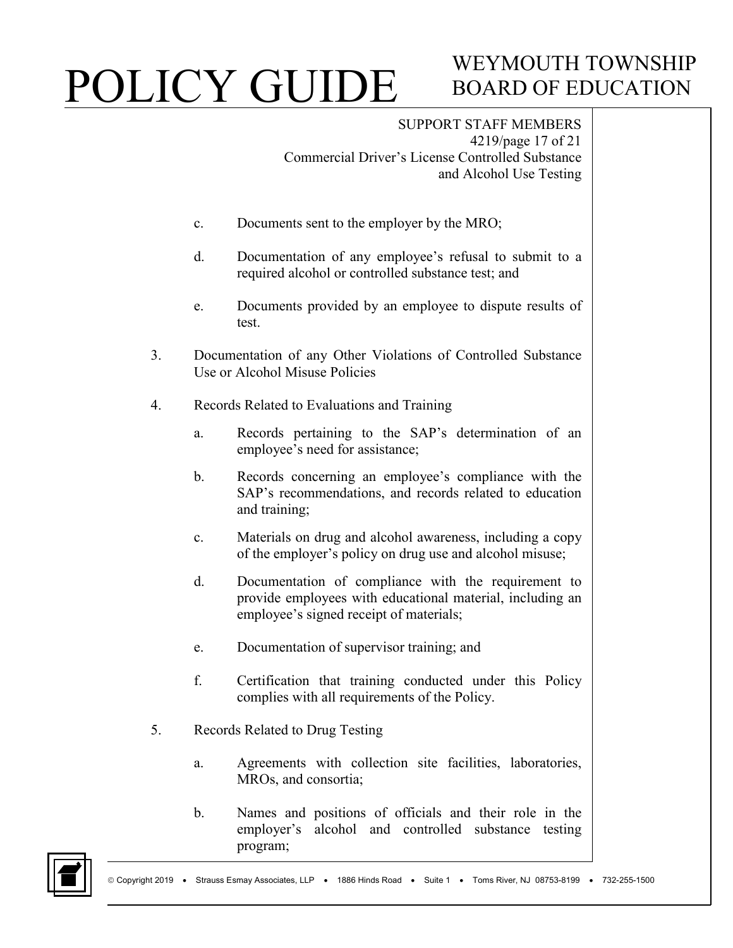## WEYMOUTH TOWNSHIP BOARD OF EDUCATION

SUPPORT STAFF MEMBERS 4219/page 17 of 21 Commercial Driver's License Controlled Substance and Alcohol Use Testing

- c. Documents sent to the employer by the MRO;
- d. Documentation of any employee's refusal to submit to a required alcohol or controlled substance test; and
- e. Documents provided by an employee to dispute results of test.
- 3. Documentation of any Other Violations of Controlled Substance Use or Alcohol Misuse Policies
- 4. Records Related to Evaluations and Training
	- a. Records pertaining to the SAP's determination of an employee's need for assistance;
	- b. Records concerning an employee's compliance with the SAP's recommendations, and records related to education and training;
	- c. Materials on drug and alcohol awareness, including a copy of the employer's policy on drug use and alcohol misuse;
	- d. Documentation of compliance with the requirement to provide employees with educational material, including an employee's signed receipt of materials;
	- e. Documentation of supervisor training; and
	- f. Certification that training conducted under this Policy complies with all requirements of the Policy.
- 5. Records Related to Drug Testing
	- a. Agreements with collection site facilities, laboratories, MROs, and consortia;
	- b. Names and positions of officials and their role in the employer's alcohol and controlled substance testing program;

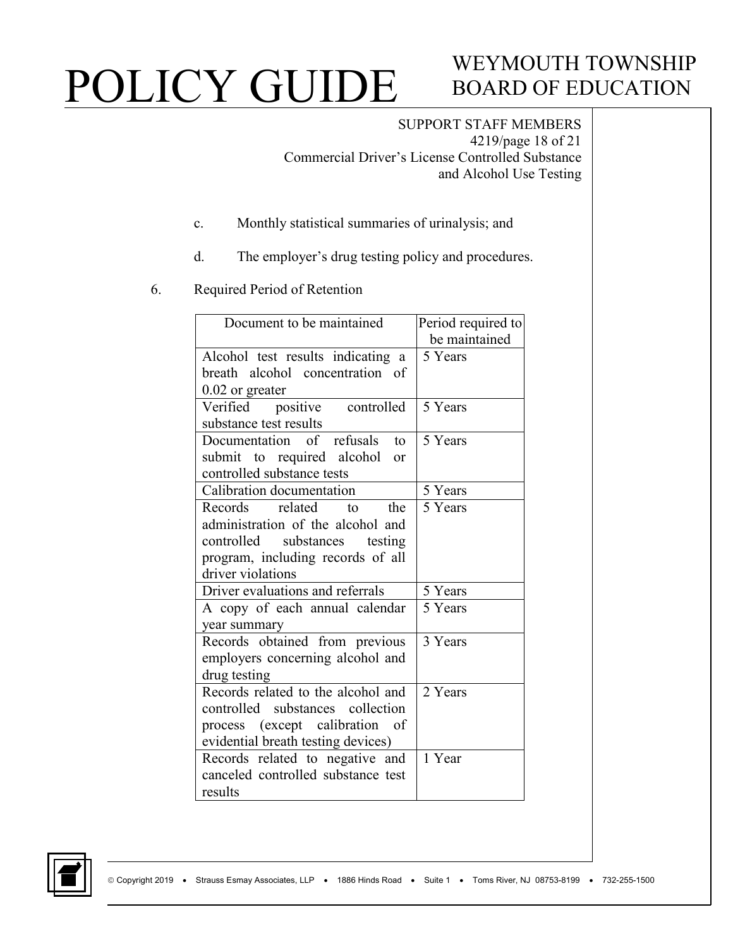## WEYMOUTH TOWNSHIP BOARD OF EDUCATION

SUPPORT STAFF MEMBERS 4219/page 18 of 21 Commercial Driver's License Controlled Substance and Alcohol Use Testing

- c. Monthly statistical summaries of urinalysis; and
- d. The employer's drug testing policy and procedures.
- 6. Required Period of Retention

| Document to be maintained               | Period required to |
|-----------------------------------------|--------------------|
|                                         | be maintained      |
| Alcohol test results indicating a       | 5 Years            |
| breath alcohol concentration of         |                    |
| $0.02$ or greater                       |                    |
| Verified positive controlled            | 5 Years            |
| substance test results                  |                    |
| Documentation of refusals<br>to         | 5 Years            |
| submit to required alcohol<br><b>or</b> |                    |
| controlled substance tests              |                    |
| Calibration documentation               | 5 Years            |
| Records related<br>the<br>$\mathsf{to}$ | 5 Years            |
| administration of the alcohol and       |                    |
| controlled substances<br>testing        |                    |
| program, including records of all       |                    |
| driver violations                       |                    |
| Driver evaluations and referrals        | 5 Years            |
| A copy of each annual calendar          | 5 Years            |
| year summary                            |                    |
| Records obtained from previous          | 3 Years            |
| employers concerning alcohol and        |                    |
| drug testing                            |                    |
| Records related to the alcohol and      | 2 Years            |
| controlled substances collection        |                    |
| process (except calibration of          |                    |
| evidential breath testing devices)      |                    |
| Records related to negative and         | 1 Year             |
| canceled controlled substance test      |                    |
| results                                 |                    |

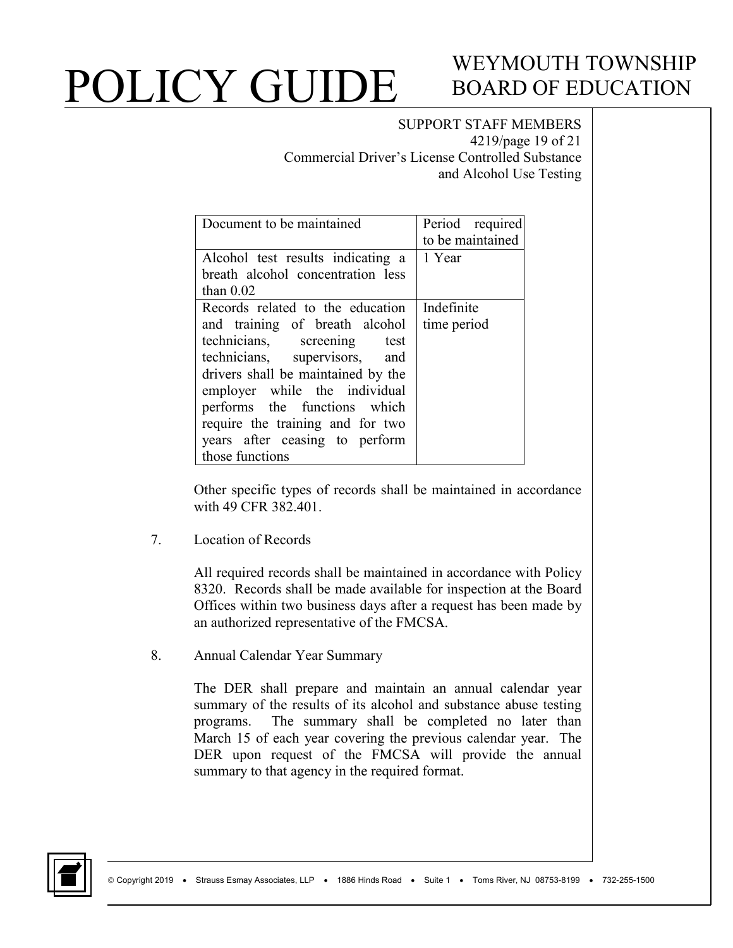## WEYMOUTH TOWNSHIP BOARD OF EDUCATION

#### SUPPORT STAFF MEMBERS 4219/page 19 of 21 Commercial Driver's License Controlled Substance

and Alcohol Use Testing

| Document to be maintained          | Period required  |
|------------------------------------|------------------|
|                                    | to be maintained |
| Alcohol test results indicating a  | 1 Year           |
| breath alcohol concentration less  |                  |
| than $0.02$                        |                  |
| Records related to the education   | Indefinite       |
| and training of breath alcohol     | time period      |
| technicians, screening test        |                  |
| technicians, supervisors, and      |                  |
| drivers shall be maintained by the |                  |
| employer while the individual      |                  |
| performs the functions which       |                  |
| require the training and for two   |                  |
| years after ceasing to perform     |                  |
| those functions                    |                  |

Other specific types of records shall be maintained in accordance with 49 CFR 382.401.

7. Location of Records

All required records shall be maintained in accordance with Policy 8320. Records shall be made available for inspection at the Board Offices within two business days after a request has been made by an authorized representative of the FMCSA.

8. Annual Calendar Year Summary

The DER shall prepare and maintain an annual calendar year summary of the results of its alcohol and substance abuse testing programs. The summary shall be completed no later than March 15 of each year covering the previous calendar year. The DER upon request of the FMCSA will provide the annual summary to that agency in the required format.

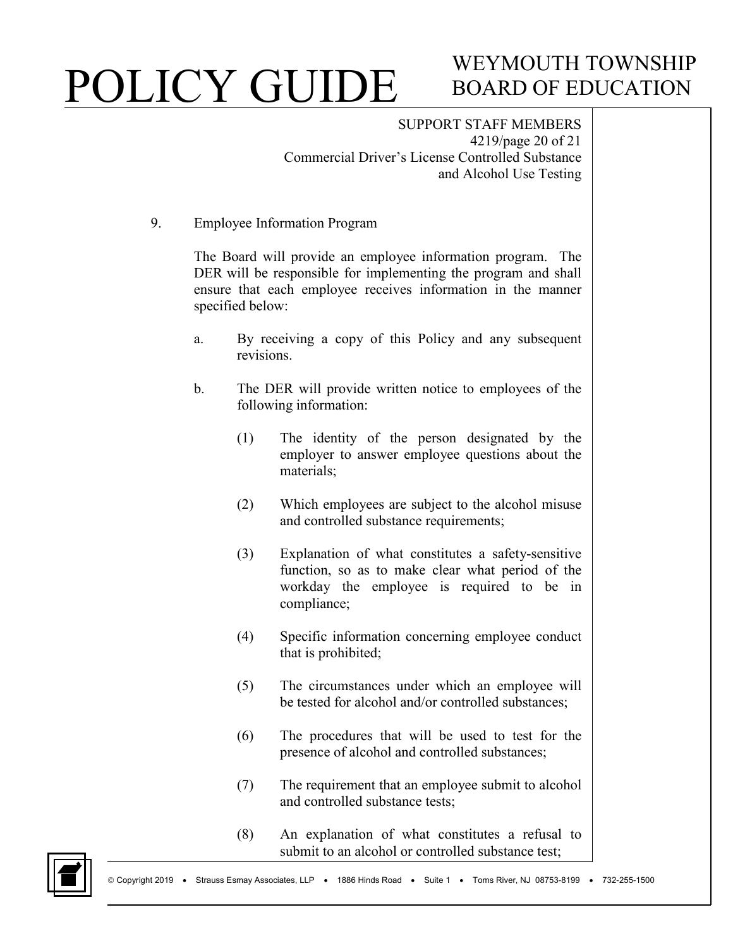# WEYMOUTH TOWNSHIP BOARD OF EDUCATION

SUPPORT STAFF MEMBERS 4219/page 20 of 21 Commercial Driver's License Controlled Substance and Alcohol Use Testing

9. Employee Information Program

The Board will provide an employee information program. The DER will be responsible for implementing the program and shall ensure that each employee receives information in the manner specified below:

- a. By receiving a copy of this Policy and any subsequent revisions.
- b. The DER will provide written notice to employees of the following information:
	- (1) The identity of the person designated by the employer to answer employee questions about the materials;
	- (2) Which employees are subject to the alcohol misuse and controlled substance requirements;
	- (3) Explanation of what constitutes a safety-sensitive function, so as to make clear what period of the workday the employee is required to be in compliance;
	- (4) Specific information concerning employee conduct that is prohibited;
	- (5) The circumstances under which an employee will be tested for alcohol and/or controlled substances;
	- (6) The procedures that will be used to test for the presence of alcohol and controlled substances;
	- (7) The requirement that an employee submit to alcohol and controlled substance tests;
	- (8) An explanation of what constitutes a refusal to submit to an alcohol or controlled substance test;

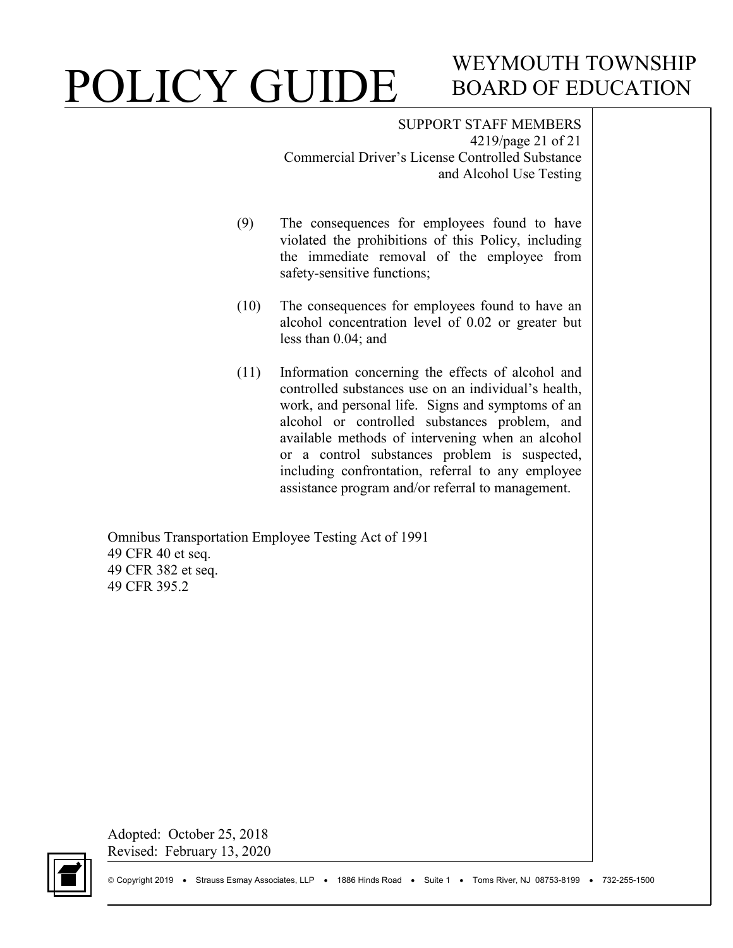## WEYMOUTH TOWNSHIP BOARD OF EDUCATION

SUPPORT STAFF MEMBERS 4219/page 21 of 21 Commercial Driver's License Controlled Substance and Alcohol Use Testing

- (9) The consequences for employees found to have violated the prohibitions of this Policy, including the immediate removal of the employee from safety-sensitive functions;
- (10) The consequences for employees found to have an alcohol concentration level of 0.02 or greater but less than 0.04; and
- (11) Information concerning the effects of alcohol and controlled substances use on an individual's health, work, and personal life. Signs and symptoms of an alcohol or controlled substances problem, and available methods of intervening when an alcohol or a control substances problem is suspected, including confrontation, referral to any employee assistance program and/or referral to management.

Omnibus Transportation Employee Testing Act of 1991 49 CFR 40 et seq. 49 CFR 382 et seq. 49 CFR 395.2

Adopted: October 25, 2018 Revised: February 13, 2020

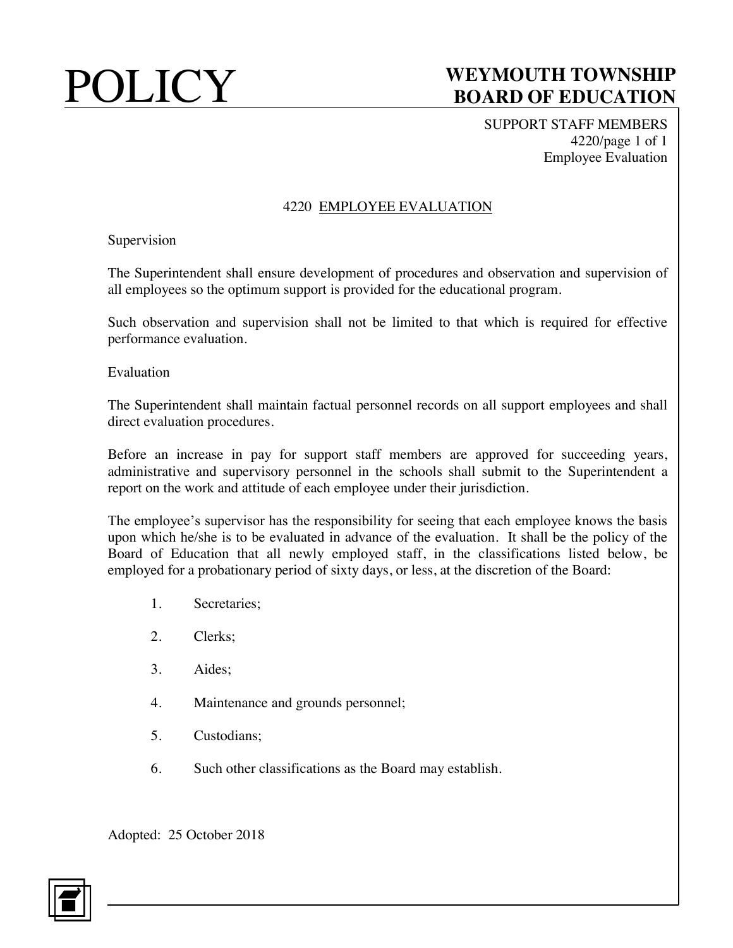SUPPORT STAFF MEMBERS 4220/page 1 of 1 Employee Evaluation

#### 4220 EMPLOYEE EVALUATION

Supervision

The Superintendent shall ensure development of procedures and observation and supervision of all employees so the optimum support is provided for the educational program.

Such observation and supervision shall not be limited to that which is required for effective performance evaluation.

Evaluation

The Superintendent shall maintain factual personnel records on all support employees and shall direct evaluation procedures.

Before an increase in pay for support staff members are approved for succeeding years, administrative and supervisory personnel in the schools shall submit to the Superintendent a report on the work and attitude of each employee under their jurisdiction.

The employee's supervisor has the responsibility for seeing that each employee knows the basis upon which he/she is to be evaluated in advance of the evaluation. It shall be the policy of the Board of Education that all newly employed staff, in the classifications listed below, be employed for a probationary period of sixty days, or less, at the discretion of the Board:

- 1. Secretaries;
- 2. Clerks;
- 3. Aides;
- 4. Maintenance and grounds personnel;
- 5. Custodians;
- 6. Such other classifications as the Board may establish.

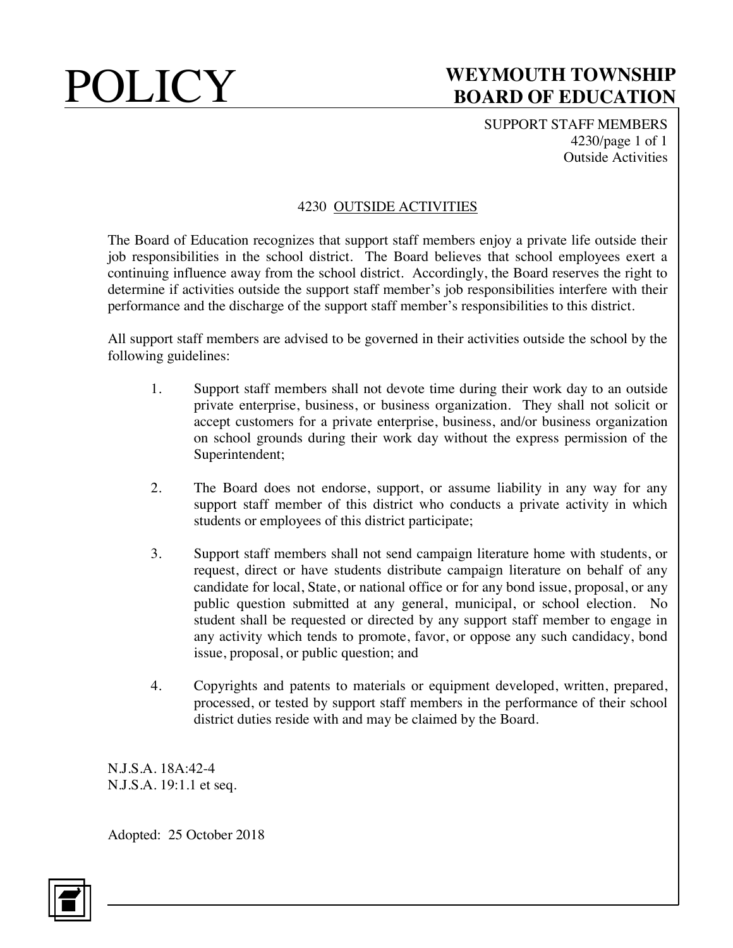SUPPORT STAFF MEMBERS 4230/page 1 of 1 Outside Activities

#### 4230 OUTSIDE ACTIVITIES

The Board of Education recognizes that support staff members enjoy a private life outside their job responsibilities in the school district. The Board believes that school employees exert a continuing influence away from the school district. Accordingly, the Board reserves the right to determine if activities outside the support staff member's job responsibilities interfere with their performance and the discharge of the support staff member's responsibilities to this district.

All support staff members are advised to be governed in their activities outside the school by the following guidelines:

- 1. Support staff members shall not devote time during their work day to an outside private enterprise, business, or business organization. They shall not solicit or accept customers for a private enterprise, business, and/or business organization on school grounds during their work day without the express permission of the Superintendent;
- 2. The Board does not endorse, support, or assume liability in any way for any support staff member of this district who conducts a private activity in which students or employees of this district participate;
- 3. Support staff members shall not send campaign literature home with students, or request, direct or have students distribute campaign literature on behalf of any candidate for local, State, or national office or for any bond issue, proposal, or any public question submitted at any general, municipal, or school election. No student shall be requested or directed by any support staff member to engage in any activity which tends to promote, favor, or oppose any such candidacy, bond issue, proposal, or public question; and
- 4. Copyrights and patents to materials or equipment developed, written, prepared, processed, or tested by support staff members in the performance of their school district duties reside with and may be claimed by the Board.

N.J.S.A. 18A:42-4 N.J.S.A. 19:1.1 et seq.

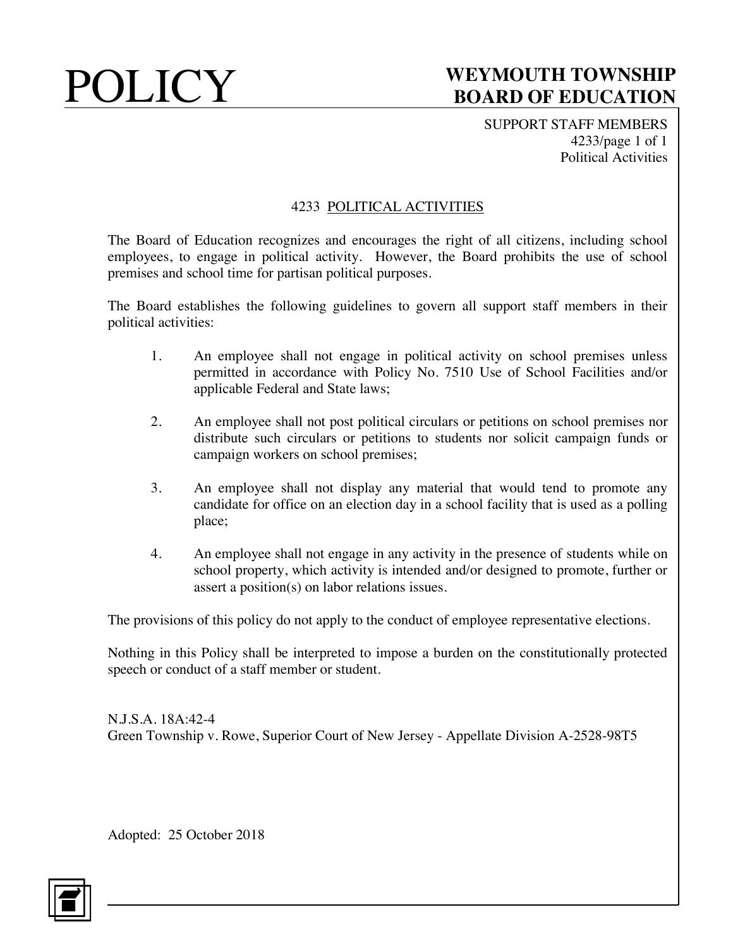SUPPORT STAFF MEMBERS 4233/page 1 of 1 Political Activities

#### 4233 POLITICAL ACTIVITIES

The Board of Education recognizes and encourages the right of all citizens, including school employees, to engage in political activity. However, the Board prohibits the use of school premises and school time for partisan political purposes.

The Board establishes the following guidelines to govern all support staff members in their political activities:

- 1. An employee shall not engage in political activity on school premises unless permitted in accordance with Policy No. 7510 Use of School Facilities and/or applicable Federal and State laws;
- 2. An employee shall not post political circulars or petitions on school premises nor distribute such circulars or petitions to students nor solicit campaign funds or campaign workers on school premises;
- 3. An employee shall not display any material that would tend to promote any candidate for office on an election day in a school facility that is used as a polling place;
- 4. An employee shall not engage in any activity in the presence of students while on school property, which activity is intended and/or designed to promote, further or assert a position(s) on labor relations issues.

The provisions of this policy do not apply to the conduct of employee representative elections.

Nothing in this Policy shall be interpreted to impose a burden on the constitutionally protected speech or conduct of a staff member or student.

N.J.S.A. 18A:42-4 Green Township v. Rowe, Superior Court of New Jersey - Appellate Division A-2528-98T5

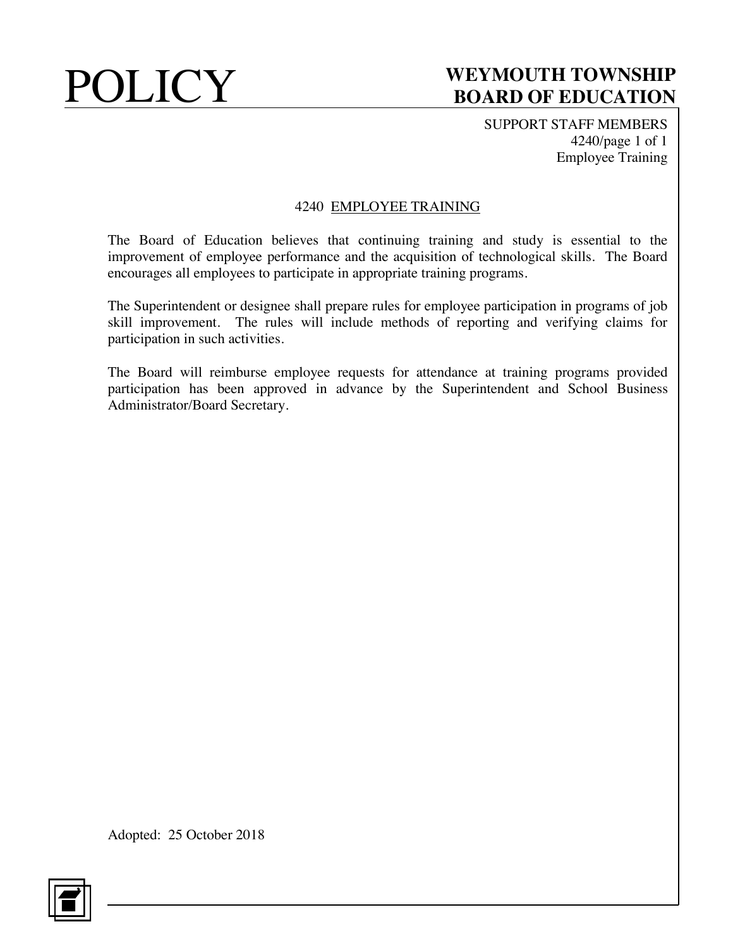SUPPORT STAFF MEMBERS 4240/page 1 of 1 Employee Training

#### 4240 EMPLOYEE TRAINING

The Board of Education believes that continuing training and study is essential to the improvement of employee performance and the acquisition of technological skills. The Board encourages all employees to participate in appropriate training programs.

The Superintendent or designee shall prepare rules for employee participation in programs of job skill improvement. The rules will include methods of reporting and verifying claims for participation in such activities.

The Board will reimburse employee requests for attendance at training programs provided participation has been approved in advance by the Superintendent and School Business Administrator/Board Secretary.

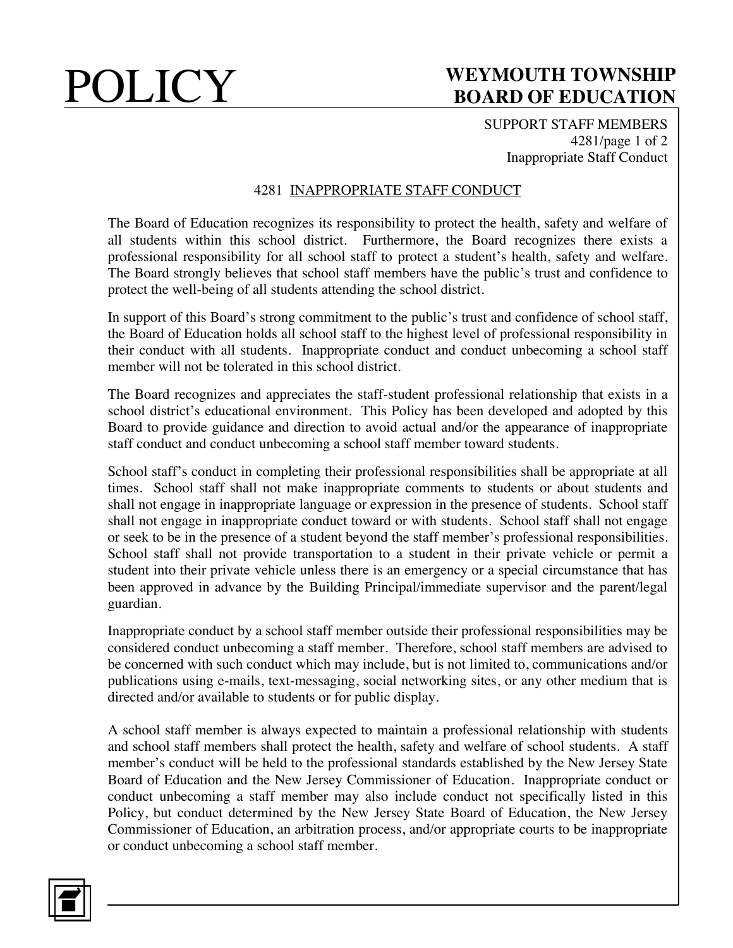SUPPORT STAFF MEMBERS 4281/page 1 of 2 Inappropriate Staff Conduct

#### 4281 INAPPROPRIATE STAFF CONDUCT

The Board of Education recognizes its responsibility to protect the health, safety and welfare of all students within this school district. Furthermore, the Board recognizes there exists a professional responsibility for all school staff to protect a student's health, safety and welfare. The Board strongly believes that school staff members have the public's trust and confidence to protect the well-being of all students attending the school district.

In support of this Board's strong commitment to the public's trust and confidence of school staff, the Board of Education holds all school staff to the highest level of professional responsibility in their conduct with all students. Inappropriate conduct and conduct unbecoming a school staff member will not be tolerated in this school district.

The Board recognizes and appreciates the staff-student professional relationship that exists in a school district's educational environment. This Policy has been developed and adopted by this Board to provide guidance and direction to avoid actual and/or the appearance of inappropriate staff conduct and conduct unbecoming a school staff member toward students.

School staff's conduct in completing their professional responsibilities shall be appropriate at all times. School staff shall not make inappropriate comments to students or about students and shall not engage in inappropriate language or expression in the presence of students. School staff shall not engage in inappropriate conduct toward or with students. School staff shall not engage or seek to be in the presence of a student beyond the staff member's professional responsibilities. School staff shall not provide transportation to a student in their private vehicle or permit a student into their private vehicle unless there is an emergency or a special circumstance that has been approved in advance by the Building Principal/immediate supervisor and the parent/legal guardian.

Inappropriate conduct by a school staff member outside their professional responsibilities may be considered conduct unbecoming a staff member. Therefore, school staff members are advised to be concerned with such conduct which may include, but is not limited to, communications and/or publications using e-mails, text-messaging, social networking sites, or any other medium that is directed and/or available to students or for public display.

A school staff member is always expected to maintain a professional relationship with students and school staff members shall protect the health, safety and welfare of school students. A staff member's conduct will be held to the professional standards established by the New Jersey State Board of Education and the New Jersey Commissioner of Education. Inappropriate conduct or conduct unbecoming a staff member may also include conduct not specifically listed in this Policy, but conduct determined by the New Jersey State Board of Education, the New Jersey Commissioner of Education, an arbitration process, and/or appropriate courts to be inappropriate or conduct unbecoming a school staff member.

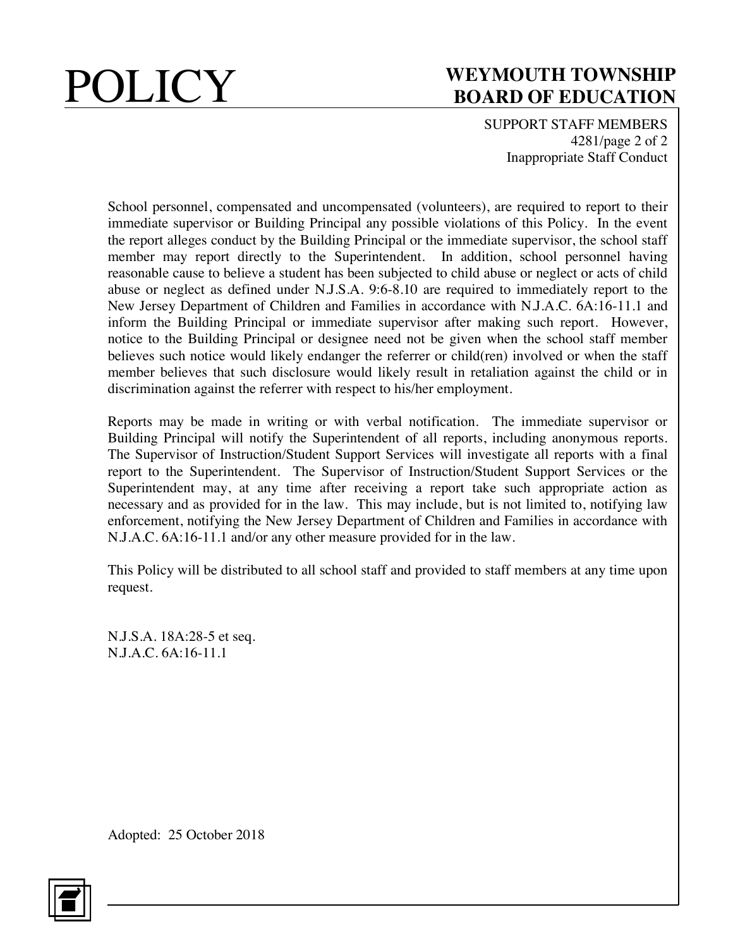SUPPORT STAFF MEMBERS 4281/page 2 of 2 Inappropriate Staff Conduct

School personnel, compensated and uncompensated (volunteers), are required to report to their immediate supervisor or Building Principal any possible violations of this Policy. In the event the report alleges conduct by the Building Principal or the immediate supervisor, the school staff member may report directly to the Superintendent. In addition, school personnel having reasonable cause to believe a student has been subjected to child abuse or neglect or acts of child abuse or neglect as defined under N.J.S.A. 9:6-8.10 are required to immediately report to the New Jersey Department of Children and Families in accordance with N.J.A.C. 6A:16-11.1 and inform the Building Principal or immediate supervisor after making such report. However, notice to the Building Principal or designee need not be given when the school staff member believes such notice would likely endanger the referrer or child(ren) involved or when the staff member believes that such disclosure would likely result in retaliation against the child or in discrimination against the referrer with respect to his/her employment.

Reports may be made in writing or with verbal notification. The immediate supervisor or Building Principal will notify the Superintendent of all reports, including anonymous reports. The Supervisor of Instruction/Student Support Services will investigate all reports with a final report to the Superintendent. The Supervisor of Instruction/Student Support Services or the Superintendent may, at any time after receiving a report take such appropriate action as necessary and as provided for in the law. This may include, but is not limited to, notifying law enforcement, notifying the New Jersey Department of Children and Families in accordance with N.J.A.C. 6A:16-11.1 and/or any other measure provided for in the law.

This Policy will be distributed to all school staff and provided to staff members at any time upon request.

N.J.S.A. 18A:28-5 et seq. N.J.A.C. 6A:16-11.1

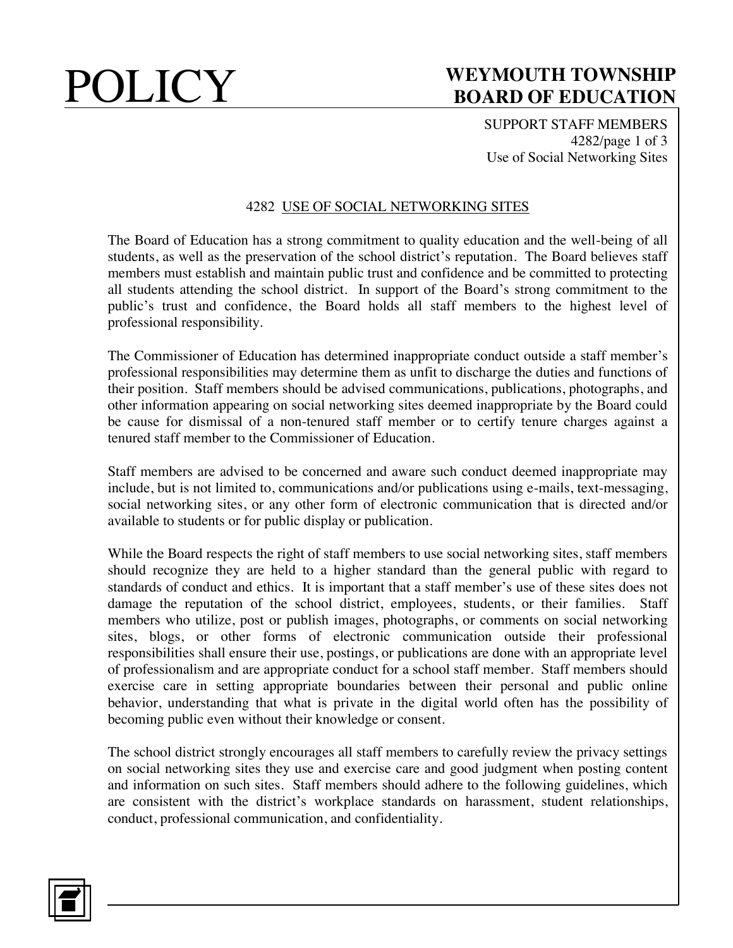SUPPORT STAFF MEMBERS 4282/page 1 of 3 Use of Social Networking Sites

#### 4282 USE OF SOCIAL NETWORKING SITES

The Board of Education has a strong commitment to quality education and the well-being of all students, as well as the preservation of the school district's reputation. The Board believes staff members must establish and maintain public trust and confidence and be committed to protecting all students attending the school district. In support of the Board's strong commitment to the public's trust and confidence, the Board holds all staff members to the highest level of professional responsibility.

The Commissioner of Education has determined inappropriate conduct outside a staff member's professional responsibilities may determine them as unfit to discharge the duties and functions of their position. Staff members should be advised communications, publications, photographs, and other information appearing on social networking sites deemed inappropriate by the Board could be cause for dismissal of a non-tenured staff member or to certify tenure charges against a tenured staff member to the Commissioner of Education.

Staff members are advised to be concerned and aware such conduct deemed inappropriate may include, but is not limited to, communications and/or publications using e-mails, text-messaging, social networking sites, or any other form of electronic communication that is directed and/or available to students or for public display or publication.

While the Board respects the right of staff members to use social networking sites, staff members should recognize they are held to a higher standard than the general public with regard to standards of conduct and ethics. It is important that a staff member's use of these sites does not damage the reputation of the school district, employees, students, or their families. Staff members who utilize, post or publish images, photographs, or comments on social networking sites, blogs, or other forms of electronic communication outside their professional responsibilities shall ensure their use, postings, or publications are done with an appropriate level of professionalism and are appropriate conduct for a school staff member. Staff members should exercise care in setting appropriate boundaries between their personal and public online behavior, understanding that what is private in the digital world often has the possibility of becoming public even without their knowledge or consent.

The school district strongly encourages all staff members to carefully review the privacy settings on social networking sites they use and exercise care and good judgment when posting content and information on such sites. Staff members should adhere to the following guidelines, which are consistent with the district's workplace standards on harassment, student relationships, conduct, professional communication, and confidentiality.

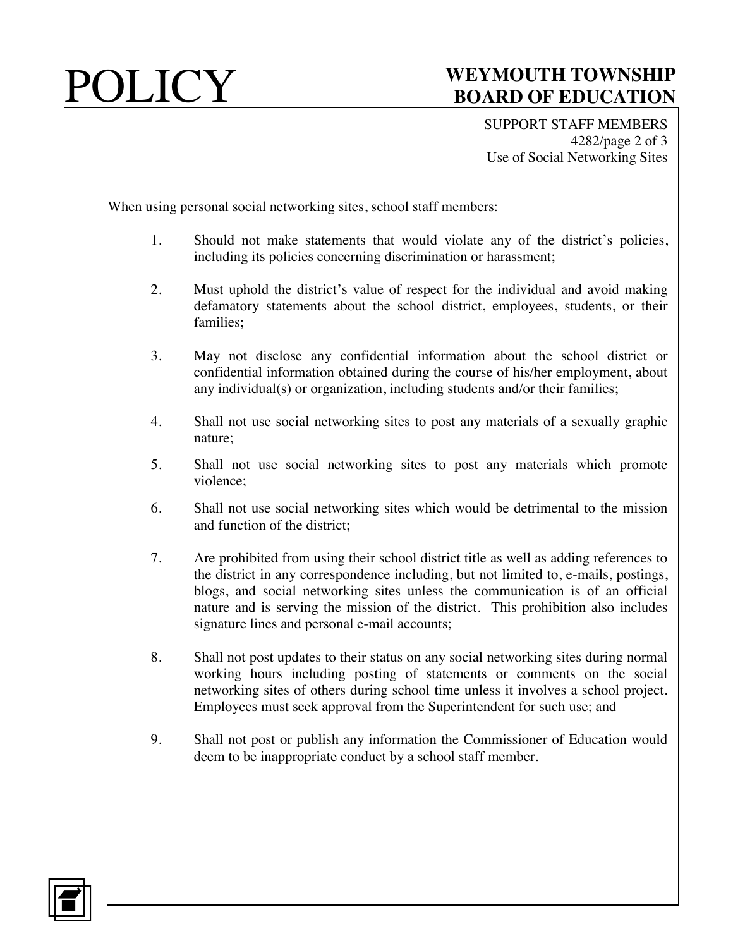SUPPORT STAFF MEMBERS 4282/page 2 of 3 Use of Social Networking Sites

When using personal social networking sites, school staff members:

- 1. Should not make statements that would violate any of the district's policies, including its policies concerning discrimination or harassment;
- 2. Must uphold the district's value of respect for the individual and avoid making defamatory statements about the school district, employees, students, or their families;
- 3. May not disclose any confidential information about the school district or confidential information obtained during the course of his/her employment, about any individual(s) or organization, including students and/or their families;
- 4. Shall not use social networking sites to post any materials of a sexually graphic nature;
- 5. Shall not use social networking sites to post any materials which promote violence;
- 6. Shall not use social networking sites which would be detrimental to the mission and function of the district;
- 7. Are prohibited from using their school district title as well as adding references to the district in any correspondence including, but not limited to, e-mails, postings, blogs, and social networking sites unless the communication is of an official nature and is serving the mission of the district. This prohibition also includes signature lines and personal e-mail accounts;
- 8. Shall not post updates to their status on any social networking sites during normal working hours including posting of statements or comments on the social networking sites of others during school time unless it involves a school project. Employees must seek approval from the Superintendent for such use; and
- 9. Shall not post or publish any information the Commissioner of Education would deem to be inappropriate conduct by a school staff member.

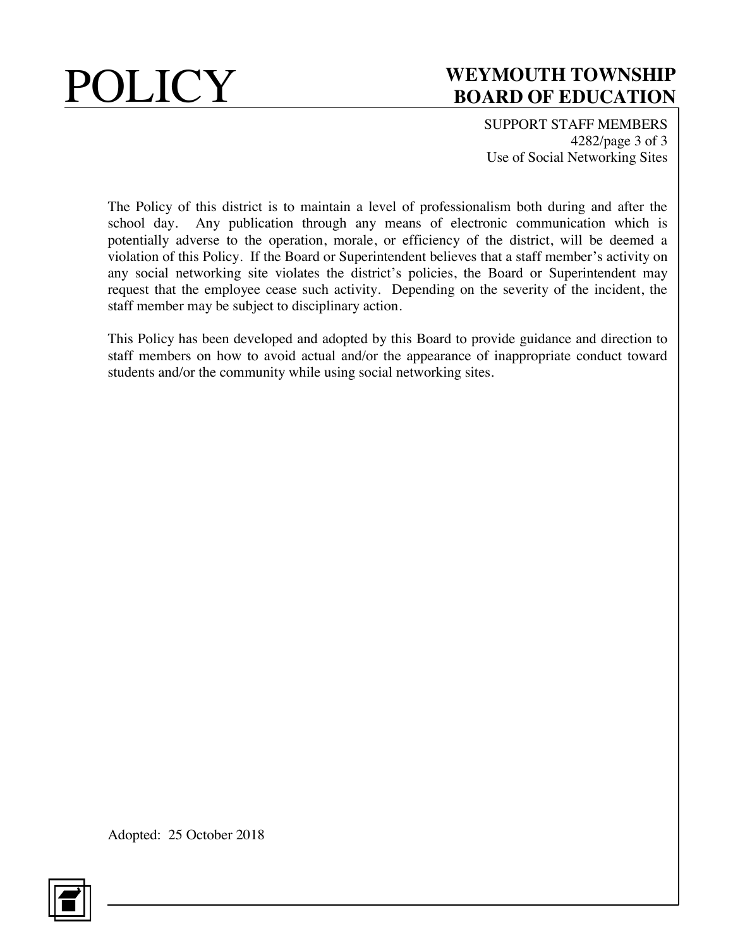

SUPPORT STAFF MEMBERS 4282/page 3 of 3 Use of Social Networking Sites

The Policy of this district is to maintain a level of professionalism both during and after the school day. Any publication through any means of electronic communication which is potentially adverse to the operation, morale, or efficiency of the district, will be deemed a violation of this Policy. If the Board or Superintendent believes that a staff member's activity on any social networking site violates the district's policies, the Board or Superintendent may request that the employee cease such activity. Depending on the severity of the incident, the staff member may be subject to disciplinary action.

This Policy has been developed and adopted by this Board to provide guidance and direction to staff members on how to avoid actual and/or the appearance of inappropriate conduct toward students and/or the community while using social networking sites.

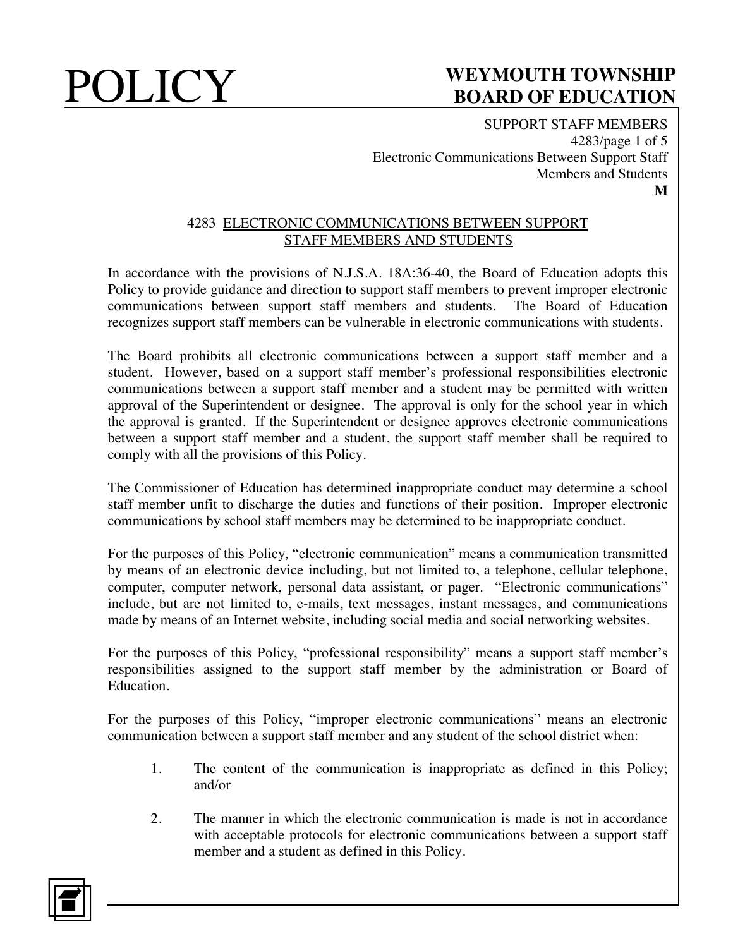SUPPORT STAFF MEMBERS 4283/page 1 of 5 Electronic Communications Between Support Staff Members and Students **M**

#### 4283 ELECTRONIC COMMUNICATIONS BETWEEN SUPPORT STAFF MEMBERS AND STUDENTS

In accordance with the provisions of N.J.S.A. 18A:36-40, the Board of Education adopts this Policy to provide guidance and direction to support staff members to prevent improper electronic communications between support staff members and students. The Board of Education recognizes support staff members can be vulnerable in electronic communications with students.

The Board prohibits all electronic communications between a support staff member and a student. However, based on a support staff member's professional responsibilities electronic communications between a support staff member and a student may be permitted with written approval of the Superintendent or designee. The approval is only for the school year in which the approval is granted. If the Superintendent or designee approves electronic communications between a support staff member and a student, the support staff member shall be required to comply with all the provisions of this Policy.

The Commissioner of Education has determined inappropriate conduct may determine a school staff member unfit to discharge the duties and functions of their position. Improper electronic communications by school staff members may be determined to be inappropriate conduct.

For the purposes of this Policy, "electronic communication" means a communication transmitted by means of an electronic device including, but not limited to, a telephone, cellular telephone, computer, computer network, personal data assistant, or pager. "Electronic communications" include, but are not limited to, e-mails, text messages, instant messages, and communications made by means of an Internet website, including social media and social networking websites.

For the purposes of this Policy, "professional responsibility" means a support staff member's responsibilities assigned to the support staff member by the administration or Board of Education.

For the purposes of this Policy, "improper electronic communications" means an electronic communication between a support staff member and any student of the school district when:

- 1. The content of the communication is inappropriate as defined in this Policy; and/or
- 2. The manner in which the electronic communication is made is not in accordance with acceptable protocols for electronic communications between a support staff member and a student as defined in this Policy.

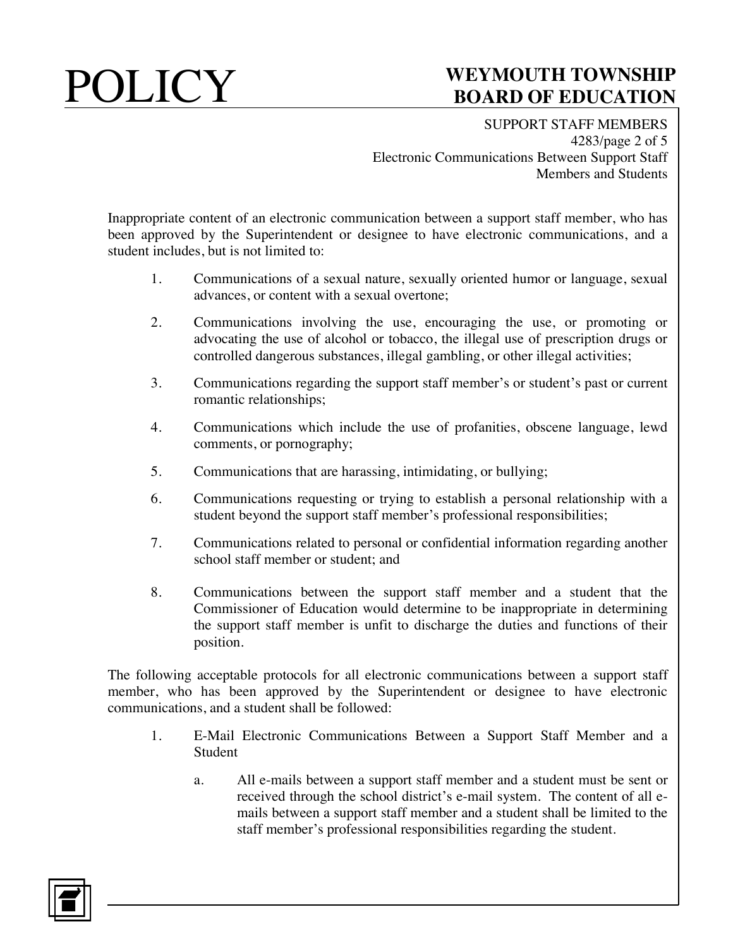SUPPORT STAFF MEMBERS 4283/page 2 of 5 Electronic Communications Between Support Staff Members and Students

Inappropriate content of an electronic communication between a support staff member, who has been approved by the Superintendent or designee to have electronic communications, and a student includes, but is not limited to:

- 1. Communications of a sexual nature, sexually oriented humor or language, sexual advances, or content with a sexual overtone;
- 2. Communications involving the use, encouraging the use, or promoting or advocating the use of alcohol or tobacco, the illegal use of prescription drugs or controlled dangerous substances, illegal gambling, or other illegal activities;
- 3. Communications regarding the support staff member's or student's past or current romantic relationships;
- 4. Communications which include the use of profanities, obscene language, lewd comments, or pornography;
- 5. Communications that are harassing, intimidating, or bullying;
- 6. Communications requesting or trying to establish a personal relationship with a student beyond the support staff member's professional responsibilities;
- 7. Communications related to personal or confidential information regarding another school staff member or student; and
- 8. Communications between the support staff member and a student that the Commissioner of Education would determine to be inappropriate in determining the support staff member is unfit to discharge the duties and functions of their position.

The following acceptable protocols for all electronic communications between a support staff member, who has been approved by the Superintendent or designee to have electronic communications, and a student shall be followed:

- 1. E-Mail Electronic Communications Between a Support Staff Member and a Student
	- a. All e-mails between a support staff member and a student must be sent or received through the school district's e-mail system. The content of all emails between a support staff member and a student shall be limited to the staff member's professional responsibilities regarding the student.

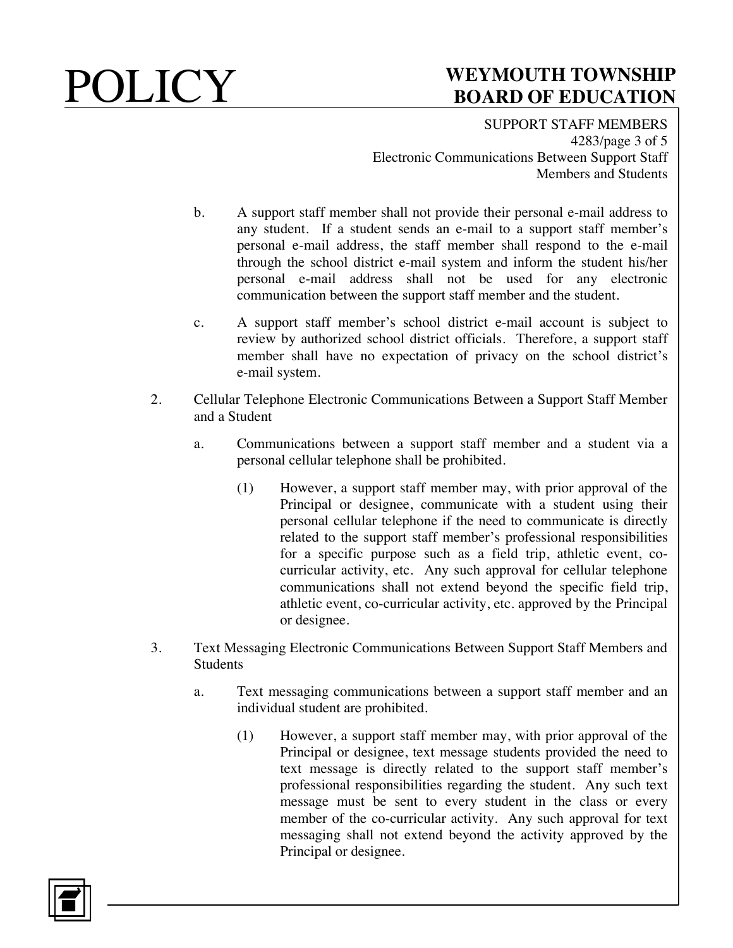SUPPORT STAFF MEMBERS 4283/page 3 of 5 Electronic Communications Between Support Staff Members and Students

- b. A support staff member shall not provide their personal e-mail address to any student. If a student sends an e-mail to a support staff member's personal e-mail address, the staff member shall respond to the e-mail through the school district e-mail system and inform the student his/her personal e-mail address shall not be used for any electronic communication between the support staff member and the student.
- c. A support staff member's school district e-mail account is subject to review by authorized school district officials. Therefore, a support staff member shall have no expectation of privacy on the school district's e-mail system.
- 2. Cellular Telephone Electronic Communications Between a Support Staff Member and a Student
	- a. Communications between a support staff member and a student via a personal cellular telephone shall be prohibited.
		- (1) However, a support staff member may, with prior approval of the Principal or designee, communicate with a student using their personal cellular telephone if the need to communicate is directly related to the support staff member's professional responsibilities for a specific purpose such as a field trip, athletic event, cocurricular activity, etc. Any such approval for cellular telephone communications shall not extend beyond the specific field trip, athletic event, co-curricular activity, etc. approved by the Principal or designee.
- 3. Text Messaging Electronic Communications Between Support Staff Members and **Students** 
	- a. Text messaging communications between a support staff member and an individual student are prohibited.
		- (1) However, a support staff member may, with prior approval of the Principal or designee, text message students provided the need to text message is directly related to the support staff member's professional responsibilities regarding the student. Any such text message must be sent to every student in the class or every member of the co-curricular activity. Any such approval for text messaging shall not extend beyond the activity approved by the Principal or designee.

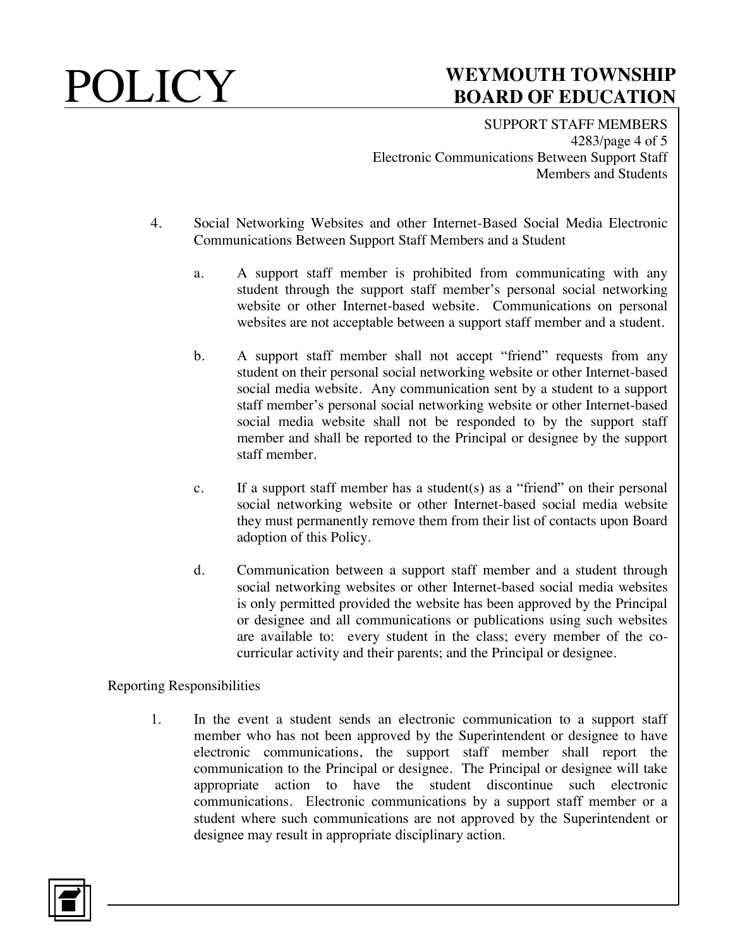SUPPORT STAFF MEMBERS 4283/page 4 of 5 Electronic Communications Between Support Staff Members and Students

- 4. Social Networking Websites and other Internet-Based Social Media Electronic Communications Between Support Staff Members and a Student
	- a. A support staff member is prohibited from communicating with any student through the support staff member's personal social networking website or other Internet-based website. Communications on personal websites are not acceptable between a support staff member and a student.
	- b. A support staff member shall not accept "friend" requests from any student on their personal social networking website or other Internet-based social media website. Any communication sent by a student to a support staff member's personal social networking website or other Internet-based social media website shall not be responded to by the support staff member and shall be reported to the Principal or designee by the support staff member.
	- c. If a support staff member has a student(s) as a "friend" on their personal social networking website or other Internet-based social media website they must permanently remove them from their list of contacts upon Board adoption of this Policy.
	- d. Communication between a support staff member and a student through social networking websites or other Internet-based social media websites is only permitted provided the website has been approved by the Principal or designee and all communications or publications using such websites are available to: every student in the class; every member of the cocurricular activity and their parents; and the Principal or designee.

Reporting Responsibilities

1. In the event a student sends an electronic communication to a support staff member who has not been approved by the Superintendent or designee to have electronic communications, the support staff member shall report the communication to the Principal or designee. The Principal or designee will take appropriate action to have the student discontinue such electronic communications. Electronic communications by a support staff member or a student where such communications are not approved by the Superintendent or designee may result in appropriate disciplinary action.

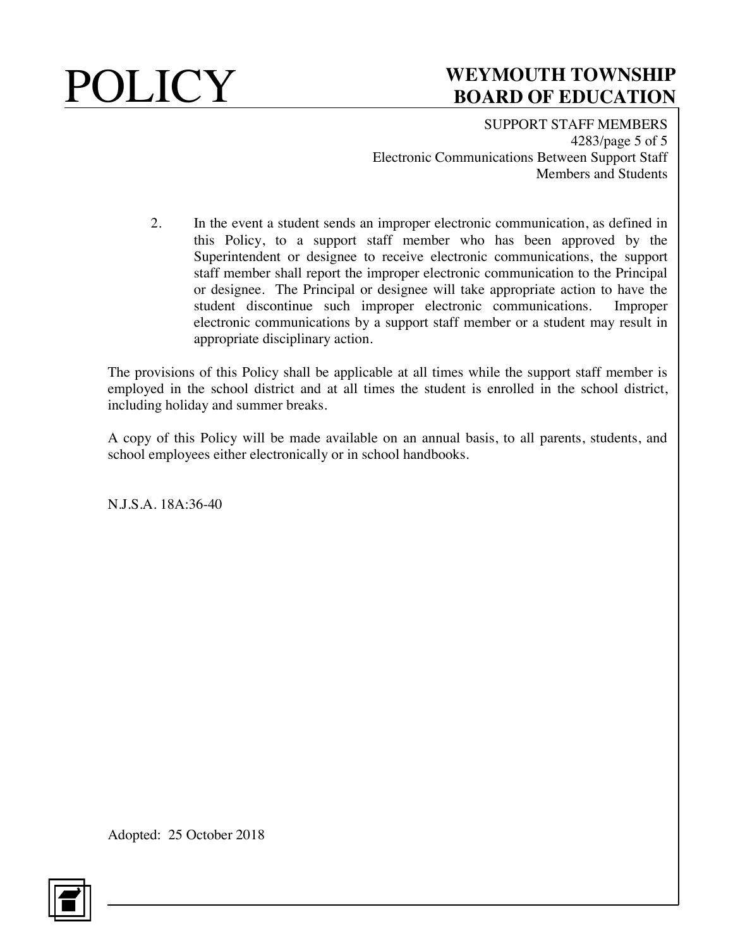SUPPORT STAFF MEMBERS 4283/page 5 of 5 Electronic Communications Between Support Staff Members and Students

2. In the event a student sends an improper electronic communication, as defined in this Policy, to a support staff member who has been approved by the Superintendent or designee to receive electronic communications, the support staff member shall report the improper electronic communication to the Principal or designee. The Principal or designee will take appropriate action to have the student discontinue such improper electronic communications. Improper electronic communications by a support staff member or a student may result in appropriate disciplinary action.

The provisions of this Policy shall be applicable at all times while the support staff member is employed in the school district and at all times the student is enrolled in the school district, including holiday and summer breaks.

A copy of this Policy will be made available on an annual basis, to all parents, students, and school employees either electronically or in school handbooks.

N.J.S.A. 18A:36-40

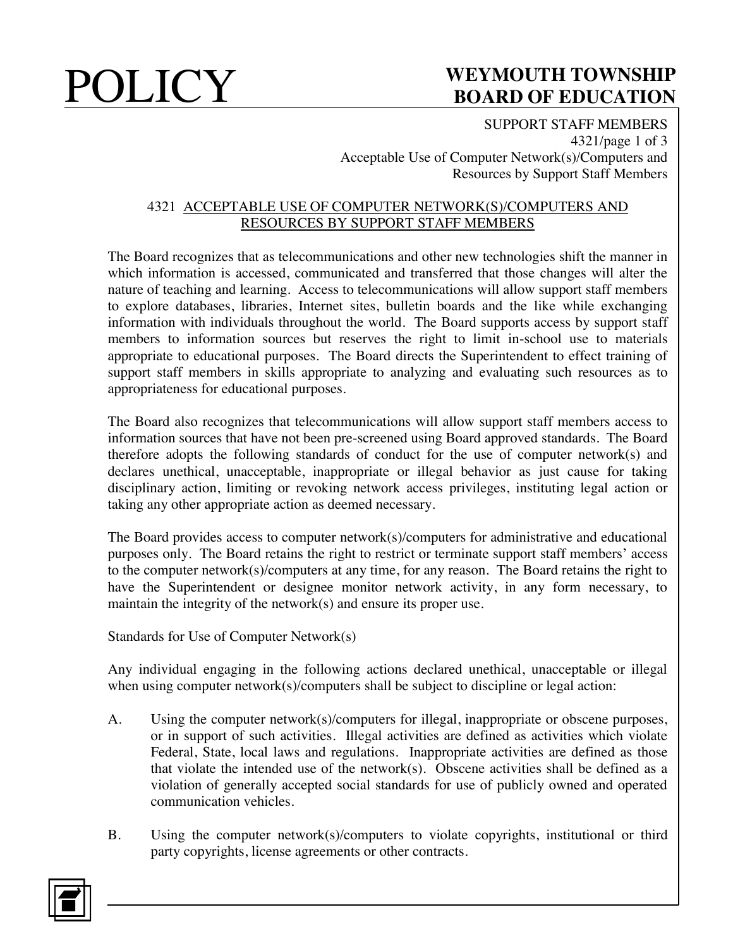SUPPORT STAFF MEMBERS 4321/page 1 of 3 Acceptable Use of Computer Network(s)/Computers and Resources by Support Staff Members

### 4321 ACCEPTABLE USE OF COMPUTER NETWORK(S)/COMPUTERS AND RESOURCES BY SUPPORT STAFF MEMBERS

The Board recognizes that as telecommunications and other new technologies shift the manner in which information is accessed, communicated and transferred that those changes will alter the nature of teaching and learning. Access to telecommunications will allow support staff members to explore databases, libraries, Internet sites, bulletin boards and the like while exchanging information with individuals throughout the world. The Board supports access by support staff members to information sources but reserves the right to limit in-school use to materials appropriate to educational purposes. The Board directs the Superintendent to effect training of support staff members in skills appropriate to analyzing and evaluating such resources as to appropriateness for educational purposes.

The Board also recognizes that telecommunications will allow support staff members access to information sources that have not been pre-screened using Board approved standards. The Board therefore adopts the following standards of conduct for the use of computer network(s) and declares unethical, unacceptable, inappropriate or illegal behavior as just cause for taking disciplinary action, limiting or revoking network access privileges, instituting legal action or taking any other appropriate action as deemed necessary.

The Board provides access to computer network(s)/computers for administrative and educational purposes only. The Board retains the right to restrict or terminate support staff members' access to the computer network(s)/computers at any time, for any reason. The Board retains the right to have the Superintendent or designee monitor network activity, in any form necessary, to maintain the integrity of the network(s) and ensure its proper use.

Standards for Use of Computer Network(s)

Any individual engaging in the following actions declared unethical, unacceptable or illegal when using computer network(s)/computers shall be subject to discipline or legal action:

- A. Using the computer network(s)/computers for illegal, inappropriate or obscene purposes, or in support of such activities. Illegal activities are defined as activities which violate Federal, State, local laws and regulations. Inappropriate activities are defined as those that violate the intended use of the network(s). Obscene activities shall be defined as a violation of generally accepted social standards for use of publicly owned and operated communication vehicles.
- B. Using the computer network(s)/computers to violate copyrights, institutional or third party copyrights, license agreements or other contracts.

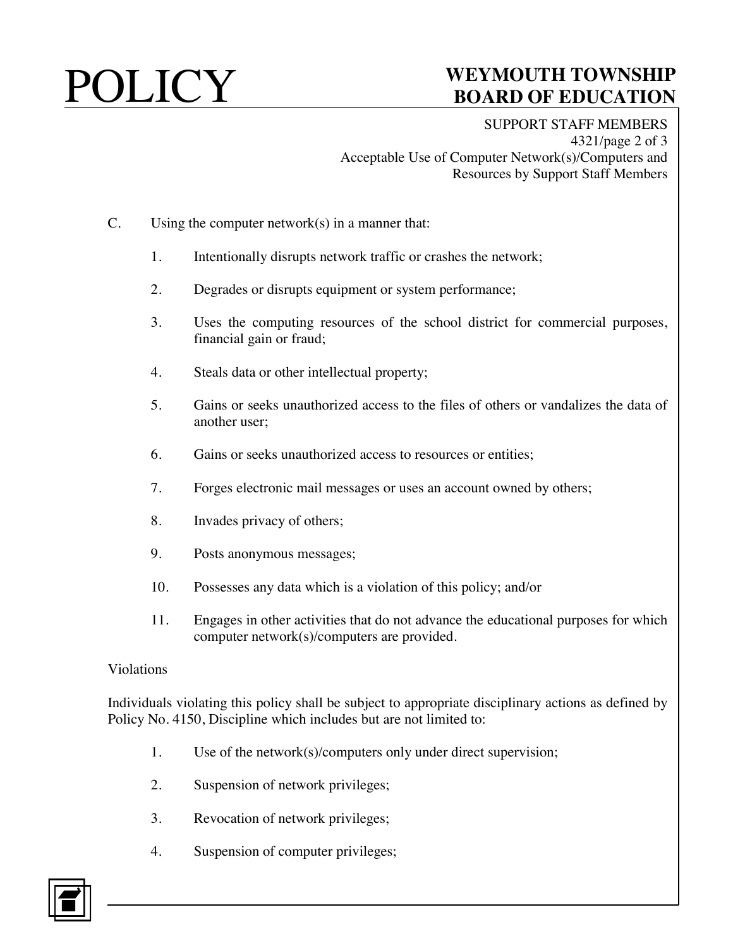SUPPORT STAFF MEMBERS 4321/page 2 of 3 Acceptable Use of Computer Network(s)/Computers and Resources by Support Staff Members

### C. Using the computer network(s) in a manner that:

- 1. Intentionally disrupts network traffic or crashes the network;
- 2. Degrades or disrupts equipment or system performance;
- 3. Uses the computing resources of the school district for commercial purposes, financial gain or fraud;
- 4. Steals data or other intellectual property;
- 5. Gains or seeks unauthorized access to the files of others or vandalizes the data of another user;
- 6. Gains or seeks unauthorized access to resources or entities;
- 7. Forges electronic mail messages or uses an account owned by others;
- 8. Invades privacy of others;
- 9. Posts anonymous messages;
- 10. Possesses any data which is a violation of this policy; and/or
- 11. Engages in other activities that do not advance the educational purposes for which computer network(s)/computers are provided.

### Violations

Individuals violating this policy shall be subject to appropriate disciplinary actions as defined by Policy No. 4150, Discipline which includes but are not limited to:

- 1. Use of the network(s)/computers only under direct supervision;
- 2. Suspension of network privileges;
- 3. Revocation of network privileges;
- 4. Suspension of computer privileges;

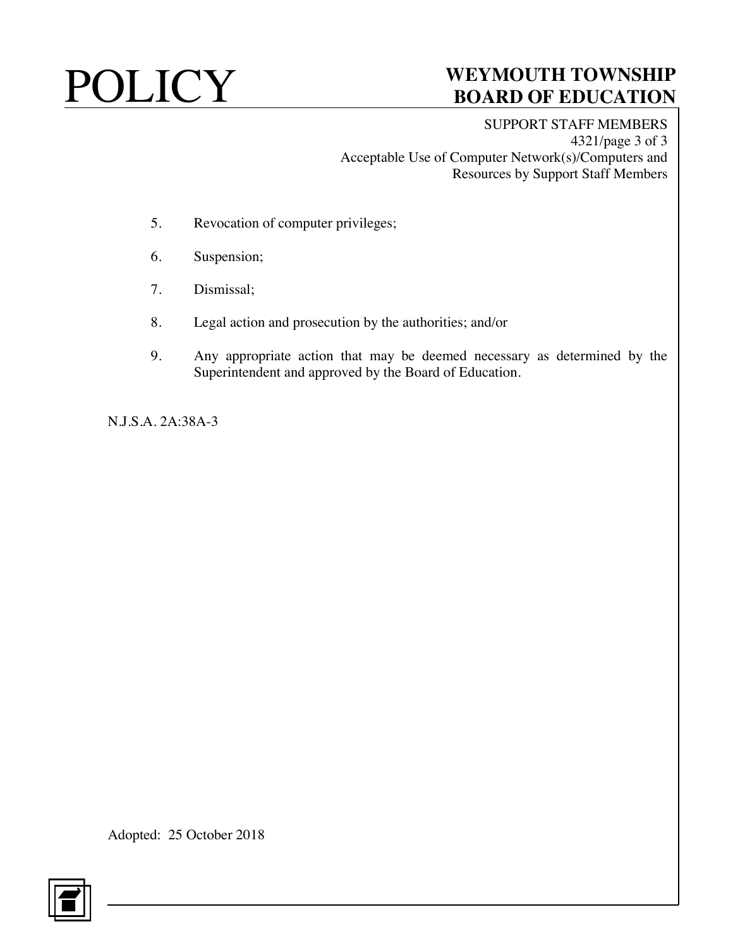SUPPORT STAFF MEMBERS 4321/page 3 of 3 Acceptable Use of Computer Network(s)/Computers and Resources by Support Staff Members

- 5. Revocation of computer privileges;
- 6. Suspension;
- 7. Dismissal;
- 8. Legal action and prosecution by the authorities; and/or
- 9. Any appropriate action that may be deemed necessary as determined by the Superintendent and approved by the Board of Education.

N.J.S.A. 2A:38A-3

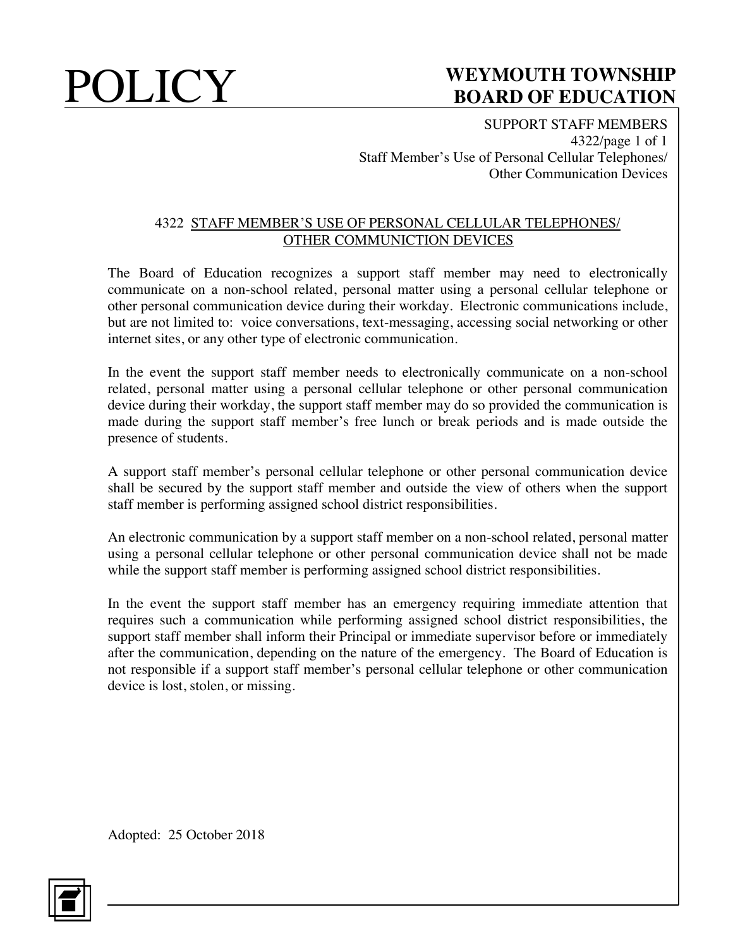SUPPORT STAFF MEMBERS 4322/page 1 of 1 Staff Member's Use of Personal Cellular Telephones/ Other Communication Devices

### 4322 STAFF MEMBER'S USE OF PERSONAL CELLULAR TELEPHONES/ OTHER COMMUNICTION DEVICES

The Board of Education recognizes a support staff member may need to electronically communicate on a non-school related, personal matter using a personal cellular telephone or other personal communication device during their workday. Electronic communications include, but are not limited to: voice conversations, text-messaging, accessing social networking or other internet sites, or any other type of electronic communication.

In the event the support staff member needs to electronically communicate on a non-school related, personal matter using a personal cellular telephone or other personal communication device during their workday, the support staff member may do so provided the communication is made during the support staff member's free lunch or break periods and is made outside the presence of students.

A support staff member's personal cellular telephone or other personal communication device shall be secured by the support staff member and outside the view of others when the support staff member is performing assigned school district responsibilities.

An electronic communication by a support staff member on a non-school related, personal matter using a personal cellular telephone or other personal communication device shall not be made while the support staff member is performing assigned school district responsibilities.

In the event the support staff member has an emergency requiring immediate attention that requires such a communication while performing assigned school district responsibilities, the support staff member shall inform their Principal or immediate supervisor before or immediately after the communication, depending on the nature of the emergency. The Board of Education is not responsible if a support staff member's personal cellular telephone or other communication device is lost, stolen, or missing.

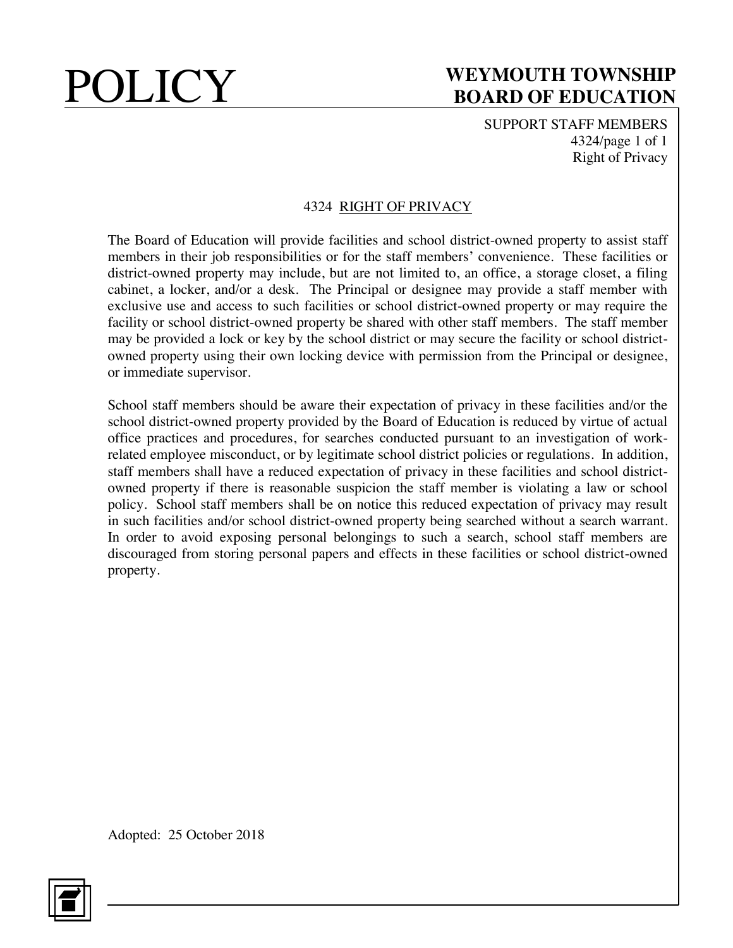SUPPORT STAFF MEMBERS 4324/page 1 of 1 Right of Privacy

### 4324 RIGHT OF PRIVACY

The Board of Education will provide facilities and school district-owned property to assist staff members in their job responsibilities or for the staff members' convenience. These facilities or district-owned property may include, but are not limited to, an office, a storage closet, a filing cabinet, a locker, and/or a desk. The Principal or designee may provide a staff member with exclusive use and access to such facilities or school district-owned property or may require the facility or school district-owned property be shared with other staff members. The staff member may be provided a lock or key by the school district or may secure the facility or school districtowned property using their own locking device with permission from the Principal or designee, or immediate supervisor.

School staff members should be aware their expectation of privacy in these facilities and/or the school district-owned property provided by the Board of Education is reduced by virtue of actual office practices and procedures, for searches conducted pursuant to an investigation of workrelated employee misconduct, or by legitimate school district policies or regulations. In addition, staff members shall have a reduced expectation of privacy in these facilities and school districtowned property if there is reasonable suspicion the staff member is violating a law or school policy. School staff members shall be on notice this reduced expectation of privacy may result in such facilities and/or school district-owned property being searched without a search warrant. In order to avoid exposing personal belongings to such a search, school staff members are discouraged from storing personal papers and effects in these facilities or school district-owned property.

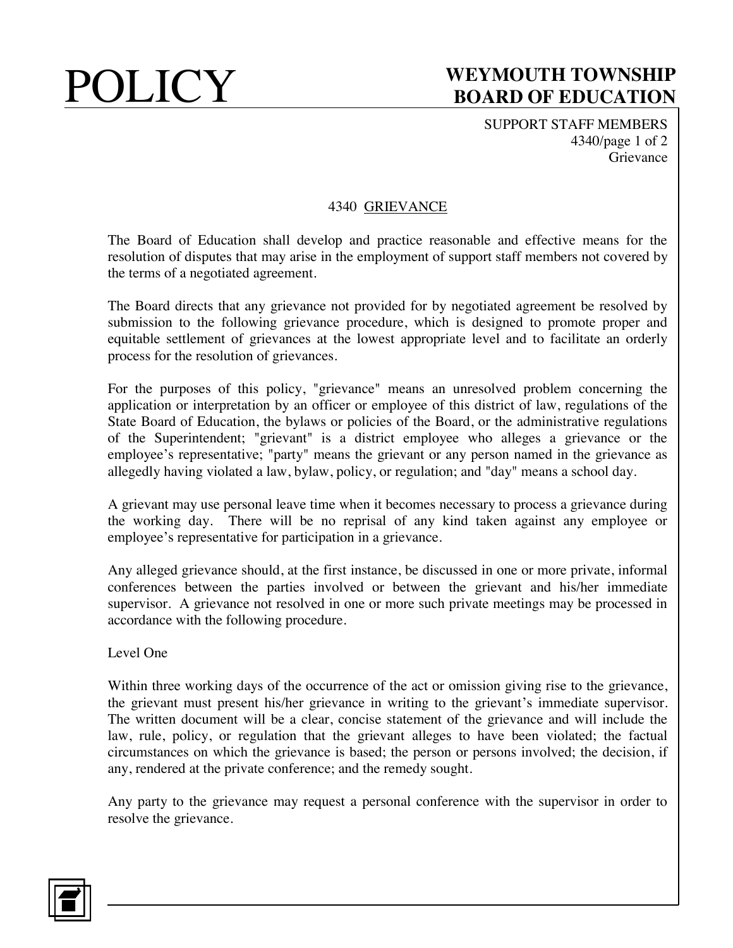SUPPORT STAFF MEMBERS 4340/page 1 of 2 Grievance

### 4340 GRIEVANCE

The Board of Education shall develop and practice reasonable and effective means for the resolution of disputes that may arise in the employment of support staff members not covered by the terms of a negotiated agreement.

The Board directs that any grievance not provided for by negotiated agreement be resolved by submission to the following grievance procedure, which is designed to promote proper and equitable settlement of grievances at the lowest appropriate level and to facilitate an orderly process for the resolution of grievances.

For the purposes of this policy, "grievance" means an unresolved problem concerning the application or interpretation by an officer or employee of this district of law, regulations of the State Board of Education, the bylaws or policies of the Board, or the administrative regulations of the Superintendent; "grievant" is a district employee who alleges a grievance or the employee's representative; "party" means the grievant or any person named in the grievance as allegedly having violated a law, bylaw, policy, or regulation; and "day" means a school day.

A grievant may use personal leave time when it becomes necessary to process a grievance during the working day. There will be no reprisal of any kind taken against any employee or employee's representative for participation in a grievance.

Any alleged grievance should, at the first instance, be discussed in one or more private, informal conferences between the parties involved or between the grievant and his/her immediate supervisor. A grievance not resolved in one or more such private meetings may be processed in accordance with the following procedure.

Level One

Within three working days of the occurrence of the act or omission giving rise to the grievance, the grievant must present his/her grievance in writing to the grievant's immediate supervisor. The written document will be a clear, concise statement of the grievance and will include the law, rule, policy, or regulation that the grievant alleges to have been violated; the factual circumstances on which the grievance is based; the person or persons involved; the decision, if any, rendered at the private conference; and the remedy sought.

Any party to the grievance may request a personal conference with the supervisor in order to resolve the grievance.

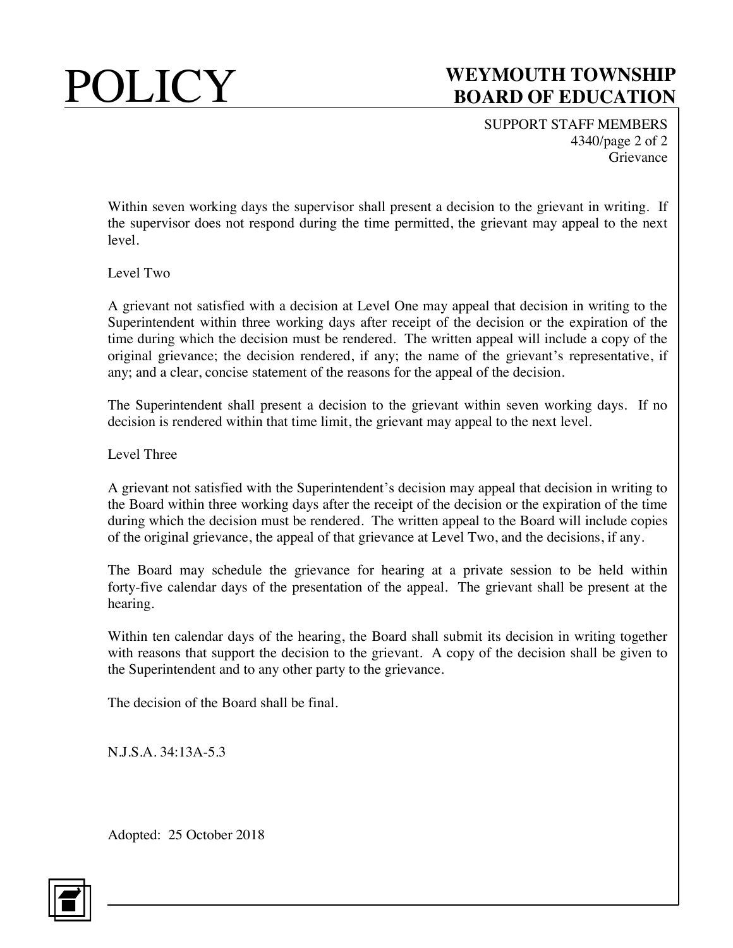SUPPORT STAFF MEMBERS 4340/page 2 of 2 Grievance

Within seven working days the supervisor shall present a decision to the grievant in writing. If the supervisor does not respond during the time permitted, the grievant may appeal to the next level.

### Level Two

A grievant not satisfied with a decision at Level One may appeal that decision in writing to the Superintendent within three working days after receipt of the decision or the expiration of the time during which the decision must be rendered. The written appeal will include a copy of the original grievance; the decision rendered, if any; the name of the grievant's representative, if any; and a clear, concise statement of the reasons for the appeal of the decision.

The Superintendent shall present a decision to the grievant within seven working days. If no decision is rendered within that time limit, the grievant may appeal to the next level.

Level Three

A grievant not satisfied with the Superintendent's decision may appeal that decision in writing to the Board within three working days after the receipt of the decision or the expiration of the time during which the decision must be rendered. The written appeal to the Board will include copies of the original grievance, the appeal of that grievance at Level Two, and the decisions, if any.

The Board may schedule the grievance for hearing at a private session to be held within forty-five calendar days of the presentation of the appeal. The grievant shall be present at the hearing.

Within ten calendar days of the hearing, the Board shall submit its decision in writing together with reasons that support the decision to the grievant. A copy of the decision shall be given to the Superintendent and to any other party to the grievance.

The decision of the Board shall be final.

N.J.S.A. 34:13A-5.3

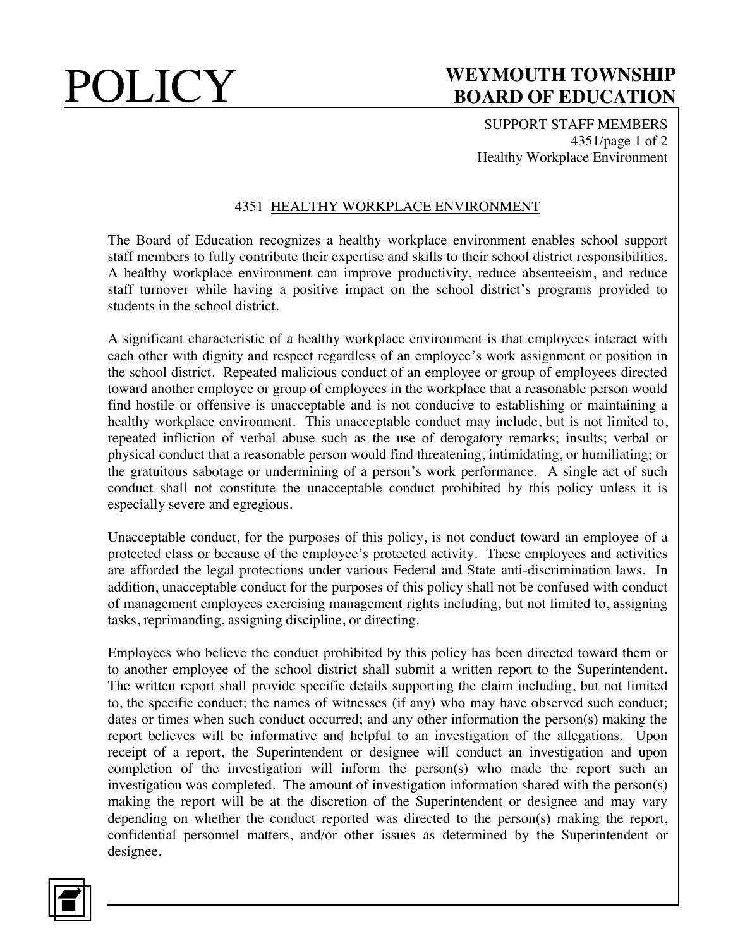SUPPORT STAFF MEMBERS 4351/page 1 of 2 Healthy Workplace Environment

### 4351 HEALTHY WORKPLACE ENVIRONMENT

The Board of Education recognizes a healthy workplace environment enables school support staff members to fully contribute their expertise and skills to their school district responsibilities. A healthy workplace environment can improve productivity, reduce absenteeism, and reduce staff turnover while having a positive impact on the school district's programs provided to students in the school district.

A significant characteristic of a healthy workplace environment is that employees interact with each other with dignity and respect regardless of an employee's work assignment or position in the school district. Repeated malicious conduct of an employee or group of employees directed toward another employee or group of employees in the workplace that a reasonable person would find hostile or offensive is unacceptable and is not conducive to establishing or maintaining a healthy workplace environment. This unacceptable conduct may include, but is not limited to, repeated infliction of verbal abuse such as the use of derogatory remarks; insults; verbal or physical conduct that a reasonable person would find threatening, intimidating, or humiliating; or the gratuitous sabotage or undermining of a person's work performance. A single act of such conduct shall not constitute the unacceptable conduct prohibited by this policy unless it is especially severe and egregious.

Unacceptable conduct, for the purposes of this policy, is not conduct toward an employee of a protected class or because of the employee's protected activity. These employees and activities are afforded the legal protections under various Federal and State anti-discrimination laws. In addition, unacceptable conduct for the purposes of this policy shall not be confused with conduct of management employees exercising management rights including, but not limited to, assigning tasks, reprimanding, assigning discipline, or directing.

Employees who believe the conduct prohibited by this policy has been directed toward them or to another employee of the school district shall submit a written report to the Superintendent. The written report shall provide specific details supporting the claim including, but not limited to, the specific conduct; the names of witnesses (if any) who may have observed such conduct; dates or times when such conduct occurred; and any other information the person(s) making the report believes will be informative and helpful to an investigation of the allegations. Upon receipt of a report, the Superintendent or designee will conduct an investigation and upon completion of the investigation will inform the person(s) who made the report such an investigation was completed. The amount of investigation information shared with the person(s) making the report will be at the discretion of the Superintendent or designee and may vary depending on whether the conduct reported was directed to the person(s) making the report, confidential personnel matters, and/or other issues as determined by the Superintendent or designee.

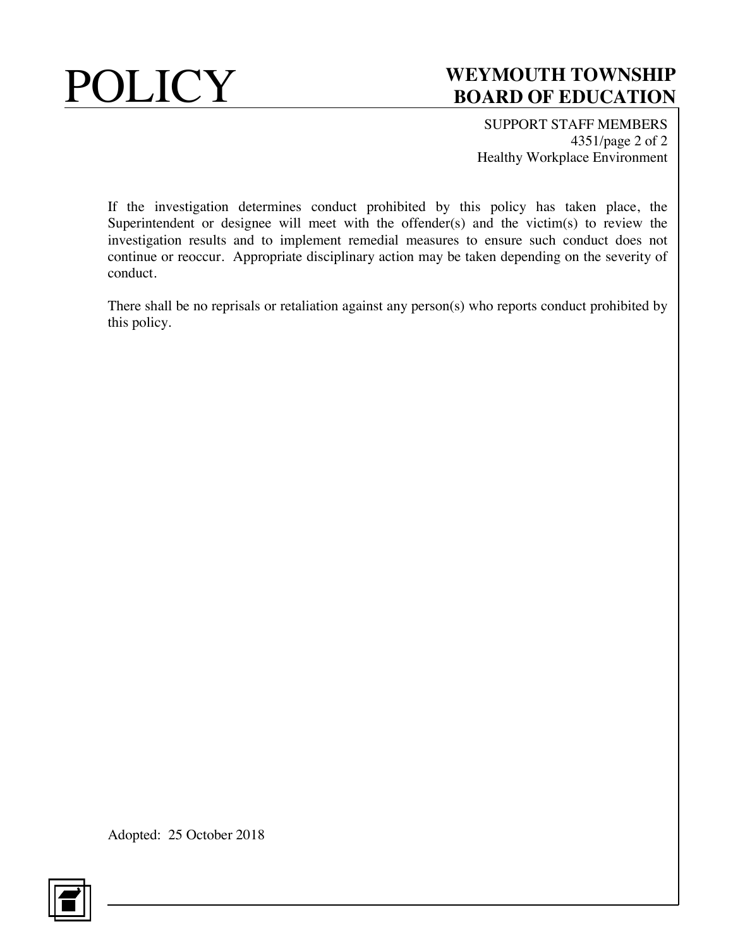

SUPPORT STAFF MEMBERS 4351/page 2 of 2 Healthy Workplace Environment

If the investigation determines conduct prohibited by this policy has taken place, the Superintendent or designee will meet with the offender(s) and the victim(s) to review the investigation results and to implement remedial measures to ensure such conduct does not continue or reoccur. Appropriate disciplinary action may be taken depending on the severity of conduct.

There shall be no reprisals or retaliation against any person(s) who reports conduct prohibited by this policy.

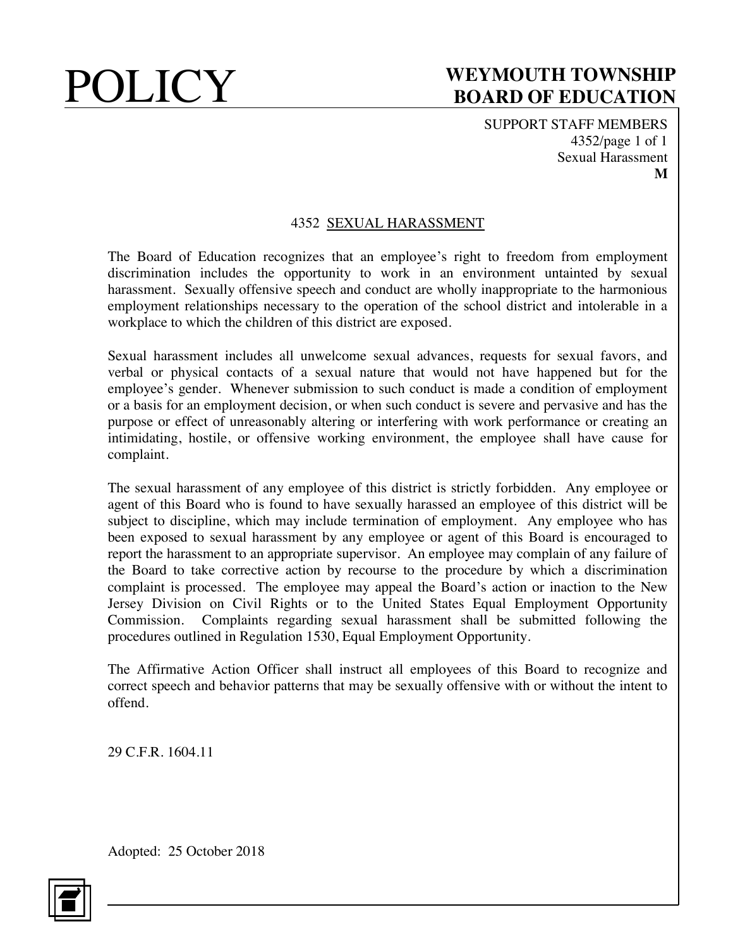SUPPORT STAFF MEMBERS 4352/page 1 of 1 Sexual Harassment **M**

### 4352 SEXUAL HARASSMENT

The Board of Education recognizes that an employee's right to freedom from employment discrimination includes the opportunity to work in an environment untainted by sexual harassment. Sexually offensive speech and conduct are wholly inappropriate to the harmonious employment relationships necessary to the operation of the school district and intolerable in a workplace to which the children of this district are exposed.

Sexual harassment includes all unwelcome sexual advances, requests for sexual favors, and verbal or physical contacts of a sexual nature that would not have happened but for the employee's gender. Whenever submission to such conduct is made a condition of employment or a basis for an employment decision, or when such conduct is severe and pervasive and has the purpose or effect of unreasonably altering or interfering with work performance or creating an intimidating, hostile, or offensive working environment, the employee shall have cause for complaint.

The sexual harassment of any employee of this district is strictly forbidden. Any employee or agent of this Board who is found to have sexually harassed an employee of this district will be subject to discipline, which may include termination of employment. Any employee who has been exposed to sexual harassment by any employee or agent of this Board is encouraged to report the harassment to an appropriate supervisor. An employee may complain of any failure of the Board to take corrective action by recourse to the procedure by which a discrimination complaint is processed. The employee may appeal the Board's action or inaction to the New Jersey Division on Civil Rights or to the United States Equal Employment Opportunity Commission. Complaints regarding sexual harassment shall be submitted following the procedures outlined in Regulation 1530, Equal Employment Opportunity.

The Affirmative Action Officer shall instruct all employees of this Board to recognize and correct speech and behavior patterns that may be sexually offensive with or without the intent to offend.

29 C.F.R. 1604.11

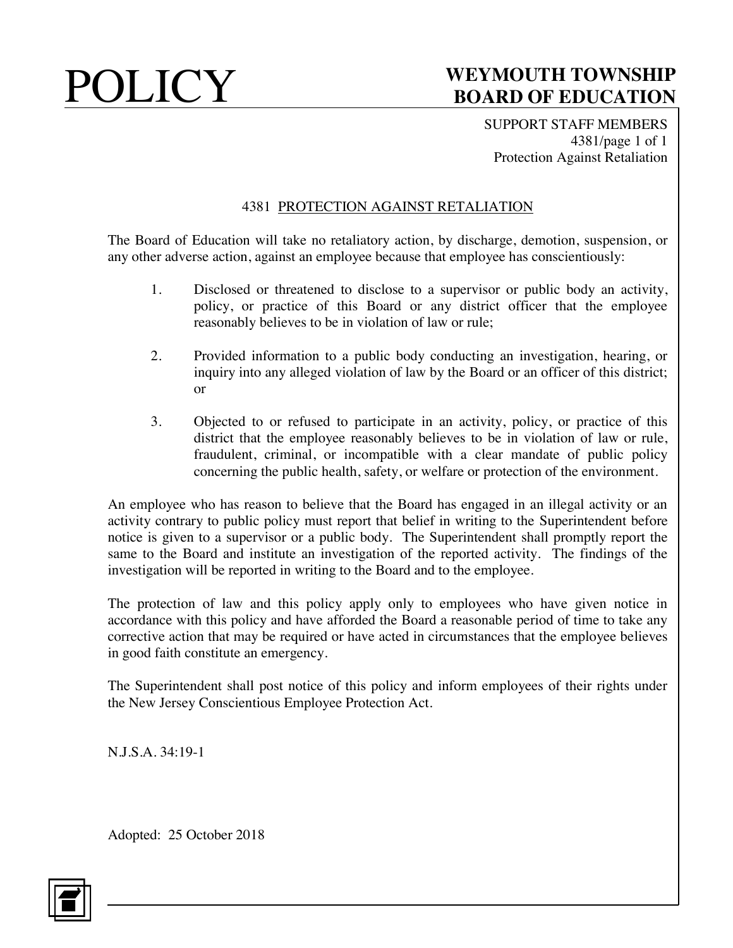SUPPORT STAFF MEMBERS 4381/page 1 of 1 Protection Against Retaliation

### 4381 PROTECTION AGAINST RETALIATION

The Board of Education will take no retaliatory action, by discharge, demotion, suspension, or any other adverse action, against an employee because that employee has conscientiously:

- 1. Disclosed or threatened to disclose to a supervisor or public body an activity, policy, or practice of this Board or any district officer that the employee reasonably believes to be in violation of law or rule;
- 2. Provided information to a public body conducting an investigation, hearing, or inquiry into any alleged violation of law by the Board or an officer of this district; or
- 3. Objected to or refused to participate in an activity, policy, or practice of this district that the employee reasonably believes to be in violation of law or rule, fraudulent, criminal, or incompatible with a clear mandate of public policy concerning the public health, safety, or welfare or protection of the environment.

An employee who has reason to believe that the Board has engaged in an illegal activity or an activity contrary to public policy must report that belief in writing to the Superintendent before notice is given to a supervisor or a public body. The Superintendent shall promptly report the same to the Board and institute an investigation of the reported activity. The findings of the investigation will be reported in writing to the Board and to the employee.

The protection of law and this policy apply only to employees who have given notice in accordance with this policy and have afforded the Board a reasonable period of time to take any corrective action that may be required or have acted in circumstances that the employee believes in good faith constitute an emergency.

The Superintendent shall post notice of this policy and inform employees of their rights under the New Jersey Conscientious Employee Protection Act.

N.J.S.A. 34:19-1

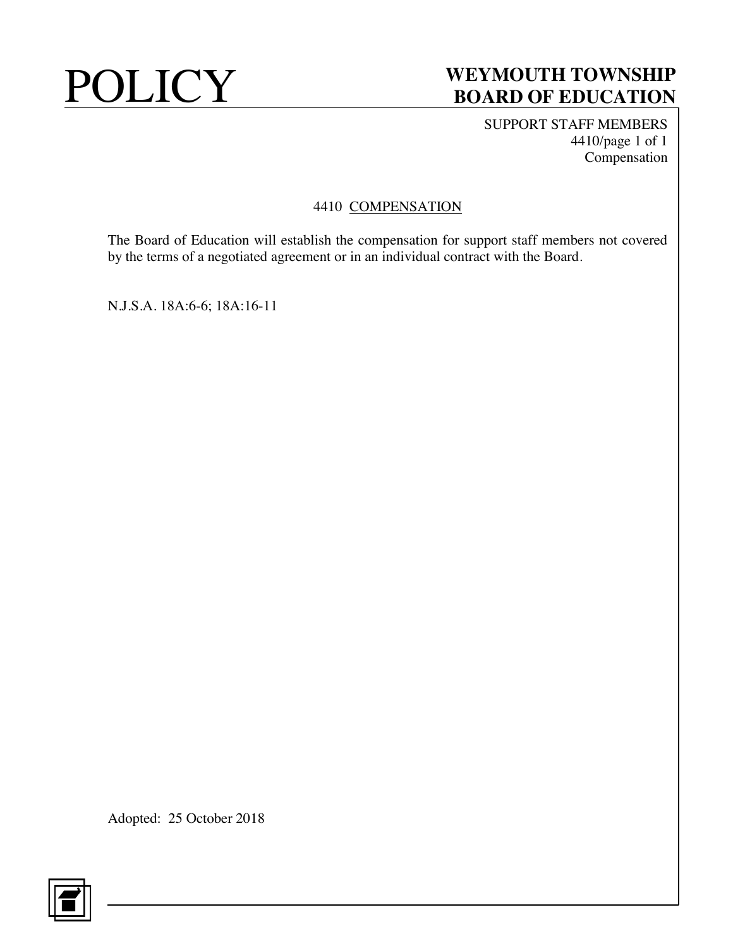SUPPORT STAFF MEMBERS 4410/page 1 of 1 Compensation

### 4410 COMPENSATION

The Board of Education will establish the compensation for support staff members not covered by the terms of a negotiated agreement or in an individual contract with the Board.

N.J.S.A. 18A:6-6; 18A:16-11

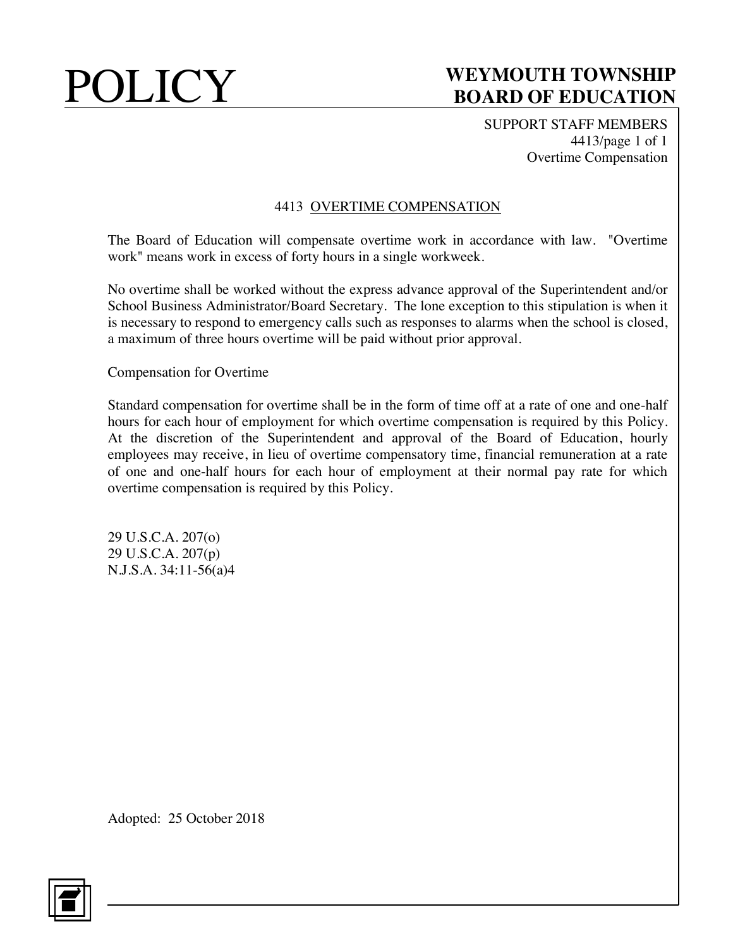SUPPORT STAFF MEMBERS 4413/page 1 of 1 Overtime Compensation

### 4413 OVERTIME COMPENSATION

The Board of Education will compensate overtime work in accordance with law. "Overtime work" means work in excess of forty hours in a single workweek.

No overtime shall be worked without the express advance approval of the Superintendent and/or School Business Administrator/Board Secretary. The lone exception to this stipulation is when it is necessary to respond to emergency calls such as responses to alarms when the school is closed, a maximum of three hours overtime will be paid without prior approval.

Compensation for Overtime

Standard compensation for overtime shall be in the form of time off at a rate of one and one-half hours for each hour of employment for which overtime compensation is required by this Policy. At the discretion of the Superintendent and approval of the Board of Education, hourly employees may receive, in lieu of overtime compensatory time, financial remuneration at a rate of one and one-half hours for each hour of employment at their normal pay rate for which overtime compensation is required by this Policy.

29 U.S.C.A. 207(o) 29 U.S.C.A. 207(p) N.J.S.A. 34:11-56(a)4

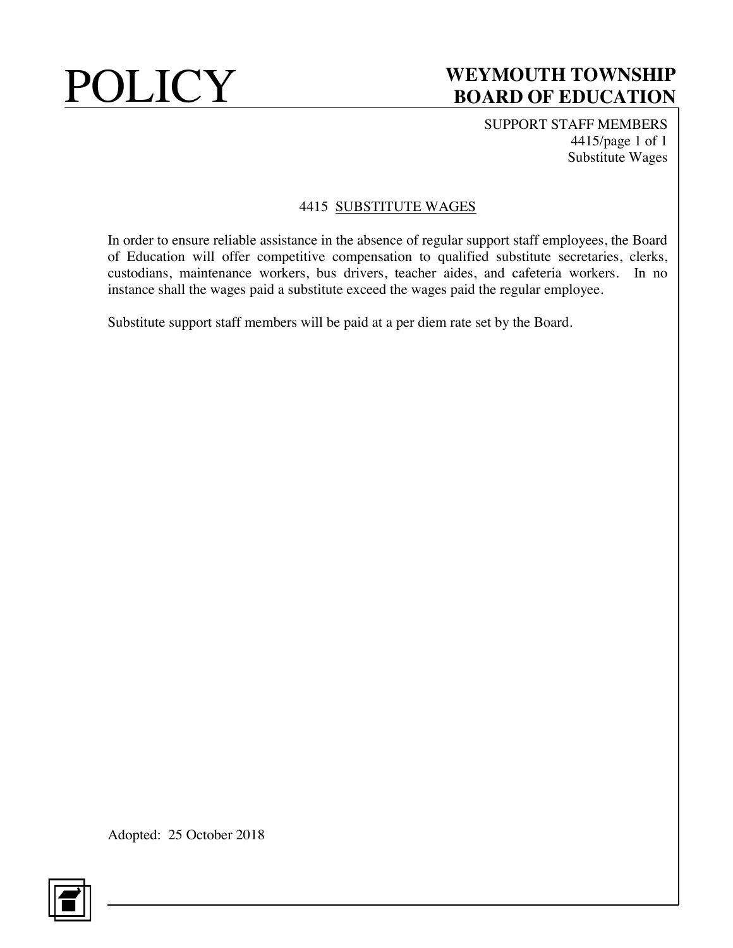SUPPORT STAFF MEMBERS 4415/page 1 of 1 Substitute Wages

### 4415 SUBSTITUTE WAGES

In order to ensure reliable assistance in the absence of regular support staff employees, the Board of Education will offer competitive compensation to qualified substitute secretaries, clerks, custodians, maintenance workers, bus drivers, teacher aides, and cafeteria workers. In no instance shall the wages paid a substitute exceed the wages paid the regular employee.

Substitute support staff members will be paid at a per diem rate set by the Board.

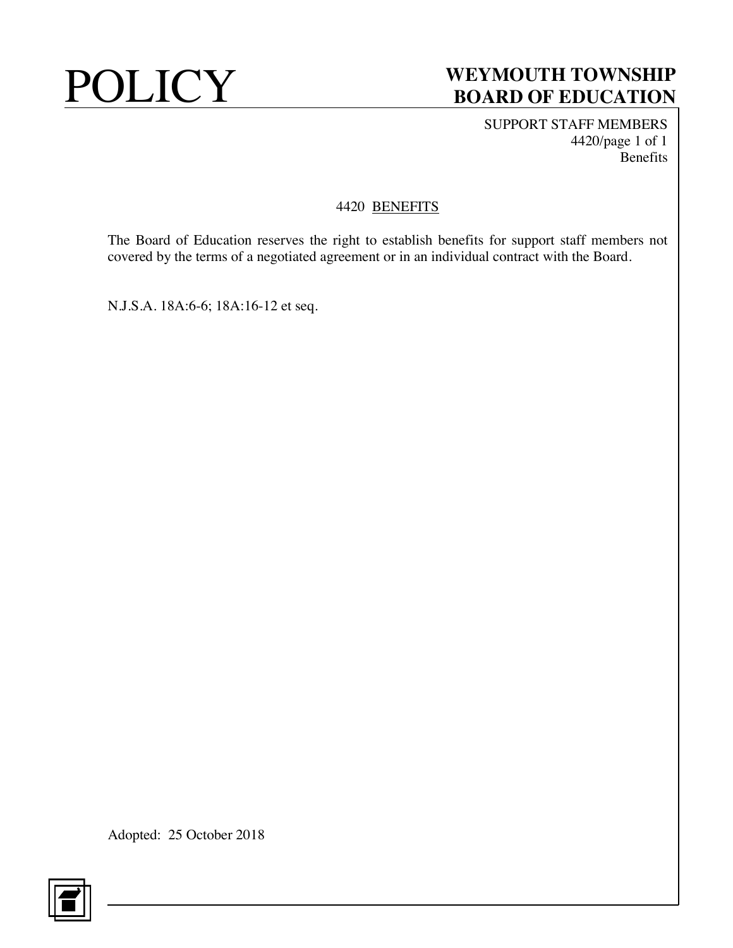SUPPORT STAFF MEMBERS 4420/page 1 of 1 Benefits

### 4420 BENEFITS

The Board of Education reserves the right to establish benefits for support staff members not covered by the terms of a negotiated agreement or in an individual contract with the Board.

N.J.S.A. 18A:6-6; 18A:16-12 et seq.

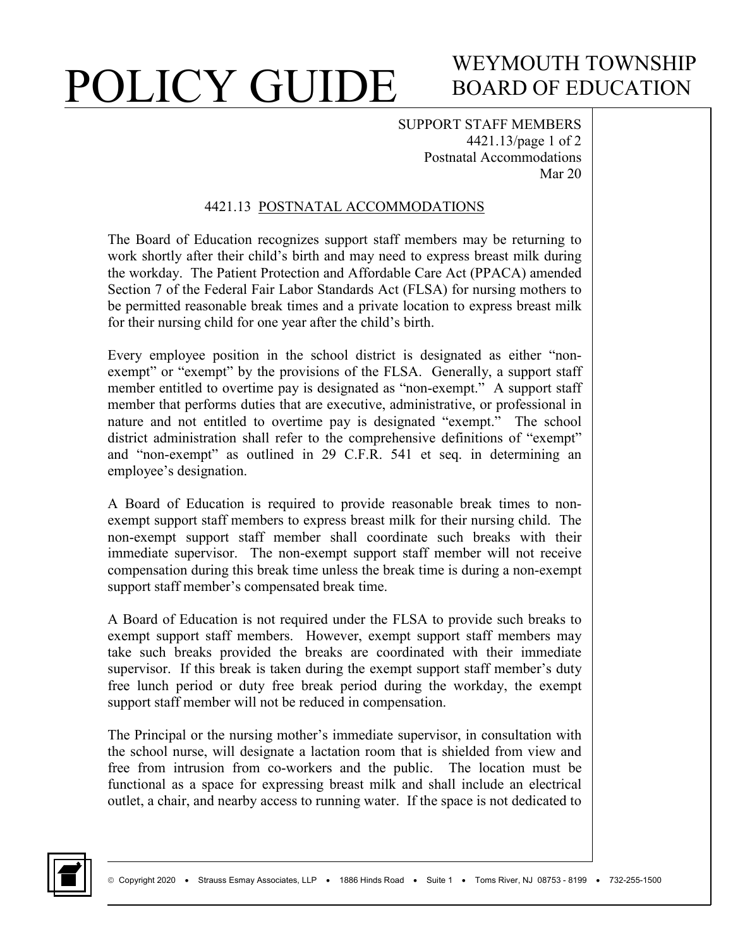# POLICY GUIDE

# WEYMOUTH TOWNSHIP BOARD OF EDUCATION

SUPPORT STAFF MEMBERS 4421.13/page 1 of 2 Postnatal Accommodations Mar 20

### 4421.13 POSTNATAL ACCOMMODATIONS

The Board of Education recognizes support staff members may be returning to work shortly after their child's birth and may need to express breast milk during the workday. The Patient Protection and Affordable Care Act (PPACA) amended Section 7 of the Federal Fair Labor Standards Act (FLSA) for nursing mothers to be permitted reasonable break times and a private location to express breast milk for their nursing child for one year after the child's birth.

Every employee position in the school district is designated as either "nonexempt" or "exempt" by the provisions of the FLSA. Generally, a support staff member entitled to overtime pay is designated as "non-exempt." A support staff member that performs duties that are executive, administrative, or professional in nature and not entitled to overtime pay is designated "exempt." The school district administration shall refer to the comprehensive definitions of "exempt" and "non-exempt" as outlined in 29 C.F.R. 541 et seq. in determining an employee's designation.

A Board of Education is required to provide reasonable break times to nonexempt support staff members to express breast milk for their nursing child. The non-exempt support staff member shall coordinate such breaks with their immediate supervisor. The non-exempt support staff member will not receive compensation during this break time unless the break time is during a non-exempt support staff member's compensated break time.

A Board of Education is not required under the FLSA to provide such breaks to exempt support staff members. However, exempt support staff members may take such breaks provided the breaks are coordinated with their immediate supervisor. If this break is taken during the exempt support staff member's duty free lunch period or duty free break period during the workday, the exempt support staff member will not be reduced in compensation.

The Principal or the nursing mother's immediate supervisor, in consultation with the school nurse, will designate a lactation room that is shielded from view and free from intrusion from co-workers and the public. The location must be functional as a space for expressing breast milk and shall include an electrical outlet, a chair, and nearby access to running water. If the space is not dedicated to

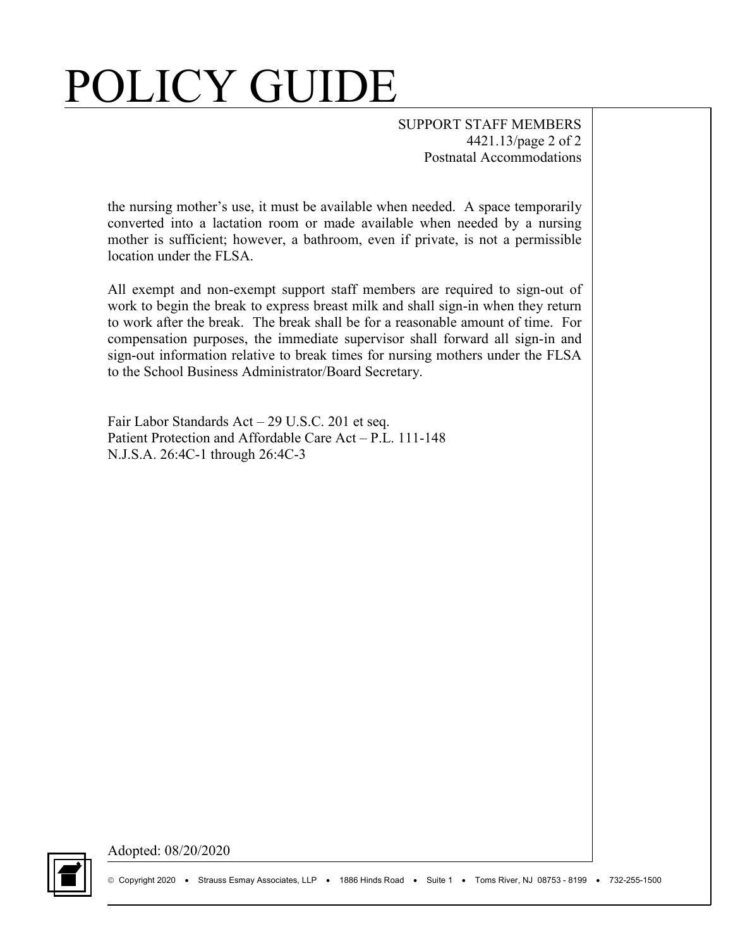# POLICY GUIDE

SUPPORT STAFF MEMBERS 4421.13/page 2 of 2 Postnatal Accommodations

the nursing mother's use, it must be available when needed. A space temporarily converted into a lactation room or made available when needed by a nursing mother is sufficient; however, a bathroom, even if private, is not a permissible location under the FLSA.

All exempt and non-exempt support staff members are required to sign-out of work to begin the break to express breast milk and shall sign-in when they return to work after the break. The break shall be for a reasonable amount of time. For compensation purposes, the immediate supervisor shall forward all sign-in and sign-out information relative to break times for nursing mothers under the FLSA to the School Business Administrator/Board Secretary.

Fair Labor Standards Act – 29 U.S.C. 201 et seq. Patient Protection and Affordable Care Act – P.L. 111-148 N.J.S.A. 26:4C-1 through 26:4C-3



Adopted: 08/20/2020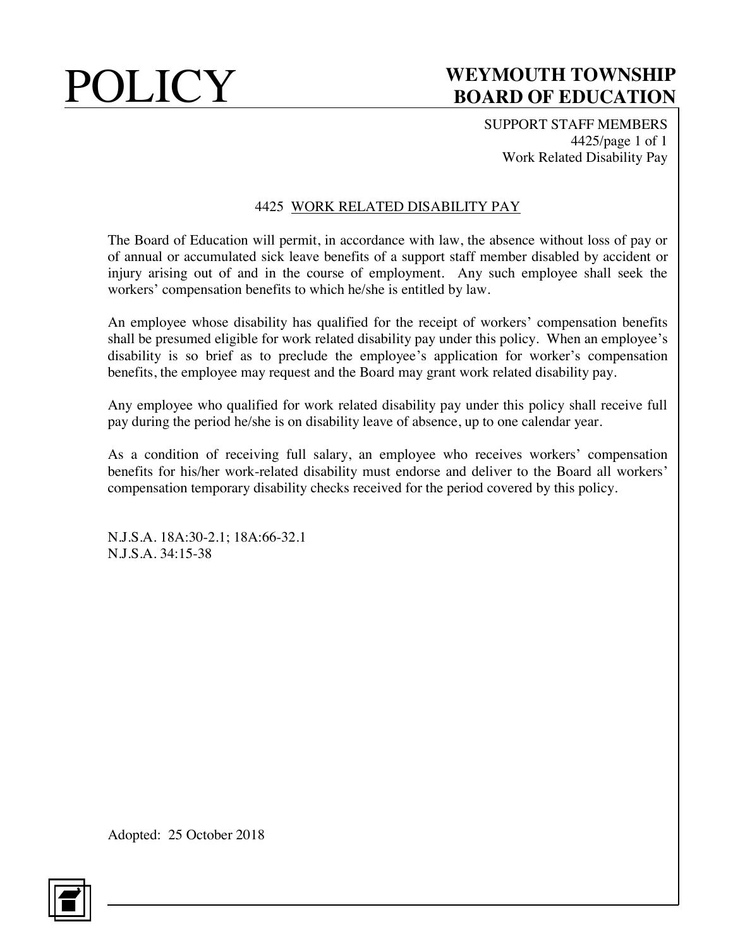SUPPORT STAFF MEMBERS 4425/page 1 of 1 Work Related Disability Pay

### 4425 WORK RELATED DISABILITY PAY

The Board of Education will permit, in accordance with law, the absence without loss of pay or of annual or accumulated sick leave benefits of a support staff member disabled by accident or injury arising out of and in the course of employment. Any such employee shall seek the workers' compensation benefits to which he/she is entitled by law.

An employee whose disability has qualified for the receipt of workers' compensation benefits shall be presumed eligible for work related disability pay under this policy. When an employee's disability is so brief as to preclude the employee's application for worker's compensation benefits, the employee may request and the Board may grant work related disability pay.

Any employee who qualified for work related disability pay under this policy shall receive full pay during the period he/she is on disability leave of absence, up to one calendar year.

As a condition of receiving full salary, an employee who receives workers' compensation benefits for his/her work-related disability must endorse and deliver to the Board all workers' compensation temporary disability checks received for the period covered by this policy.

N.J.S.A. 18A:30-2.1; 18A:66-32.1 N.J.S.A. 34:15-38

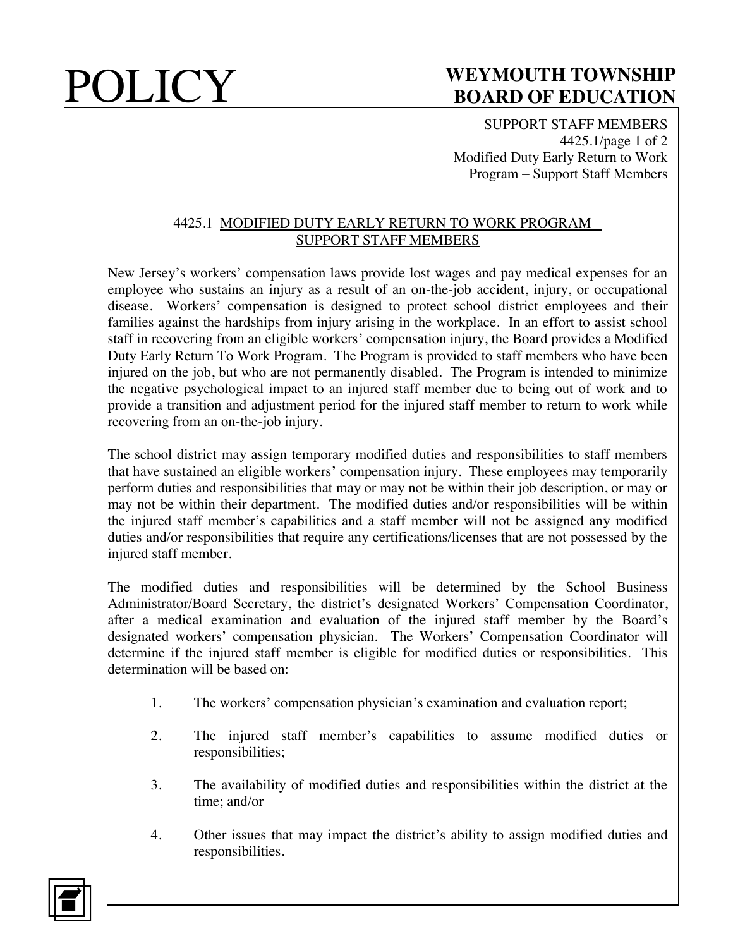SUPPORT STAFF MEMBERS 4425.1/page 1 of 2 Modified Duty Early Return to Work Program – Support Staff Members

### 4425.1 MODIFIED DUTY EARLY RETURN TO WORK PROGRAM – SUPPORT STAFF MEMBERS

New Jersey's workers' compensation laws provide lost wages and pay medical expenses for an employee who sustains an injury as a result of an on-the-job accident, injury, or occupational disease. Workers' compensation is designed to protect school district employees and their families against the hardships from injury arising in the workplace. In an effort to assist school staff in recovering from an eligible workers' compensation injury, the Board provides a Modified Duty Early Return To Work Program. The Program is provided to staff members who have been injured on the job, but who are not permanently disabled. The Program is intended to minimize the negative psychological impact to an injured staff member due to being out of work and to provide a transition and adjustment period for the injured staff member to return to work while recovering from an on-the-job injury.

The school district may assign temporary modified duties and responsibilities to staff members that have sustained an eligible workers' compensation injury. These employees may temporarily perform duties and responsibilities that may or may not be within their job description, or may or may not be within their department. The modified duties and/or responsibilities will be within the injured staff member's capabilities and a staff member will not be assigned any modified duties and/or responsibilities that require any certifications/licenses that are not possessed by the injured staff member.

The modified duties and responsibilities will be determined by the School Business Administrator/Board Secretary, the district's designated Workers' Compensation Coordinator, after a medical examination and evaluation of the injured staff member by the Board's designated workers' compensation physician. The Workers' Compensation Coordinator will determine if the injured staff member is eligible for modified duties or responsibilities. This determination will be based on:

- 1. The workers' compensation physician's examination and evaluation report;
- 2. The injured staff member's capabilities to assume modified duties or responsibilities;
- 3. The availability of modified duties and responsibilities within the district at the time; and/or
- 4. Other issues that may impact the district's ability to assign modified duties and responsibilities.

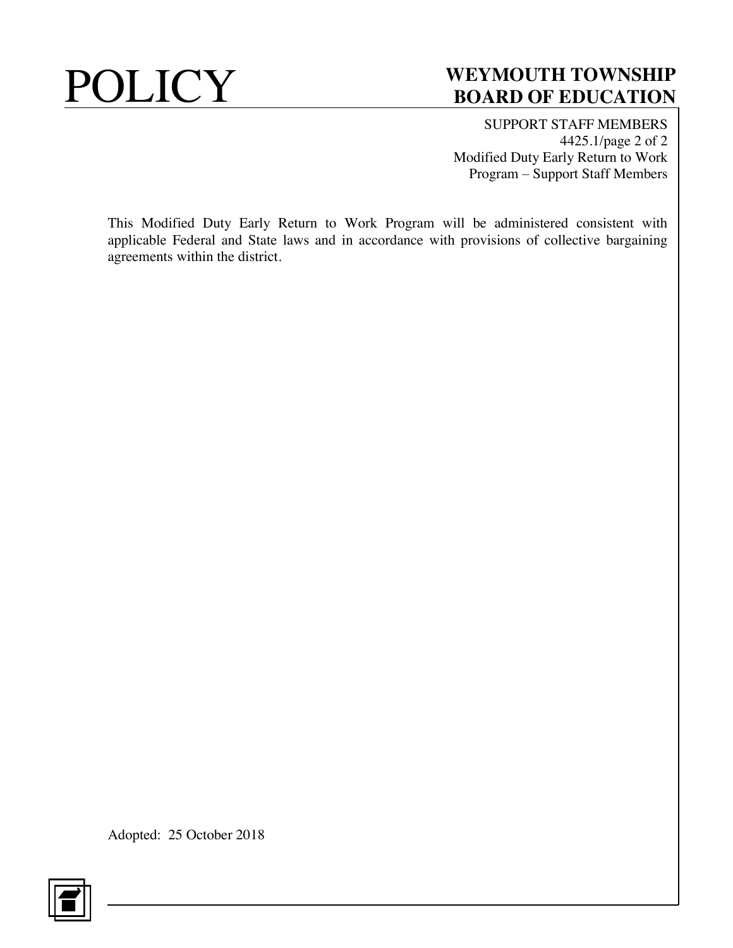SUPPORT STAFF MEMBERS 4425.1/page 2 of 2 Modified Duty Early Return to Work Program – Support Staff Members

This Modified Duty Early Return to Work Program will be administered consistent with applicable Federal and State laws and in accordance with provisions of collective bargaining agreements within the district.

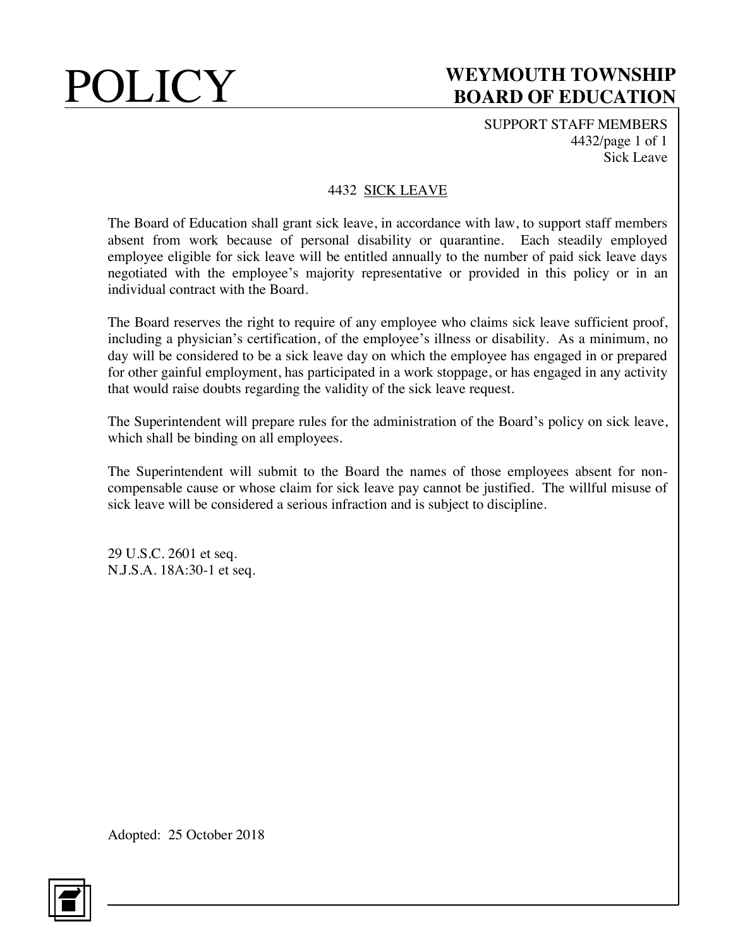SUPPORT STAFF MEMBERS 4432/page 1 of 1 Sick Leave

### 4432 SICK LEAVE

The Board of Education shall grant sick leave, in accordance with law, to support staff members absent from work because of personal disability or quarantine. Each steadily employed employee eligible for sick leave will be entitled annually to the number of paid sick leave days negotiated with the employee's majority representative or provided in this policy or in an individual contract with the Board.

The Board reserves the right to require of any employee who claims sick leave sufficient proof, including a physician's certification, of the employee's illness or disability. As a minimum, no day will be considered to be a sick leave day on which the employee has engaged in or prepared for other gainful employment, has participated in a work stoppage, or has engaged in any activity that would raise doubts regarding the validity of the sick leave request.

The Superintendent will prepare rules for the administration of the Board's policy on sick leave, which shall be binding on all employees.

The Superintendent will submit to the Board the names of those employees absent for noncompensable cause or whose claim for sick leave pay cannot be justified. The willful misuse of sick leave will be considered a serious infraction and is subject to discipline.

29 U.S.C. 2601 et seq. N.J.S.A. 18A:30-1 et seq.

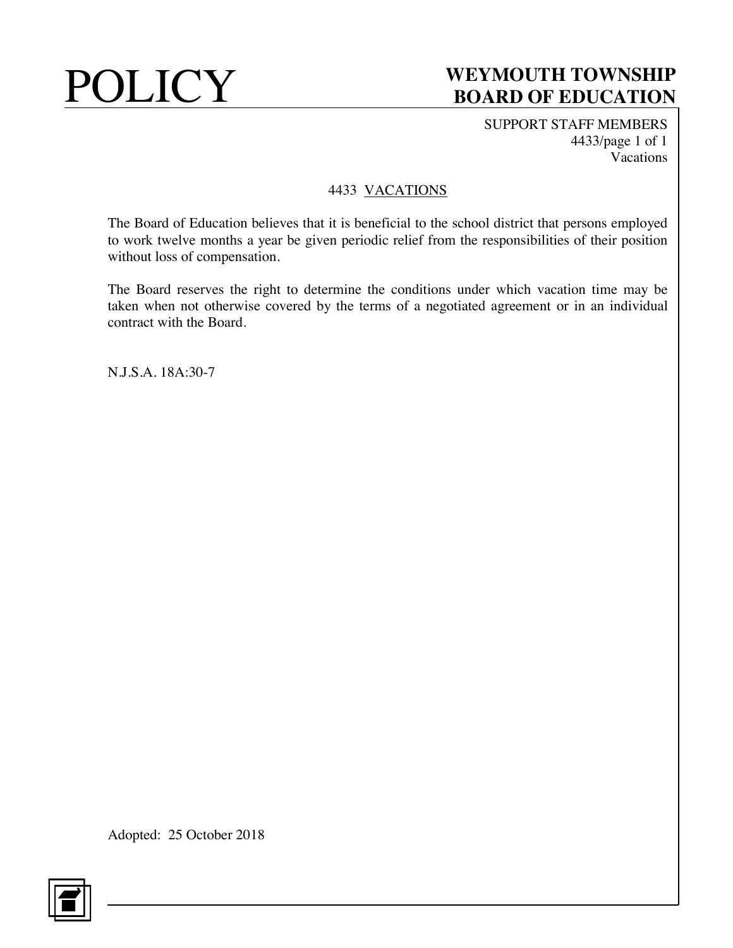SUPPORT STAFF MEMBERS 4433/page 1 of 1 Vacations

### 4433 VACATIONS

The Board of Education believes that it is beneficial to the school district that persons employed to work twelve months a year be given periodic relief from the responsibilities of their position without loss of compensation.

The Board reserves the right to determine the conditions under which vacation time may be taken when not otherwise covered by the terms of a negotiated agreement or in an individual contract with the Board.

N.J.S.A. 18A:30-7

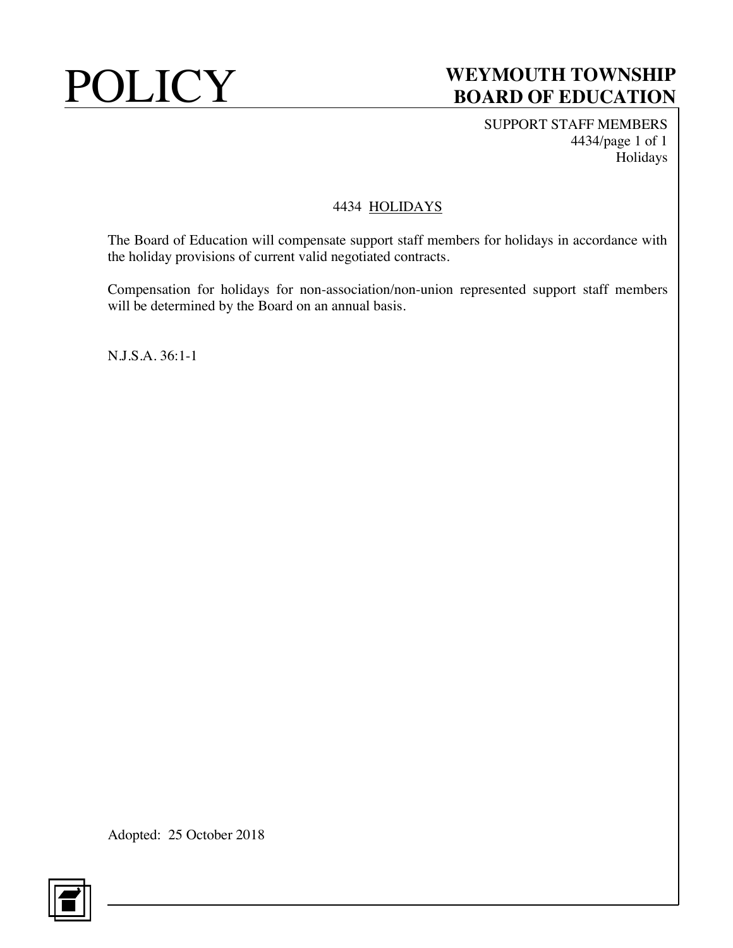SUPPORT STAFF MEMBERS 4434/page 1 of 1 Holidays

### 4434 HOLIDAYS

The Board of Education will compensate support staff members for holidays in accordance with the holiday provisions of current valid negotiated contracts.

Compensation for holidays for non-association/non-union represented support staff members will be determined by the Board on an annual basis.

N.J.S.A. 36:1-1

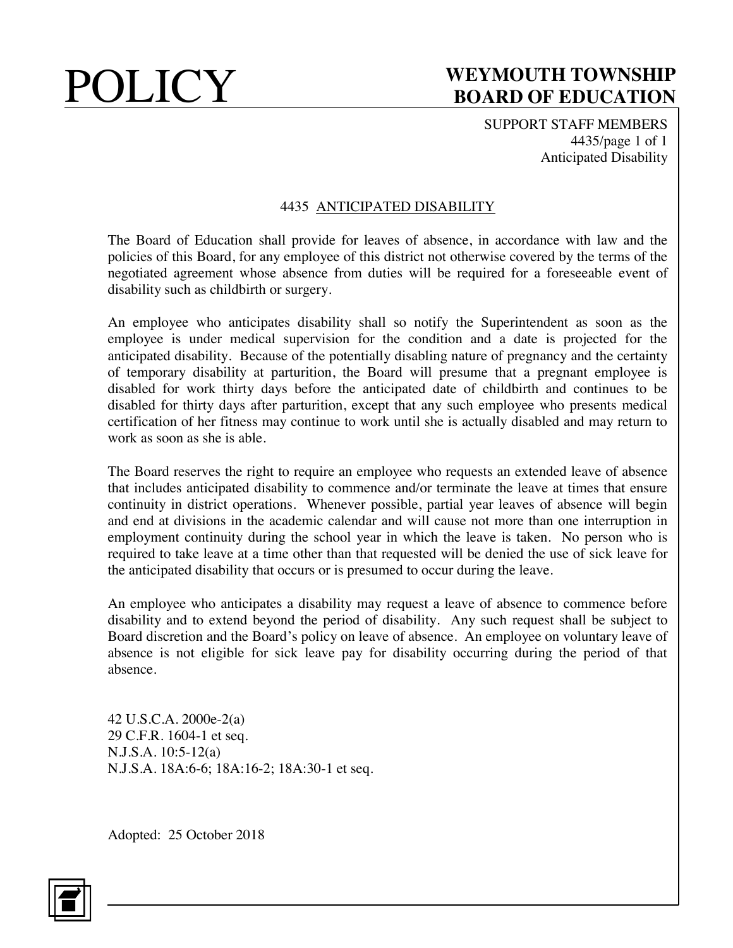SUPPORT STAFF MEMBERS 4435/page 1 of 1 Anticipated Disability

### 4435 ANTICIPATED DISABILITY

The Board of Education shall provide for leaves of absence, in accordance with law and the policies of this Board, for any employee of this district not otherwise covered by the terms of the negotiated agreement whose absence from duties will be required for a foreseeable event of disability such as childbirth or surgery.

An employee who anticipates disability shall so notify the Superintendent as soon as the employee is under medical supervision for the condition and a date is projected for the anticipated disability. Because of the potentially disabling nature of pregnancy and the certainty of temporary disability at parturition, the Board will presume that a pregnant employee is disabled for work thirty days before the anticipated date of childbirth and continues to be disabled for thirty days after parturition, except that any such employee who presents medical certification of her fitness may continue to work until she is actually disabled and may return to work as soon as she is able.

The Board reserves the right to require an employee who requests an extended leave of absence that includes anticipated disability to commence and/or terminate the leave at times that ensure continuity in district operations. Whenever possible, partial year leaves of absence will begin and end at divisions in the academic calendar and will cause not more than one interruption in employment continuity during the school year in which the leave is taken. No person who is required to take leave at a time other than that requested will be denied the use of sick leave for the anticipated disability that occurs or is presumed to occur during the leave.

An employee who anticipates a disability may request a leave of absence to commence before disability and to extend beyond the period of disability. Any such request shall be subject to Board discretion and the Board's policy on leave of absence. An employee on voluntary leave of absence is not eligible for sick leave pay for disability occurring during the period of that absence.

42 U.S.C.A. 2000e-2(a) 29 C.F.R. 1604-1 et seq. N.J.S.A. 10:5-12(a) N.J.S.A. 18A:6-6; 18A:16-2; 18A:30-1 et seq.

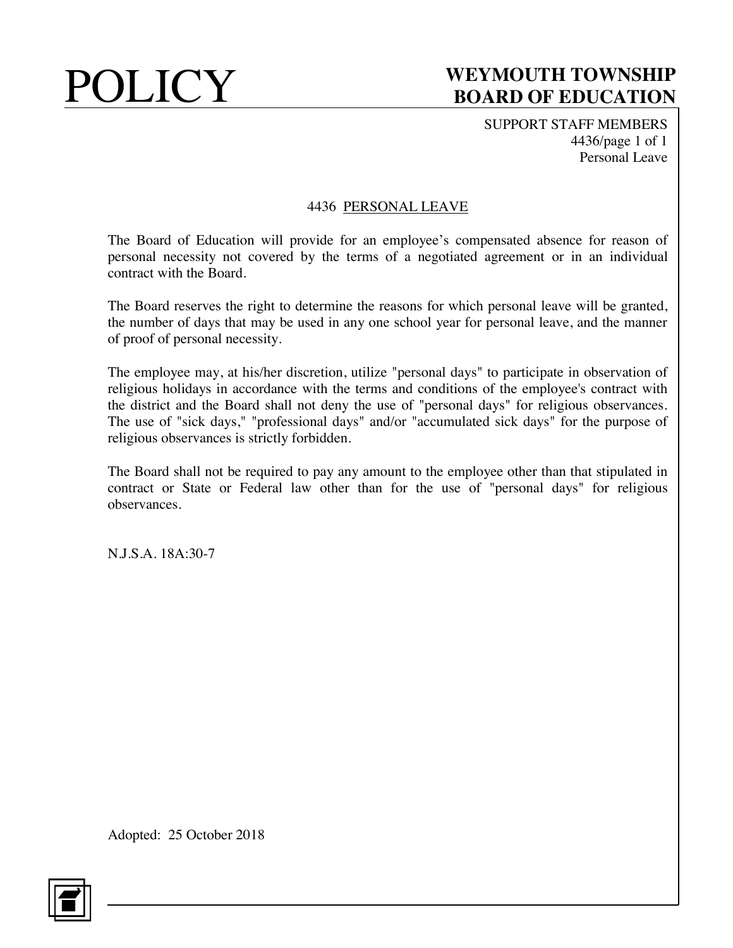SUPPORT STAFF MEMBERS 4436/page 1 of 1 Personal Leave

### 4436 PERSONAL LEAVE

The Board of Education will provide for an employee's compensated absence for reason of personal necessity not covered by the terms of a negotiated agreement or in an individual contract with the Board.

The Board reserves the right to determine the reasons for which personal leave will be granted, the number of days that may be used in any one school year for personal leave, and the manner of proof of personal necessity.

The employee may, at his/her discretion, utilize "personal days" to participate in observation of religious holidays in accordance with the terms and conditions of the employee's contract with the district and the Board shall not deny the use of "personal days" for religious observances. The use of "sick days," "professional days" and/or "accumulated sick days" for the purpose of religious observances is strictly forbidden.

The Board shall not be required to pay any amount to the employee other than that stipulated in contract or State or Federal law other than for the use of "personal days" for religious observances.

N.J.S.A. 18A:30-7

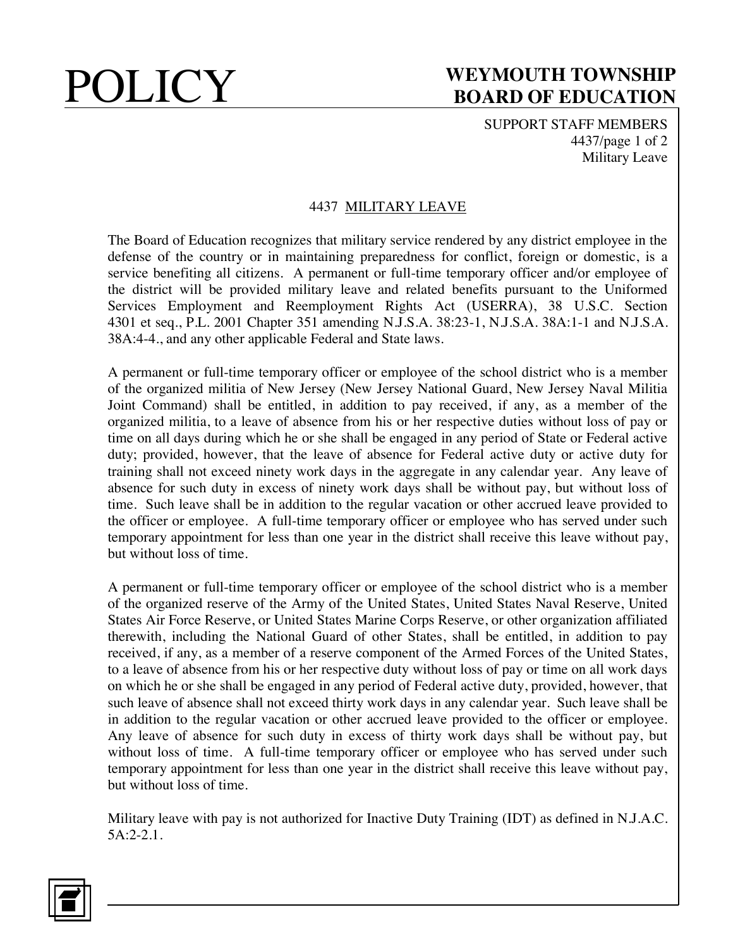SUPPORT STAFF MEMBERS 4437/page 1 of 2 Military Leave

### 4437 MILITARY LEAVE

The Board of Education recognizes that military service rendered by any district employee in the defense of the country or in maintaining preparedness for conflict, foreign or domestic, is a service benefiting all citizens. A permanent or full-time temporary officer and/or employee of the district will be provided military leave and related benefits pursuant to the Uniformed Services Employment and Reemployment Rights Act (USERRA), 38 U.S.C. Section 4301 et seq., P.L. 2001 Chapter 351 amending N.J.S.A. 38:23-1, N.J.S.A. 38A:1-1 and N.J.S.A. 38A:4-4., and any other applicable Federal and State laws.

A permanent or full-time temporary officer or employee of the school district who is a member of the organized militia of New Jersey (New Jersey National Guard, New Jersey Naval Militia Joint Command) shall be entitled, in addition to pay received, if any, as a member of the organized militia, to a leave of absence from his or her respective duties without loss of pay or time on all days during which he or she shall be engaged in any period of State or Federal active duty; provided, however, that the leave of absence for Federal active duty or active duty for training shall not exceed ninety work days in the aggregate in any calendar year. Any leave of absence for such duty in excess of ninety work days shall be without pay, but without loss of time. Such leave shall be in addition to the regular vacation or other accrued leave provided to the officer or employee. A full-time temporary officer or employee who has served under such temporary appointment for less than one year in the district shall receive this leave without pay, but without loss of time.

A permanent or full-time temporary officer or employee of the school district who is a member of the organized reserve of the Army of the United States, United States Naval Reserve, United States Air Force Reserve, or United States Marine Corps Reserve, or other organization affiliated therewith, including the National Guard of other States, shall be entitled, in addition to pay received, if any, as a member of a reserve component of the Armed Forces of the United States, to a leave of absence from his or her respective duty without loss of pay or time on all work days on which he or she shall be engaged in any period of Federal active duty, provided, however, that such leave of absence shall not exceed thirty work days in any calendar year. Such leave shall be in addition to the regular vacation or other accrued leave provided to the officer or employee. Any leave of absence for such duty in excess of thirty work days shall be without pay, but without loss of time. A full-time temporary officer or employee who has served under such temporary appointment for less than one year in the district shall receive this leave without pay, but without loss of time.

Military leave with pay is not authorized for Inactive Duty Training (IDT) as defined in N.J.A.C. 5A:2-2.1.

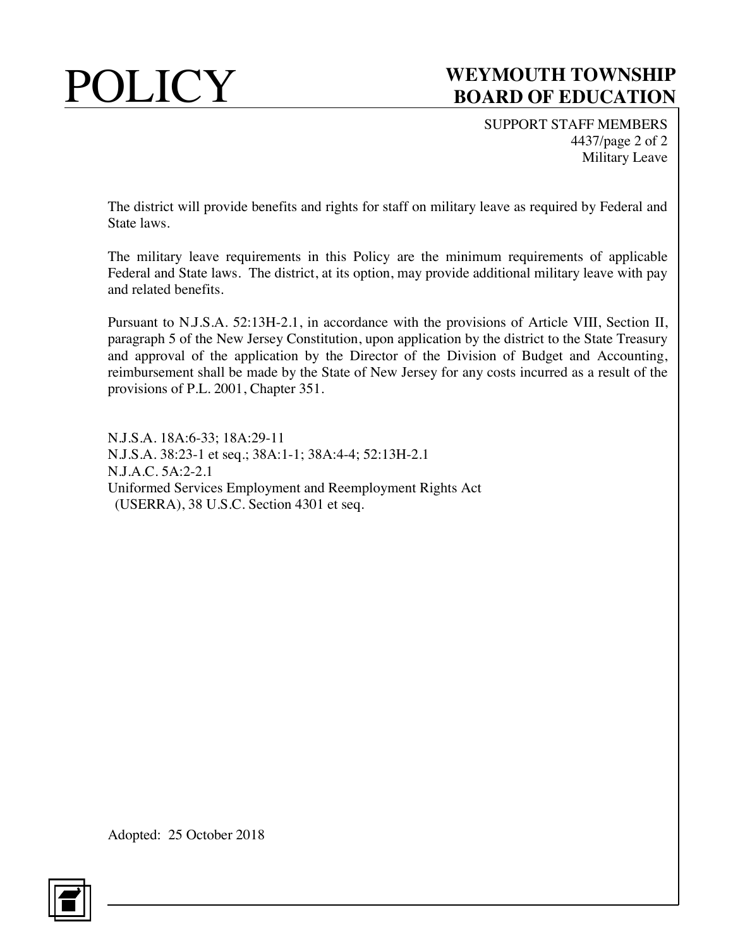SUPPORT STAFF MEMBERS 4437/page 2 of 2 Military Leave

The district will provide benefits and rights for staff on military leave as required by Federal and State laws.

The military leave requirements in this Policy are the minimum requirements of applicable Federal and State laws. The district, at its option, may provide additional military leave with pay and related benefits.

Pursuant to N.J.S.A. 52:13H-2.1, in accordance with the provisions of Article VIII, Section II, paragraph 5 of the New Jersey Constitution, upon application by the district to the State Treasury and approval of the application by the Director of the Division of Budget and Accounting, reimbursement shall be made by the State of New Jersey for any costs incurred as a result of the provisions of P.L. 2001, Chapter 351.

N.J.S.A. 18A:6-33; 18A:29-11 N.J.S.A. 38:23-1 et seq.; 38A:1-1; 38A:4-4; 52:13H-2.1 N.J.A.C. 5A:2-2.1 Uniformed Services Employment and Reemployment Rights Act (USERRA), 38 U.S.C. Section 4301 et seq.